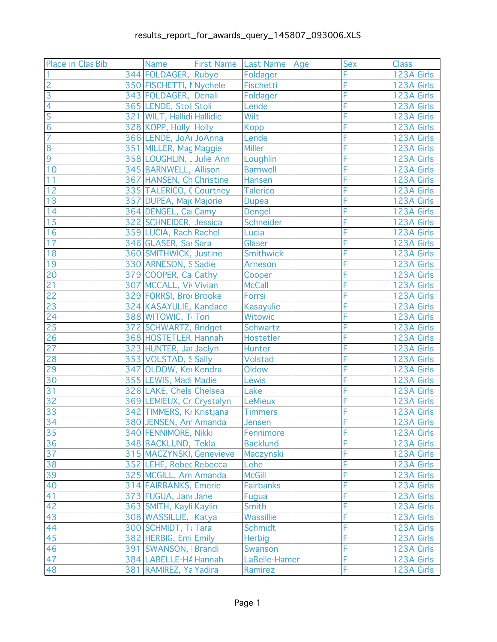| Place in Clas Bib | <b>Name</b>                                      | First Name   Last Name   Age | <b>Sex</b> | <b>Class</b>             |
|-------------------|--------------------------------------------------|------------------------------|------------|--------------------------|
|                   | 344 FOLDAGER, Rubye                              | Foldager                     | F          | 123A Girls               |
| $\overline{2}$    | 350 FISCHETTI, Nychele                           | Fischetti                    | F          | 123A Girls               |
| $\overline{3}$    | 343 FOLDAGER, Denali                             | Foldager                     | F          | 123A Girls               |
| $\overline{4}$    | 365 LENDE, Stoll Stoli                           | Lende                        | F          | 123A Girls               |
| $\overline{5}$    | 321 WILT, Hallidi Hallidie                       | Wilt                         | F          | 123A Girls               |
| $\overline{6}$    | 328 KOPP, Holly Holly                            | <b>Kopp</b>                  | F          | 123A Girls               |
| $\overline{7}$    | 366 LENDE, JoAr JoAnna                           | Lende                        | F          | 123A Girls               |
| 8                 | 351 MILLER, Mag Maggie                           | <b>Miller</b>                | F          | 123A Girls               |
| $\overline{9}$    | 358 LOUGHLIN, Julie Ann                          | Loughlin                     | F          | 123A Girls               |
| 10                | 345 BARNWELL, Allison                            | <b>Barnwell</b>              | F          | 123A Girls               |
| 11                | 367 HANSEN, Ch Christine                         | Hansen                       | F          | 123A Girls               |
| 12                | 335 TALERICO, Courtney                           | Talerico                     | F          | 123A Girls               |
| 13                | 357 DUPEA, Majd Majorie                          | <b>Dupea</b>                 | F          | 123A Girls               |
| 14                | 364 DENGEL, Cal Camy                             | Dengel                       | F          | 123A Girls               |
| 15                | 322 SCHNEIDER, Jessica                           | Schneider                    | F          | 123A Girls               |
| 16                | 359 LUCIA, Rach Rachel                           | Lucia                        | F          | 123A Girls               |
| 17                | 346 GLASER, Sar Sara                             | Glaser                       | F          | 123A Girls               |
| 18                | 360 SMITHWICK, Justine                           | Smithwick                    | F          | 123A Girls               |
| 19                | 330 ARNESON, S Sadie                             | <b>Arneson</b>               | F          | 123A Girls               |
| 20                | 379 COOPER, Ca Cathy                             | Cooper                       | F          | 123A Girls               |
| $\overline{21}$   | 307 MCCALL, VivVivian                            | <b>McCall</b>                | Ē          | 123A Girls               |
| 22                | 329 FORRSI, Bro Brooke                           | Forrsi                       | F          | 123A Girls               |
| 23                | 324 KASAYULIE, Kandace                           | Kasayulie                    | F          | 123A Girls               |
| 24                | 388 WITOWIC, T Tori                              | Witowic                      | F          | 123A Girls               |
| 25                | 372 SCHWARTZ, Bridget                            | Schwartz                     | F          | 123A Girls               |
| 26<br>27          | 368 HOSTETLER, Hannah                            | Hostetler                    | F          | 123A Girls               |
|                   | 323 HUNTER, Jac Jaclyn                           | Hunter                       | F          | 123A Girls               |
| 28                | 353 VOLSTAD, SSally                              | Volstad                      | F<br>F     | 123A Girls               |
| 29                | 347 OLDOW, Ker Kendra                            | Oldow                        | F          | 123A Girls               |
| 30<br>31          | 355 LEWIS, Madi Madie<br>326 LAKE, Chels Chelsea | Lewis<br>Lake                | F          | 123A Girls               |
| 32                | 369 LEMIEUX, Cr Crystalyn                        |                              | F          | 123A Girls<br>123A Girls |
| 33                | 342 TIMMERS, Kr Kristjana                        | <b>LeMieux</b>               | Ē          | 123A Girls               |
| $\frac{1}{34}$    | 380 JENSEN, Am Amanda                            | Timmers<br>Jensen            |            | 123A Girls               |
| 35                | 340 FENNIMORE, Nikki                             | Fennimore                    | F          | 123A Girls               |
| 36                | 348 BACKLUND, Tekla                              | <b>Backlund</b>              | F          | 123A Girls               |
| $\overline{37}$   | 315 MACZYNSKI, Genevieve                         | Maczynski                    | F          | 123A Girls               |
| 38                | 352 LEHE, Rebed Rebecca                          | Lehe                         | F          | 123A Girls               |
| $\overline{39}$   | 325 MCGILL, Am Amanda                            | <b>McGill</b>                | F          | 123A Girls               |
| 40                | 314 FAIRBANKS, Emerie                            | <b>Fairbanks</b>             | F          | 123A Girls               |
| 41                | 373 FUGUA, Jane Jane                             | Fugua                        | F          | 123A Girls               |
| 42                | 363 SMITH, Kayli Kaylin                          | <b>Smith</b>                 | F          | 123A Girls               |
| 43                | 308 WASSILLIE, Katya                             | Wassillie                    | F          | 123A Girls               |
| 44                | 300 SCHMIDT, T Tara                              | <b>Schmidt</b>               | F          | 123A Girls               |
| 45                | 382 HERBIG, Emil Emily                           | <b>Herbig</b>                | F          | 123A Girls               |
| 46                | 391 SWANSON, Brandi                              | Swanson                      | F          | 123A Girls               |
| 47                | 384 LABELLE-HA Hannah                            | LaBelle-Hamer                | F          | 123A Girls               |
| 48                | 381 RAMIREZ, Ya Yadira                           | Ramirez                      | F          | 123A Girls               |
|                   |                                                  |                              |            |                          |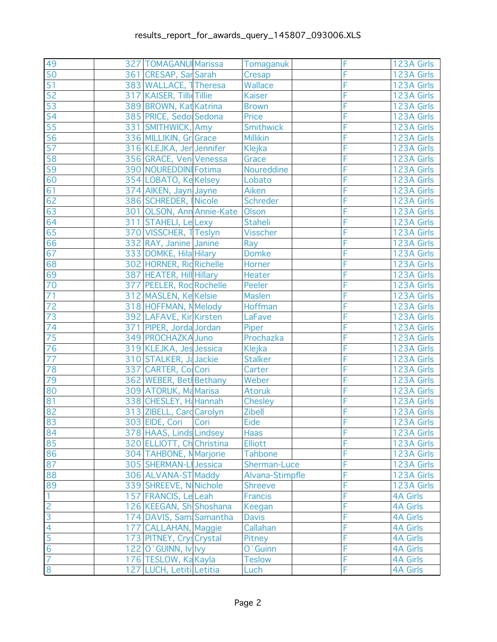| 49              | 327 TOMAGANUI Marissa     | Tomaganuk       | F | 123A Girls      |
|-----------------|---------------------------|-----------------|---|-----------------|
| 50              | 361 CRESAP, Sar Sarah     | Cresap          | F | 123A Girls      |
| 51              | 383 WALLACE, 1 Theresa    | Wallace         | F | 123A Girls      |
| $\overline{52}$ | 317 KAISER, Tilli Tillie  | <b>Kaiser</b>   | F | 123A Girls      |
| 53              | 389 BROWN, Kat Katrina    | <b>Brown</b>    | F | 123A Girls      |
| 54              | 385 PRICE, Sedo Sedona    | Price           | F | 123A Girls      |
| 55              | 331 SMITHWICK, Amy        | Smithwick       | F | 123A Girls      |
| 56              | 336 MILLIKIN, Gr Grace    | <b>Millikin</b> | F | 123A Girls      |
| 57              | 316 KLEJKA, Jer Jennifer  | Klejka          | F | 123A Girls      |
| 58              | 356 GRACE, Ven Venessa    | Grace           | F | 123A Girls      |
| 59              | 390 NOUREDDINI Fotima     | Noureddine      | F | 123A Girls      |
| 60              | 354 LOBATO, Ke Kelsey     | Lobato          | F | 123A Girls      |
| 61              | 374 AIKEN, Jayn Jayne     | Aiken           | F | 123A Girls      |
| 62              | 386 SCHREDER, Nicole      | Schreder        | F | 123A Girls      |
| 63              | 301 OLSON, Ann Annie-Kate | Olson           | F | 123A Girls      |
| 64              | 311 STAHELI, LeLexy       | <b>Staheli</b>  | F | 123A Girls      |
| 65              | 370 VISSCHER, TTeslyn     | <b>Visscher</b> | F | 123A Girls      |
| 66              | 332 RAY, Janine Janine    | Ray             | F | 123A Girls      |
| 67              | 333 DOMKE, Hila Hilary    | <b>Domke</b>    | F | 123A Girls      |
| 68              | 302 HORNER, Rid Richelle  | Horner          | F | 123A Girls      |
| 69              | 387 HEATER, Hill Hillary  | Heater          | F | 123A Girls      |
| $\overline{70}$ | 377 PEELER, Rod Rochelle  | Peeler          | F | 123A Girls      |
| 71              | 312 MASLEN, Ke Kelsie     | <b>Maslen</b>   | F | 123A Girls      |
| 72              | 318 HOFFMAN, NMelody      | Hoffman         | F | 123A Girls      |
| 73              | 392 LAFAVE, Kir Kirsten   | LaFave          | F | 123A Girls      |
| 74              | 371 PIPER, Jorda Jordan   | Piper           | F | 123A Girls      |
| 75              | 349 PROCHAZKA Juno        | Prochazka       | F | 123A Girls      |
| $\overline{76}$ | 319 KLEJKA, Jes Jessica   | Klejka          | F | 123A Girls      |
| 77              | 310 STALKER, Ja Jackie    | <b>Stalker</b>  | F | 123A Girls      |
| 78              | 337 CARTER, ColCori       | Carter          | F | 123A Girls      |
| 79              | 362 WEBER, Bet Bethany    | Weber           | F | 123A Girls      |
| 80              | 309 ATORUK, Ma Marisa     | <b>Atoruk</b>   | F | 123A Girls      |
| 81              | 338 CHESLEY, H& Hannah    | <b>Chesley</b>  | F | 123A Girls      |
| 82              | 313 ZIBELL, Card Carolyn  | Zibell          | F | 123A Girls      |
| $\frac{1}{83}$  | 303 EIDE, Cori Cori       | Eide            |   | 123A Girls      |
| 84              | 378 HAAS, Linds Lindsey   | <b>Haas</b>     | F | 123A Girls      |
| 85              | 320 ELLIOTT, Ch Christina | <b>Elliott</b>  | F | 123A Girls      |
| 86              | 304 TAHBONE, NMarjorie    | <b>Tahbone</b>  | F | 123A Girls      |
| 87              | 305 SHERMAN-LI Jessica    | Sherman-Luce    | F | 123A Girls      |
| 88              | 306 ALVANA-ST Maddy       | Alvana-Stimpfle | F | 123A Girls      |
| 89              | 339 SHREEVE, N Nichole    | <b>Shreeve</b>  | F | 123A Girls      |
| $\overline{1}$  | 157 FRANCIS, Le Leah      | <b>Francis</b>  | F | <b>4A Girls</b> |
| $\frac{2}{3}$   | 126 KEEGAN, Sh Shoshana   | Keegan          | F | <b>4A Girls</b> |
|                 | 174 DAVIS, Sam Samantha   | <b>Davis</b>    | F | <b>4A Girls</b> |
| $\overline{4}$  | 177 CALLAHAN, Maggie      | Callahan        | F | <b>4A Girls</b> |
|                 | 173 PITNEY, Crys Crystal  | Pitney          | F | <b>4A Girls</b> |
| $\frac{1}{6}$   | 122 O`GUINN, Iv Ivy       | O`Guinn         | F | <b>4A Girls</b> |
| $\overline{7}$  | 176 TESLOW, Ka Kayla      | <b>Teslow</b>   | F | <b>4A Girls</b> |
| $\overline{8}$  | 127 LUCH, Letiti Letitia  | Luch            | F | <b>4A Girls</b> |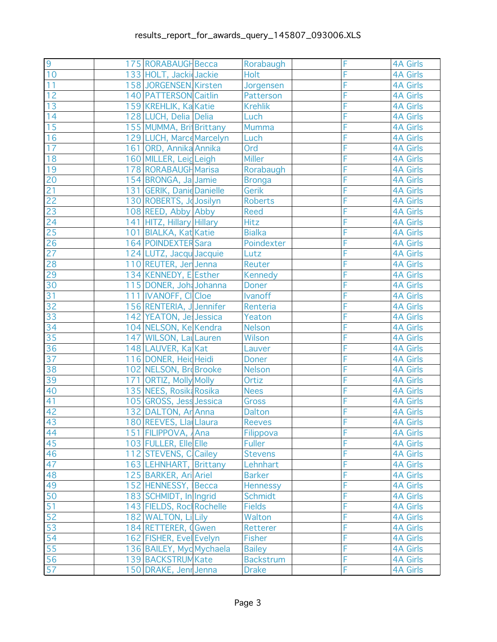| $\overline{9}$  | 175 RORABAUGH Becca       | Rorabaugh        | F | <b>4A Girls</b> |
|-----------------|---------------------------|------------------|---|-----------------|
| 10              | 133 HOLT, Jacki Jackie    | Holt             | F | <b>4A Girls</b> |
| 11              | 158 JORGENSEN Kirsten     | Jorgensen        | F | <b>4A Girls</b> |
| 12              | 140 PATTERSON Caitlin     | Patterson        | F | <b>4A Girls</b> |
| 13              | 159 KREHLIK, Ka Katie     | <b>Krehlik</b>   | F | <b>4A Girls</b> |
| 14              | 128 LUCH, Delia Delia     | Luch             | F | <b>4A Girls</b> |
| 15              | 155 MUMMA, BritBrittany   | Mumma            | F | <b>4A Girls</b> |
| 16              | 129 LUCH, Marce Marcelyn  | Luch             | F | <b>4A Girls</b> |
| 17              | 161 ORD, Annika Annika    | Ord              | F | <b>4A Girls</b> |
| $\overline{18}$ | 160 MILLER, LeigLeigh     | <b>Miller</b>    | F | <b>4A Girls</b> |
| 19              | 178 RORABAUGH Marisa      | Rorabaugh        | F | <b>4A Girls</b> |
| 20              | 154 BRONGA, Ja Jamie      | <b>Bronga</b>    | F | <b>4A Girls</b> |
| 21              | 131 GERIK, Danie Danielle | Gerik            | F | <b>4A Girls</b> |
| 22              | 130 ROBERTS, Josilyn      | <b>Roberts</b>   | F | <b>4A Girls</b> |
| 23              | 108 REED, Abby Abby       | <b>Reed</b>      | F | <b>4A Girls</b> |
| $\overline{24}$ | 141 HITZ, Hillary Hillary | <b>Hitz</b>      | F | <b>4A Girls</b> |
| 25              | 101 BIALKA, Kat Katie     | <b>Bialka</b>    | F | <b>4A Girls</b> |
| 26              | 164 POINDEXTER Sara       | Poindexter       | F | <b>4A Girls</b> |
| $\overline{27}$ | 124 LUTZ, Jacqu Jacquie   | Lutz             | F | <b>4A Girls</b> |
| 28              | 110 REUTER, Jen Jenna     | Reuter           | F | <b>4A Girls</b> |
| 29              | 134 KENNEDY, E Esther     | <b>Kennedy</b>   | F | <b>4A Girls</b> |
| $\overline{30}$ | 115 DONER, Joh Johanna    | <b>Doner</b>     | F | <b>4A Girls</b> |
| 31              | 111 IVANOFF, CICloe       | <b>Ivanoff</b>   | F | <b>4A Girls</b> |
| 32              | 156 RENTERIA, J Jennifer  | Renteria         | F | <b>4A Girls</b> |
| 33              | 142 YEATON, Je Jessica    | Yeaton           | F | <b>4A Girls</b> |
| 34              | 104 NELSON, Ke Kendra     | Nelson           | F | <b>4A Girls</b> |
| 35              | 147 WILSON, Lal Lauren    | Wilson           | F | <b>4A Girls</b> |
| 36              | 148 LAUVER, Ka Kat        | Lauver           | F | <b>4A Girls</b> |
| 37              | 116 DONER, Heid Heidi     | <b>Doner</b>     | F | <b>4A Girls</b> |
| 38              | 102 NELSON, Brd Brooke    | <b>Nelson</b>    | F | <b>4A Girls</b> |
| 39              | 171 ORTIZ, Molly Molly    | Ortiz            | F | <b>4A Girls</b> |
| 40              | 135 NEES, Rosik Rosika    | <b>Nees</b>      | F | <b>4A Girls</b> |
| 41              | 105 GROSS, Jess Jessica   | <b>Gross</b>     | F | <b>4A Girls</b> |
| 42              | 132 DALTON, Ar Anna       | <b>Dalton</b>    | F | <b>4A Girls</b> |
| $\overline{43}$ | 180 REEVES, Lla Llaura    | Reeves           |   | 4A Girls        |
|                 | 151 FILIPPOVA, Ana        | Filippova        | F | <b>4A Girls</b> |
| $\frac{44}{45}$ | 103 FULLER, Elle Elle     | <b>Fuller</b>    | F | <b>4A Girls</b> |
| 46              | 112 STEVENS, C Cailey     | <b>Stevens</b>   | F | <b>4A Girls</b> |
| 47              | 163 LEHNHART, Brittany    | Lehnhart         | F | <b>4A Girls</b> |
| 48              | 125 BARKER, Ari Ariel     | <b>Barker</b>    | F | <b>4A Girls</b> |
| 49              | 152 HENNESSY, Becca       | <b>Hennessy</b>  | F | <b>4A Girls</b> |
| 50              | 183 SCHMIDT, In Ingrid    | <b>Schmidt</b>   | F | <b>4A Girls</b> |
| 51              | 143 FIELDS, Roc Rochelle  | <b>Fields</b>    | F | <b>4A Girls</b> |
| 52              | 182 WALTON, Li Lily       | Walton           | F | <b>4A Girls</b> |
| 53              | 184 RETTERER, (Gwen       | Retterer         | F | <b>4A Girls</b> |
| $\overline{54}$ | 162 FISHER, Evel Evelyn   | <b>Fisher</b>    | F | <b>4A Girls</b> |
| 55              | 136 BAILEY, Myd Mychaela  | <b>Bailey</b>    | F | <b>4A Girls</b> |
| 56              | 139 BACKSTRUM Kate        | <b>Backstrum</b> | F | <b>4A Girls</b> |
| $\overline{57}$ | 150 DRAKE, Jenr Jenna     | <b>Drake</b>     | Ē | <b>4A Girls</b> |
|                 |                           |                  |   |                 |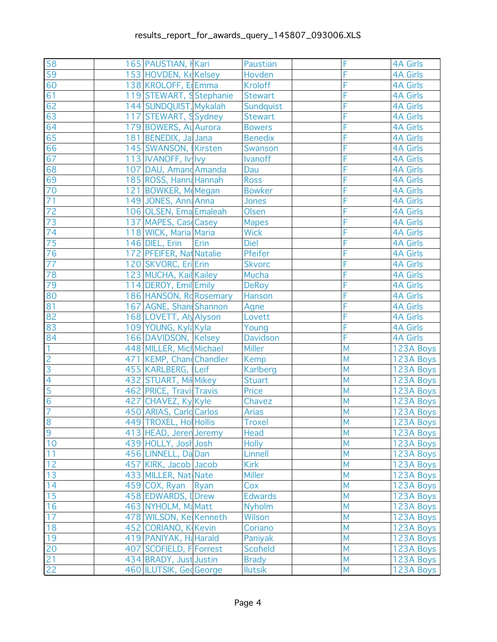| 58              | 165 PAUSTIAN, Kari       |      | Paustian        | F              | <b>4A Girls</b> |
|-----------------|--------------------------|------|-----------------|----------------|-----------------|
| 59              | 153 HOVDEN, KeKelsey     |      | Hovden          | F              | <b>4A Girls</b> |
| 60              | 138 KROLOFF, E Emma      |      | <b>Kroloff</b>  | F              | <b>4A Girls</b> |
| 61              | 119 STEWART, SStephanie  |      | <b>Stewart</b>  | F              | <b>4A Girls</b> |
| 62              | 144 SUNDQUIST, Mykalah   |      | Sundquist       | F              | <b>4A Girls</b> |
| 63              | 117 STEWART, Sydney      |      | <b>Stewart</b>  | F              | <b>4A Girls</b> |
| 64              | 179 BOWERS, Au Aurora    |      | <b>Bowers</b>   | F              | <b>4A Girls</b> |
| 65              | 181 BENEDIX, Ja Jana     |      | <b>Benedix</b>  | F              | <b>4A Girls</b> |
| 66              | 145 SWANSON, Kirsten     |      | Swanson         | F              | <b>4A Girls</b> |
| 67              | 113 IVANOFF, Iv Ivy      |      | Ivanoff         | F              | <b>4A Girls</b> |
| 68              | 107 DAU, Amand Amanda    |      | Dau             | F              | <b>4A Girls</b> |
| 69              | 185 ROSS, Hanna Hannah   |      | <b>Ross</b>     | F              | <b>4A Girls</b> |
| 70              | 121 BOWKER, M Megan      |      | <b>Bowker</b>   | F              | <b>4A Girls</b> |
| 71              | 149 JONES, Anna Anna     |      | Jones           | F              | <b>4A Girls</b> |
| 72              | 106 OLSEN, Ema Emaleah   |      | Olsen           | F              | <b>4A Girls</b> |
| $\overline{73}$ | 137 MAPES, Cas Casey     |      | <b>Mapes</b>    | F              | <b>4A Girls</b> |
| 74              | 118 WICK, Maria Maria    |      | <b>Wick</b>     | F              | <b>4A Girls</b> |
| 75              | 146 DIEL, Erin           | Erin | <b>Diel</b>     | F              | <b>4A Girls</b> |
| 76              | 172 PFEIFER, Nat Natalie |      | Pfeifer         | F              | <b>4A Girls</b> |
| 77              | 120 SKVORC, Eri Erin     |      | <b>Skvorc</b>   | F              | <b>4A Girls</b> |
| 78              | 123 MUCHA, Kail Kailey   |      | Mucha           | F              | <b>4A Girls</b> |
| 79              | 114 DEROY, Emil Emily    |      | <b>DeRoy</b>    | F              | <b>4A Girls</b> |
| 80              | 186 HANSON, Rd Rosemary  |      | Hanson          | F              | <b>4A Girls</b> |
| 81              | 167 AGNE, Shani Shannon  |      | Agne            | F              | <b>4A Girls</b> |
| 82              | 168 LOVETT, Aly Alyson   |      | Lovett          | F              | <b>4A Girls</b> |
| 83              | 109 YOUNG, Kyla Kyla     |      | Young           | F              | <b>4A Girls</b> |
| 84              | 166 DAVIDSON, Kelsey     |      | <b>Davidson</b> | F              | <b>4A Girls</b> |
| $\overline{1}$  | 448 MILLER, Mich Michael |      | <b>Miller</b>   | M              | 123A Boys       |
| $\overline{c}$  | 471 KEMP, Chand Chandler |      | Kemp            | M              | 123A Boys       |
| $\overline{3}$  | 455 KARLBERG, Leif       |      | Karlberg        | M              | 123A Boys       |
| $\overline{4}$  | 432 STUART, Mil Mikey    |      | <b>Stuart</b>   | M              | 123A Boys       |
| 5               | 462 PRICE, Travi: Travis |      | <b>Price</b>    | M              | 123A Boys       |
| $6\phantom{1}6$ | 427 CHAVEZ, Ky Kyle      |      | Chavez          | M              | 123A Boys       |
| $\overline{7}$  | 450 ARIAS, Carld Carlos  |      | <b>Arias</b>    | M              | 123A Boys       |
| $\overline{8}$  | 449 TROXEL, Hol Hollis   |      | <b>Troxel</b>   | $\overline{M}$ | 123A Boys       |
| 9               | 413 HEAD, Jeren Jeremy   |      | Head            | M              | 123A Boys       |
| 10              | 439 HOLLY, Josh Josh     |      | <b>Holly</b>    | M              | 123A Boys       |
| 11              | 456 LINNELL, Da Dan      |      | Linnell         | M              | 123A Boys       |
| 12              | 457 KIRK, Jacob Jacob    |      | <b>Kirk</b>     | M              | 123A Boys       |
| 13              | 433 MILLER, Nat Nate     |      | <b>Miller</b>   | M              | 123A Boys       |
| 14              | 459 COX, Ryan Ryan       |      | Cox             | M              | 123A Boys       |
| 15              | 458 EDWARDS, I Drew      |      | <b>Edwards</b>  | M              | 123A Boys       |
| 16              | 463 NYHOLM, MaMatt       |      | Nyholm          | M              | 123A Boys       |
| 17              | 478 WILSON, Ke Kenneth   |      | <b>Wilson</b>   | M              | 123A Boys       |
| 18              | 452 CORIANO, K Kevin     |      | Coriano         | M              | 123A Boys       |
| 19              | 419 PANIYAK, H& Harald   |      | Paniyak         | M              | 123A Boys       |
| 20              | 407 SCOFIELD, F Forrest  |      | <b>Scofield</b> | M              | 123A Boys       |
| 21              | 434 BRADY, Just Justin   |      | <b>Brady</b>    | M              | 123A Boys       |
| 22              | 460 ILUTSIK, GedGeorge   |      | <b>Ilutsik</b>  | M              | 123A Boys       |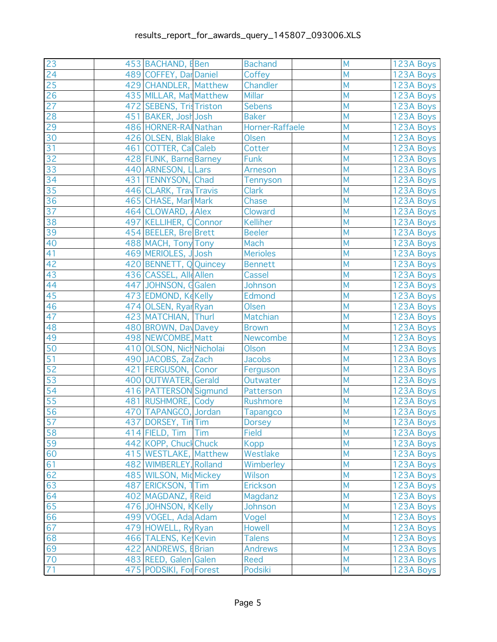| 23              | 453 BACHAND, EBen                         |     | <b>Bachand</b>     | M | 123A Boys |
|-----------------|-------------------------------------------|-----|--------------------|---|-----------|
| 24              | 489 COFFEY, Dar Daniel                    |     | Coffey             | M | 123A Boys |
| 25              | 429 CHANDLER, Matthew                     |     | Chandler           | M | 123A Boys |
| $\overline{26}$ | 435 MILLAR, Mat Matthew                   |     | <b>Millar</b>      | M | 123A Boys |
| 27              | 472 SEBENS, Tristriston                   |     | <b>Sebens</b>      | M | 123A Boys |
| 28              | 451 BAKER, Josh Josh                      |     | <b>Baker</b>       | M | 123A Boys |
| 29              | 486 HORNER-RAI Nathan                     |     | Horner-Raffaele    | M | 123A Boys |
| 30              | 426 OLSEN, Blak Blake                     |     | Olsen              | M | 123A Boys |
| 31              | 461 COTTER, Cal Caleb                     |     | Cotter             | M | 123A Boys |
| $\overline{32}$ | 428 FUNK, Barne Barney                    |     | <b>Funk</b>        | M | 123A Boys |
| 33              | 440 ARNESON, LLars                        |     | <b>Arneson</b>     | M | 123A Boys |
| 34              | 431 TENNYSON, Chad                        |     | <b>Tennyson</b>    | M | 123A Boys |
| 35              | 446 CLARK, Tray Travis                    |     | <b>Clark</b>       | M | 123A Boys |
| 36              | 465 CHASE, Marl Mark                      |     | Chase              | M | 123A Boys |
| 37              | 464 CLOWARD, Alex                         |     | Cloward            | M | 123A Boys |
| 38              | 497 KELLIHER, C Connor                    |     | <b>Kelliher</b>    | M | 123A Boys |
| 39              | 454 BEELER, Bre Brett                     |     | <b>Beeler</b>      | M | 123A Boys |
| 40              | 488 MACH, Tony Tony                       |     | Mach               | M | 123A Boys |
| 41              | 469 MERIOLES, JJosh                       |     | <b>Merioles</b>    | M | 123A Boys |
| 42              | 420 BENNETT, Q Quincey                    |     | <b>Bennett</b>     | M | 123A Boys |
| 43              | 436 CASSEL, Alle Allen                    |     | Cassel             | M | 123A Boys |
| 44              | 447 JOHNSON, GGalen                       |     | Johnson            | M | 123A Boys |
| 45              | 473 EDMOND, Ke Kelly                      |     | <b>Edmond</b>      | M | 123A Boys |
| 46              | 474 OLSEN, Ryar Ryan                      |     | Olsen              | M | 123A Boys |
| 47              | 423 MATCHIAN, Thurl                       |     | Matchian           | M | 123A Boys |
| 48              | 480 BROWN, Day Davey                      |     | <b>Brown</b>       | M | 123A Boys |
| 49              | 498 NEWCOMBE, Matt                        |     | Newcombe           | M | 123A Boys |
| 50              | 410 OLSON, Nich Nicholai                  |     | Olson              | M | 123A Boys |
| 51              | 490 JACOBS, Za Zach                       |     | <b>Jacobs</b>      | M | 123A Boys |
| 52              | 421 FERGUSON, Conor                       |     | Ferguson           | M | 123A Boys |
| 53              | 400 OUTWATER, Gerald                      |     | Outwater           | M | 123A Boys |
| 54              | 416 PATTERSON Sigmund                     |     | Patterson          | M | 123A Boys |
| 55              | 481 RUSHMORE, Cody                        |     | Rushmore           | M | 123A Boys |
| 56              | 470 TAPANGCO, Jordan                      |     | <b>Tapangco</b>    | M | 123A Boys |
| $\frac{1}{57}$  | 437 DORSEY, Tin Tim                       |     | <b>Dorsey</b>      | M | 123A Boys |
| 58              | 414 FIELD, Tim                            | Tim | <b>Field</b>       | M | 123A Boys |
| $\overline{59}$ | 442 KOPP, Chucl Chuck                     |     | <b>Kopp</b>        | M | 123A Boys |
| 60              | 415 WESTLAKE, Matthew                     |     | Westlake           | M | 123A Boys |
| 61              | 482 WIMBERLEY, Rolland                    |     | Wimberley          | M | 123A Boys |
| 62              | 485 WILSON, Mid Mickey                    |     | <b>Wilson</b>      | M | 123A Boys |
| 63              | 487 ERICKSON, 1Tim                        |     | Erickson           | M | 123A Boys |
| 64              |                                           |     |                    | M | 123A Boys |
| 65              | 402 MAGDANZ, FReid<br>476 JOHNSON, KKelly |     | Magdanz<br>Johnson | M | 123A Boys |
|                 | 499 VOGEL, Ada Adam                       |     |                    | M |           |
| 66<br>67        |                                           |     | Vogel              | M | 123A Boys |
|                 | 479 HOWELL, Ry Ryan                       |     | <b>Howell</b>      | M | 123A Boys |
| 68              | 466 TALENS, Ke Kevin                      |     | <b>Talens</b>      | M | 123A Boys |
| 69              | 422 ANDREWS, EBrian                       |     | <b>Andrews</b>     |   | 123A Boys |
| $70\,$          | 483 REED, Galen Galen                     |     | <b>Reed</b>        | M | 123A Boys |
| 71              | 475 PODSIKI, For Forest                   |     | Podsiki            | M | 123A Boys |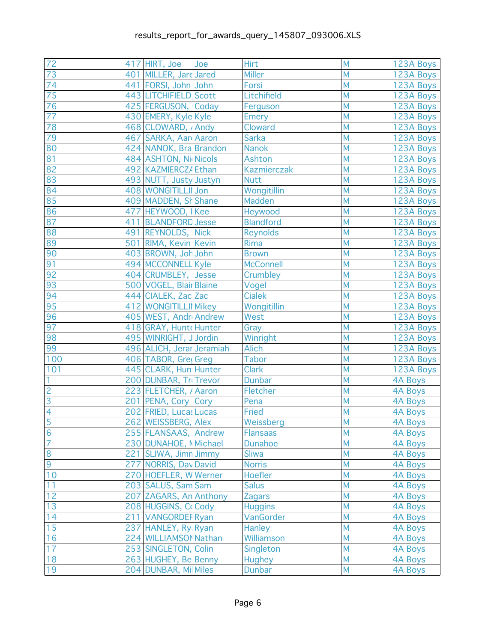| 72              | 417 HIRT, Joe             | Joe | Hirt<br><b>Miller</b> | M<br>M         | 123A Boys      |
|-----------------|---------------------------|-----|-----------------------|----------------|----------------|
| 73              | 401 MILLER, Jare Jared    |     |                       | M              | 123A Boys      |
| 74              | 441 FORSI, John John      |     | Forsi                 | M              | 123A Boys      |
| 75              | 443 LITCHIFIELD Scott     |     | Litchifield           |                | 123A Boys      |
| 76              | 425 FERGUSON, Coday       |     | Ferguson              | M              | 123A Boys      |
| $\overline{77}$ | 430 EMERY, Kyle Kyle      |     | <b>Emery</b>          | M              | 123A Boys      |
| 78              | 468 CLOWARD, Andy         |     | Cloward               | M              | 123A Boys      |
| 79              | 467 SARKA, Aard Aaron     |     | <b>Sarka</b>          | M              | 123A Boys      |
| 80              | 424 NANOK, Bra Brandon    |     | <b>Nanok</b>          | M              | 123A Boys      |
| 81              | 484 ASHTON, Nicols        |     | Ashton                | M              | 123A Boys      |
| 82              | 492 KAZMIERCZĄ Ethan      |     | <b>Kazmierczak</b>    | M              | 123A Boys      |
| 83              | 493 NUTT, Justy Justyn    |     | <b>Nutt</b>           | M              | 123A Boys      |
| 84              | 408 WONGITILLII Jon       |     | Wongitillin           | M              | 123A Boys      |
| 85              | 409 MADDEN, SH Shane      |     | Madden                | M              | 123A Boys      |
| 86              | 477 HEYWOOD, Kee          |     | Heywood               | M              | 123A Boys      |
| 87              | 411 BLANDFORD Jesse       |     | <b>Blandford</b>      | M              | 123A Boys      |
| 88              | 491 REYNOLDS, Nick        |     | <b>Reynolds</b>       | M              | 123A Boys      |
| 89              | 501 RIMA, Kevin Kevin     |     | Rima                  | M              | 123A Boys      |
| 90              | 403 BROWN, Joh John       |     | <b>Brown</b>          | M              | 123A Boys      |
| 91              | 494 MCCONNELL Kyle        |     | <b>McConnell</b>      | M              | 123A Boys      |
| 92              | 404 CRUMBLEY, Jesse       |     | Crumbley              | M              | 123A Boys      |
| 93              | 500 VOGEL, Blair Blaine   |     | Vogel                 | M              | 123A Boys      |
| 94              | 444 CIALEK, Zac Zac       |     | <b>Cialek</b>         | M              | 123A Boys      |
| 95              | 412 WONGITILLI Mikey      |     | Wongitillin           | M              | 123A Boys      |
| 96              | 405 WEST, Andr Andrew     |     | West                  | M              | 123A Boys      |
| 97              | 418 GRAY, Hunte Hunter    |     | Gray                  | M              | 123A Boys      |
| 98              | 495 WINRIGHT, JJordin     |     | Winright              | M              | 123A Boys      |
| 99              | 496 ALICH, Jerar Jeramiah |     | <b>Alich</b>          | M              | 123A Boys      |
| 100             | 406 TABOR, GredGreg       |     | <b>Tabor</b>          | M              | 123A Boys      |
| 101             | 445 CLARK, Hun Hunter     |     | <b>Clark</b>          | M              | 123A Boys      |
| 1               | 200 DUNBAR, Tr Trevor     |     | <b>Dunbar</b>         | M              | 4A Boys        |
| $\overline{c}$  | 223 FLETCHER, Aaron       |     | Fletcher              | M              | <b>4A Boys</b> |
| $\overline{3}$  | 201 PENA, Cory Cory       |     | Pena                  | M              | <b>4A Boys</b> |
| $\overline{4}$  | 202 FRIED, Lucas Lucas    |     | Fried                 | M              | <b>4A Boys</b> |
| $\frac{5}{6}$   | 262 WEISSBERG, Alex       |     | Weissberg             | $\overline{M}$ | 4A Boys        |
|                 | 255 FLANSAAS, Andrew      |     | <b>Flansaas</b>       | M              | 4A Boys        |
| $\overline{7}$  | 230 DUNAHOE, N Michael    |     | <b>Dunahoe</b>        | M              | <b>4A Boys</b> |
| $\overline{8}$  | 221 SLIWA, Jimn Jimmy     |     | <b>Sliwa</b>          | M              | <b>4A Boys</b> |
| 9               | 277 NORRIS, Day David     |     | <b>Norris</b>         | M              | <b>4A Boys</b> |
| 10              | 270 HOEFLER, W Werner     |     | Hoefler               | M              | <b>4A Boys</b> |
| 11              | 203 SALUS, Sam Sam        |     | <b>Salus</b>          | M              | <b>4A Boys</b> |
| 12              | 207 ZAGARS, An Anthony    |     | <b>Zagars</b>         | M              | <b>4A Boys</b> |
| 13              | 208 HUGGINS, Cocody       |     | <b>Huggins</b>        | M              | <b>4A Boys</b> |
| 14              | 211 VANGORDER Ryan        |     | VanGorder             | M              | <b>4A Boys</b> |
| 15              | 237 HANLEY, Ry Ryan       |     | Hanley                | M              | <b>4A Boys</b> |
| 16              | 224 WILLIAMSON Nathan     |     | Williamson            | M              | <b>4A Boys</b> |
| 17              | 253 SINGLETON, Colin      |     | Singleton             | M              | 4A Boys        |
| 18              | 263 HUGHEY, Be Benny      |     | <b>Hughey</b>         | M              | 4A Boys        |
| 19              | 204 DUNBAR, Mil Miles     |     | <b>Dunbar</b>         | M              | 4A Boys        |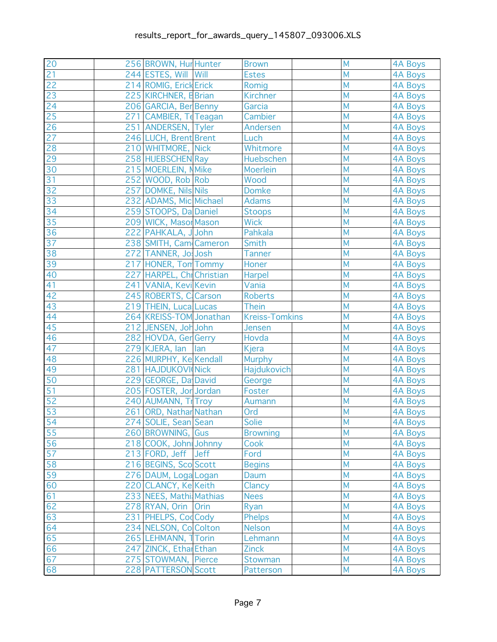| 20              | 256 BROWN, Hur Hunter     | <b>Brown</b>          | M              | <b>4A Boys</b> |
|-----------------|---------------------------|-----------------------|----------------|----------------|
| 21              | 244 ESTES, Will Will      | <b>Estes</b>          | M              | <b>4A Boys</b> |
| 22              | 214 ROMIG, Erick Erick    | Romig                 | M              | <b>4A Boys</b> |
| $\overline{23}$ | 225 KIRCHNER, B Brian     | <b>Kirchner</b>       | M              | 4A Boys        |
| 24              | 206 GARCIA, Ber Benny     | Garcia                | M              | <b>4A Boys</b> |
| 25              | 271 CAMBIER, TeTeagan     | Cambier               | M              | 4A Boys        |
| 26              | 251 ANDERSEN, Tyler       | Andersen              | M              | <b>4A Boys</b> |
| 27              | 246 LUCH, Brent Brent     | Luch                  | M              | <b>4A Boys</b> |
| 28              | 210 WHITMORE, Nick        | Whitmore              | M              | <b>4A Boys</b> |
| 29              | 258 HUEBSCHEN Ray         | Huebschen             | M              | 4A Boys        |
| 30              | 215 MOERLEIN, NMike       | <b>Moerlein</b>       | M              | 4A Boys        |
| 31              | 252 WOOD, Rob Rob         | Wood                  | M              | 4A Boys        |
| 32              | 257 DOMKE, Nils Nils      | <b>Domke</b>          | M              | 4A Boys        |
| 33              | 232 ADAMS, Mic Michael    | <b>Adams</b>          | M              | 4A Boys        |
| 34              | 259 STOOPS, Da Daniel     | <b>Stoops</b>         | M              | 4A Boys        |
| 35              | 209 WICK, Masor Mason     | <b>Wick</b>           | M              | 4A Boys        |
| 36              | 222 PAHKALA, JJohn        | Pahkala               | M              | <b>4A Boys</b> |
| 37              | 238 SMITH, Cam Cameron    | Smith                 | M              | <b>4A Boys</b> |
| 38              | 272 TANNER, Jo Josh       | <b>Tanner</b>         | M              | <b>4A Boys</b> |
| 39              | 217 HONER, Ton Tommy      | Honer                 | M              | <b>4A Boys</b> |
| 40              | 227 HARPEL, Chi Christian | Harpel                | M              | <b>4A Boys</b> |
| 41              | 241 VANIA, Kevi Kevin     | Vania                 | M              | 4A Boys        |
| 42              | 245 ROBERTS, C Carson     | <b>Roberts</b>        | M              | 4A Boys        |
| 43              | 219 THEIN, Luca Lucas     | <b>Thein</b>          | M              | <b>4A Boys</b> |
| 44              | 264 KREISS-TOM Jonathan   | <b>Kreiss-Tomkins</b> | M              | 4A Boys        |
| 45              | 212 JENSEN, Joh John      | Jensen                | M              | <b>4A Boys</b> |
| 46              | 282 HOVDA, Ger Gerry      | Hovda                 | M              | <b>4A Boys</b> |
| 47              | 279 KJERA, lan<br> lan    | Kjera                 | M              | 4A Boys        |
| 48              | 226 MURPHY, Ke Kendall    | <b>Murphy</b>         | M              | <b>4A Boys</b> |
| 49              | 281 HAJDUKOVI Nick        | Hajdukovich           | M              | <b>4A Boys</b> |
| 50              | 229 GEORGE, Da David      | George                | M              | 4A Boys        |
| 51              | 205 FOSTER, Jor Jordan    | Foster                | M              | <b>4A Boys</b> |
| 52              | 240 AUMANN, Tr Troy       | Aumann                | M              | <b>4A Boys</b> |
| 53              | 261 ORD, Nathar Nathan    | Ord                   | M              | <b>4A Boys</b> |
| $\frac{1}{54}$  | 274 SOLIE, Sean Sean      | Solie                 | $\overline{M}$ | 4A Boys        |
| 55              | 260 BROWNING, Gus         | <b>Browning</b>       | M              | 4A Boys        |
| 56              | 218 COOK, John Johnny     | Cook                  | M              | <b>4A Boys</b> |
| 57              | 213 FORD, Jeff Jeff       | Ford                  | M              | <b>4A Boys</b> |
| 58              | 216 BEGINS, Sco Scott     | <b>Begins</b>         | M              | <b>4A Boys</b> |
| 59              | 276 DAUM, Loga Logan      | Daum                  | M              | <b>4A Boys</b> |
| 60              | 220 CLANCY, Ke Keith      | Clancy                | M              | <b>4A Boys</b> |
| 61              | 233 NEES, Mathi Mathias   | <b>Nees</b>           | M              | <b>4A Boys</b> |
| 62              | 278 RYAN, Orin Orin       | Ryan                  | M              | <b>4A Boys</b> |
| 63              | 231 PHELPS, CodCody       | <b>Phelps</b>         | M              | <b>4A Boys</b> |
| 64              |                           |                       | M              |                |
| 65              | 234 NELSON, Co Colton     | <b>Nelson</b>         | M              | <b>4A Boys</b> |
| 66              | 265 LEHMANN, 1 Torin      | Lehmann               | M              | <b>4A Boys</b> |
|                 | 247 ZINCK, Ethal Ethan    | <b>Zinck</b>          |                | <b>4A Boys</b> |
| 67              | 275 STOWMAN, Pierce       | Stowman               | M              | <b>4A Boys</b> |
| 68              | 228 PATTERSON Scott       | Patterson             | M              | <b>4A Boys</b> |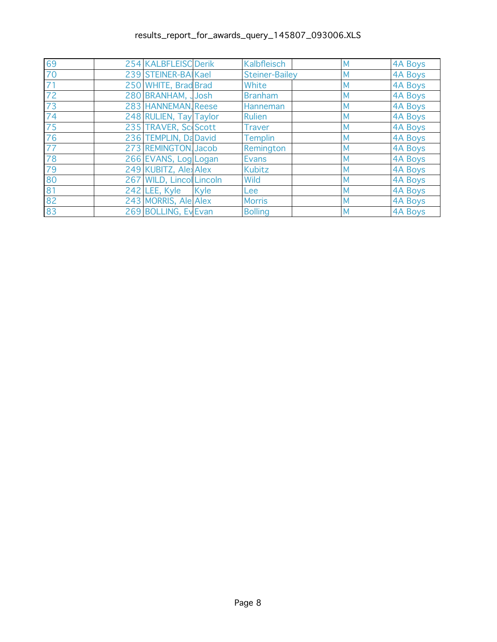| 69              | 254 KALBFLEISC Derik     |      | Kalbfleisch           | M | <b>4A Boys</b> |
|-----------------|--------------------------|------|-----------------------|---|----------------|
| 70              | 239 STEINER-BAIKael      |      | <b>Steiner-Bailey</b> | M | 4A Boys        |
| $\overline{71}$ | 250 WHITE, Brad Brad     |      | White                 | M | 4A Boys        |
| 72              | 280 BRANHAM, JJosh       |      | <b>Branham</b>        | M | 4A Boys        |
| 73              | 283 HANNEMAN, Reese      |      | Hanneman              | M | 4A Boys        |
| 74              | 248 RULIEN, Tay Taylor   |      | <b>Rulien</b>         | M | 4A Boys        |
| 75              | 235 TRAVER, Sc Scott     |      | <b>Traver</b>         | M | 4A Boys        |
| 76              | 236 TEMPLIN, Da David    |      | <b>Templin</b>        | M | 4A Boys        |
| $\overline{77}$ | 273 REMINGTON Jacob      |      | Remington             | M | 4A Boys        |
| 78              | 266 EVANS, Log Logan     |      | <b>Evans</b>          | M | 4A Boys        |
| 79              | 249 KUBITZ, Alex Alex    |      | <b>Kubitz</b>         | M | 4A Boys        |
| 80              | 267 WILD, Lincol Lincoln |      | Wild                  | M | 4A Boys        |
| 81              | 242 LEE, Kyle            | Kyle | Lee                   | M | <b>4A Boys</b> |
| 82              | 243 MORRIS, Ale Alex     |      | <b>Morris</b>         | M | 4A Boys        |
| 83              | 269 BOLLING, Ev Evan     |      | <b>Bolling</b>        | M | 4A Boys        |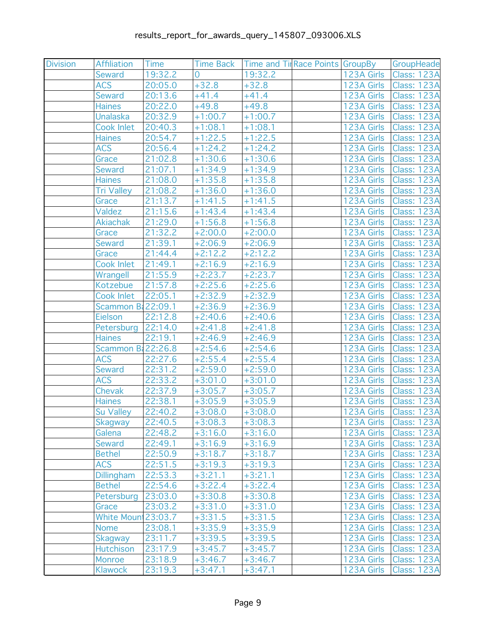| <b>Division</b> | Affiliation        | Time    | <b>Time Back</b> | Time and Tir Race Points GroupBy |            | GroupHeade               |
|-----------------|--------------------|---------|------------------|----------------------------------|------------|--------------------------|
|                 | <b>Seward</b>      | 19:32.2 | 0                | 19:32.2                          |            | 123A Girls   Class: 123A |
|                 | <b>ACS</b>         | 20:05.0 | $+32.8$          | $+32.8$                          |            | 123A Girls   Class: 123A |
|                 | <b>Seward</b>      | 20:13.6 | $+41.4$          | $+41.4$                          |            | 123A Girls   Class: 123A |
|                 | <b>Haines</b>      | 20:22.0 | $+49.8$          | $+49.8$                          | 123A Girls | <b>Class: 123A</b>       |
|                 | <b>Unalaska</b>    | 20:32.9 | $+1:00.7$        | $+1:00.7$                        | 123A Girls | <b>Class: 123A</b>       |
|                 | Cook Inlet         | 20:40.3 | $+1:08.1$        | $+1:08.1$                        |            | 123A Girls   Class: 123A |
|                 | <b>Haines</b>      | 20:54.7 | $+1:22.5$        | $+1:22.5$                        |            | 123A Girls   Class: 123A |
|                 | <b>ACS</b>         | 20:56.4 | $+1:24.2$        | $+1:24.2$                        |            | 123A Girls   Class: 123A |
|                 | Grace              | 21:02.8 | $+1:30.6$        | $+1:30.6$                        |            | 123A Girls   Class: 123A |
|                 | <b>Seward</b>      | 21:07.1 | $+1:34.9$        | $+1:34.9$                        |            | 123A Girls   Class: 123A |
|                 | Haines             | 21:08.0 | $+1:35.8$        | $+1:35.8$                        | 123A Girls | <b>Class: 123A</b>       |
|                 | <b>Tri Valley</b>  | 21:08.2 | $+1:36.0$        | $+1:36.0$                        |            | 123A Girls   Class: 123A |
|                 | Grace              | 21:13.7 | $+1:41.5$        | $+1:41.5$                        |            | 123A Girls   Class: 123A |
|                 | Valdez             | 21:15.6 | $+1:43.4$        | $+1:43.4$                        |            | 123A Girls   Class: 123A |
|                 | <b>Akiachak</b>    | 21:29.0 | $+1:56.8$        | $+1:56.8$                        |            | 123A Girls   Class: 123A |
|                 | Grace              | 21:32.2 | $+2:00.0$        | $+2:00.0$                        | 123A Girls | Class: 123A              |
|                 | <b>Seward</b>      | 21:39.1 | $+2:06.9$        | $+2:06.9$                        | 123A Girls | <b>Class: 123A</b>       |
|                 | Grace              | 21:44.4 | $+2:12.2$        | $+2:12.2$                        |            | 123A Girls   Class: 123A |
|                 | Cook Inlet         | 21:49.1 | $+2:16.9$        | $+2:16.9$                        |            | 123A Girls   Class: 123A |
|                 | Wrangell           | 21:55.9 | $+2:23.7$        | $+2:23.7$                        |            | 123A Girls   Class: 123A |
|                 | Kotzebue           | 21:57.8 | $+2:25.6$        | $+2:25.6$                        |            | 123A Girls   Class: 123A |
|                 | Cook Inlet         | 22:05.1 | $+2:32.9$        | $+2:32.9$                        | 123A Girls | Class: 123A              |
|                 | Scammon B: 22:09.1 |         | $+2:36.9$        | $+2:36.9$                        | 123A Girls | <b>Class: 123A</b>       |
|                 | Eielson            | 22:12.8 | $+2:40.6$        | $+2:40.6$                        |            | 123A Girls   Class: 123A |
|                 | Petersburg 22:14.0 |         | $+2:41.8$        | $+2:41.8$                        |            | 123A Girls   Class: 123A |
|                 | <b>Haines</b>      | 22:19.1 | $+2:46.9$        | $+2:46.9$                        |            | 123A Girls   Class: 123A |
|                 | Scammon B: 22:26.8 |         | $+2:54.6$        | $+2:54.6$                        |            | 123A Girls   Class: 123A |
|                 | <b>ACS</b>         | 22:27.6 | $+2:55.4$        | $+2:55.4$                        | 123A Girls | <b>Class: 123A</b>       |
|                 | <b>Seward</b>      | 22:31.2 | $+2:59.0$        | $+2:59.0$                        | 123A Girls | <b>Class: 123A</b>       |
|                 | <b>ACS</b>         | 22:33.2 | $+3:01.0$        | $+3:01.0$                        |            | 123A Girls   Class: 123A |
|                 | Chevak             | 22:37.9 | $+3:05.7$        | $+3:05.7$                        |            | 123A Girls   Class: 123A |
|                 | <b>Haines</b>      | 22:38.1 | $+3:05.9$        | $+3:05.9$                        |            | 123A Girls   Class: 123A |
|                 | Su Valley          | 22:40.2 | $+3:08.0$        | $+3:08.0$                        |            | 123A Girls   Class: 123A |
|                 | Skagway            | 22:40.5 | $+3:08.3$        | $+3:08.3$                        |            | 123A Girls Class: 123A   |
|                 | Galena             | 22:48.2 | $+3:16.0$        | $+3:16.0$                        | 123A Girls | Class: 123A              |
|                 | <b>Seward</b>      | 22:49.1 | $+3:16.9$        | $+3:16.9$                        | 123A Girls | Class: 123A              |
|                 | <b>Bethel</b>      | 22:50.9 | $+3:18.7$        | $+3:18.7$                        | 123A Girls | <b>Class: 123A</b>       |
|                 | <b>ACS</b>         | 22:51.5 | $+3:19.3$        | $+3:19.3$                        | 123A Girls | Class: 123A              |
|                 | Dillingham         | 22:53.3 | $+3:21.1$        | $+3:21.1$                        | 123A Girls | Class: 123A              |
|                 | <b>Bethel</b>      | 22:54.6 | $+3:22.4$        | $+3:22.4$                        | 123A Girls | <b>Class: 123A</b>       |
|                 | Petersburg         | 23:03.0 | $+3:30.8$        | $+3:30.8$                        | 123A Girls | <b>Class: 123A</b>       |
|                 | Grace              | 23:03.2 | $+3:31.0$        | $+3:31.0$                        | 123A Girls | <b>Class: 123A</b>       |
|                 | White Moun 23:03.7 |         | $+3:31.5$        | $+3:31.5$                        | 123A Girls | <b>Class: 123A</b>       |
|                 | <b>Nome</b>        | 23:08.1 | $+3:35.9$        | $+3:35.9$                        | 123A Girls | <b>Class: 123A</b>       |
|                 | <b>Skagway</b>     | 23:11.7 | $+3:39.5$        | $+3:39.5$                        | 123A Girls | <b>Class: 123A</b>       |
|                 | <b>Hutchison</b>   | 23:17.9 | $+3:45.7$        | $+3:45.7$                        | 123A Girls | <b>Class: 123A</b>       |
|                 | Monroe             | 23:18.9 | $+3:46.7$        | $+3:46.7$                        | 123A Girls | <b>Class: 123A</b>       |
|                 | <b>Klawock</b>     | 23:19.3 | $+3:47.1$        | $+3:47.1$                        | 123A Girls | <b>Class: 123A</b>       |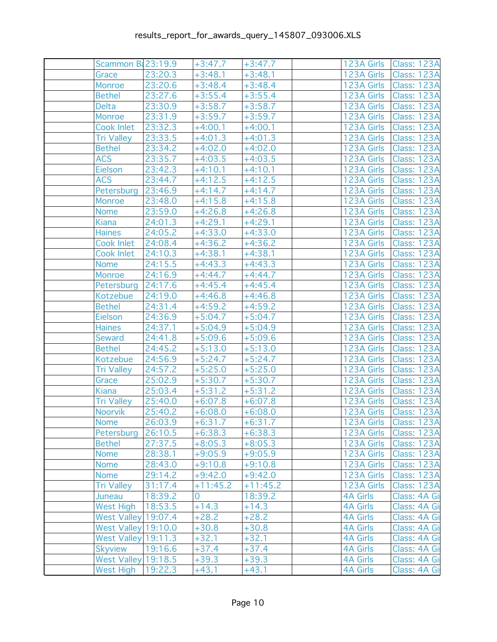| Scammon B: 23:19.9         |         | $+3:47.7$  | $+3:47.7$  |                 | 123A Girls   Class: 123A |
|----------------------------|---------|------------|------------|-----------------|--------------------------|
| Grace                      | 23:20.3 | $+3:48.1$  | $+3:48.1$  | 123A Girls      | Class: 123A              |
| Monroe                     | 23:20.6 | $+3:48.4$  | $+3:48.4$  | 123A Girls      | Class: 123A              |
| <b>Bethel</b>              | 23:27.6 | $+3:55.4$  | $+3:55.4$  | 123A Girls      | Class: 123A              |
| Delta                      | 23:30.9 | $+3:58.7$  | $+3:58.7$  | 123A Girls      | <b>Class: 123A</b>       |
| Monroe                     | 23:31.9 | $+3:59.7$  | $+3:59.7$  | 123A Girls      | <b>Class: 123A</b>       |
| Cook Inlet                 | 23:32.3 | $+4:00.1$  | $+4:00.1$  | 123A Girls      | Class: 123A              |
| <b>Tri Valley</b>          | 23:33.5 | $+4:01.3$  | $+4:01.3$  | 123A Girls      | <b>Class: 123A</b>       |
| <b>Bethel</b>              | 23:34.2 | $+4:02.0$  | $+4:02.0$  | 123A Girls      | Class: 123A              |
| <b>ACS</b>                 | 23:35.7 | $+4:03.5$  | $+4:03.5$  | 123A Girls      | Class: 123A              |
| Eielson                    | 23:42.3 | $+4:10.1$  | $+4:10.1$  | 123A Girls      | <b>Class: 123A</b>       |
| <b>ACS</b>                 | 23:44.7 | $+4:12.5$  | $+4:12.5$  | 123A Girls      | <b>Class: 123A</b>       |
| Petersburg                 | 23:46.9 | $+4:14.7$  | $+4:14.7$  | 123A Girls      | Class: 123A              |
| Monroe                     | 23:48.0 | $+4:15.8$  | $+4:15.8$  | 123A Girls      | Class: 123A              |
| Nome                       | 23:59.0 | $+4:26.8$  | $+4:26.8$  | 123A Girls      | Class: 123A              |
| Kiana                      | 24:01.3 | $+4:29.1$  | $+4:29.1$  | 123A Girls      | Class: 123A              |
| <b>Haines</b>              | 24:05.2 | $+4:33.0$  | $+4:33.0$  | 123A Girls      | <b>Class: 123A</b>       |
| Cook Inlet                 | 24:08.4 | $+4:36.2$  | $+4:36.2$  | 123A Girls      | <b>Class: 123A</b>       |
| Cook Inlet                 | 24:10.3 | $+4:38.1$  | $+4:38.1$  | 123A Girls      | Class: 123A              |
| <b>Nome</b>                | 24:15.5 | $+4:43.3$  | $+4:43.3$  | 123A Girls      | <b>Class: 123A</b>       |
| Monroe                     | 24:16.9 | $+4:44.7$  | $+4:44.7$  | 123A Girls      | Class: 123A              |
| Petersburg                 | 24:17.6 | $+4:45.4$  | $+4:45.4$  | 123A Girls      | Class: 123A              |
| Kotzebue                   | 24:19.0 | $+4:46.8$  | $+4:46.8$  | 123A Girls      | <b>Class: 123A</b>       |
| <b>Bethel</b>              | 24:31.4 | $+4:59.2$  | $+4:59.2$  | 123A Girls      | <b>Class: 123A</b>       |
| Eielson                    | 24:36.9 | $+5:04.7$  | $+5:04.7$  | 123A Girls      | Class: 123A              |
| <b>Haines</b>              | 24:37.1 | $+5:04.9$  | $+5:04.9$  | 123A Girls      | Class: 123A              |
| Seward                     | 24:41.8 | $+5:09.6$  | $+5:09.6$  | 123A Girls      | Class: 123A              |
| <b>Bethel</b>              | 24:45.2 | $+5:13.0$  | $+5:13.0$  | 123A Girls      | Class: 123A              |
| Kotzebue                   | 24:56.9 | $+5:24.7$  | $+5:24.7$  | 123A Girls      | <b>Class: 123A</b>       |
| Tri Valley                 | 24:57.2 | $+5:25.0$  | $+5:25.0$  | 123A Girls      | <b>Class: 123A</b>       |
| Grace                      | 25:02.9 | $+5:30.7$  | $+5:30.7$  | 123A Girls      | Class: 123A              |
| Kiana                      | 25:03.4 | $+5:31.2$  | $+5:31.2$  | 123A Girls      | <b>Class: 123A</b>       |
| <b>Tri Valley</b>          | 25:40.0 | $+6:07.8$  | $+6:07.8$  | 123A Girls      | Class: 123A              |
| Noorvik                    | 25:40.2 | $+6:08.0$  | $+6:08.0$  | 123A Girls      | Class: 123A              |
| Nome                       | 26:03.9 | $+6:31.7$  | $+6:31.7$  | 123A Girls      | Class: 123A              |
| Petersburg                 | 26:10.5 | $+6:38.3$  | $+6:38.3$  | 123A Girls      | <b>Class: 123A</b>       |
| <b>Bethel</b>              | 27:37.5 | $+8:05.3$  | $+8:05.3$  | 123A Girls      | Class: 123A              |
| <b>Nome</b>                | 28:38.1 | $+9:05.9$  | $+9:05.9$  | 123A Girls      | <b>Class: 123A</b>       |
| <b>Nome</b>                | 28:43.0 | $+9:10.8$  | $+9:10.8$  | 123A Girls      | Class: 123A              |
| Nome                       | 29:14.2 | $+9:42.0$  | $+9:42.0$  | 123A Girls      | Class: 123A              |
| <b>Tri Valley</b>          | 31:17.4 | $+11:45.2$ | $+11:45.2$ | 123A Girls      | <b>Class: 123A</b>       |
| Juneau                     | 18:39.2 | 0          | 18:39.2    | <b>4A Girls</b> | Class: 4A Gi             |
| <b>West High</b>           | 18:53.5 | $+14.3$    | $+14.3$    | <b>4A Girls</b> | Class: 4A Gi             |
| West Valley 19:07.4        |         | $+28.2$    | $+28.2$    | <b>4A Girls</b> | Class: 4A Gi             |
| <b>West Valley 19:10.0</b> |         | $+30.8$    | $+30.8$    | <b>4A Girls</b> | Class: 4A Gi             |
| West Valley 19:11.3        |         | $+32.1$    | $+32.1$    | <b>4A Girls</b> | Class: 4A Gi             |
| <b>Skyview</b>             | 19:16.6 | $+37.4$    | $+37.4$    | <b>4A Girls</b> | Class: 4A Gi             |
| <b>West Valley 19:18.5</b> |         | $+39.3$    | $+39.3$    | <b>4A Girls</b> | Class: 4A Gi             |
| <b>West High</b>           | 19:22.3 | $+43.1$    | $+43.1$    | <b>4A Girls</b> | Class: 4A Gi             |
|                            |         |            |            |                 |                          |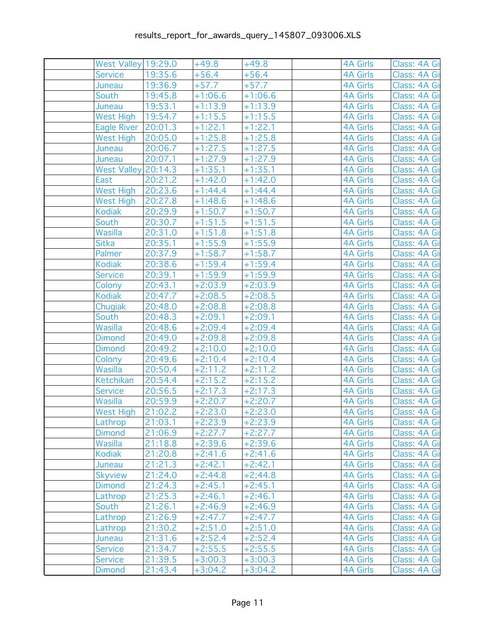| West Valley 19:29.0 |         | $+49.8$   | $+49.8$   | <b>4A Girls</b> | Class: 4A Gi |
|---------------------|---------|-----------|-----------|-----------------|--------------|
| <b>Service</b>      | 19:35.6 | $+56.4$   | $+56.4$   | <b>4A Girls</b> | Class: 4A Gi |
| Juneau              | 19:36.9 | $+57.7$   | $+57.7$   | <b>4A Girls</b> | Class: 4A Gi |
| South               | 19:45.8 | $+1:06.6$ | $+1:06.6$ | <b>4A Girls</b> | Class: 4A Gi |
| Juneau              | 19:53.1 | $+1:13.9$ | $+1:13.9$ | <b>4A Girls</b> | Class: 4A Gi |
| West High           | 19:54.7 | $+1:15.5$ | $+1:15.5$ | <b>4A Girls</b> | Class: 4A Gi |
| Eagle River 20:01.3 |         | $+1:22.1$ | $+1:22.1$ | <b>4A Girls</b> | Class: 4A Gi |
| West High           | 20:05.0 | $+1:25.8$ | $+1:25.8$ | <b>4A Girls</b> | Class: 4A Gi |
| Juneau              | 20:06.7 | $+1:27.5$ | $+1:27.5$ | <b>4A Girls</b> | Class: 4A Gi |
| Juneau              | 20:07.1 | $+1:27.9$ | $+1:27.9$ | <b>4A Girls</b> | Class: 4A Gi |
| West Valley 20:14.3 |         | $+1:35.1$ | $+1:35.1$ | <b>4A Girls</b> | Class: 4A Gi |
| East                | 20:21.2 | $+1:42.0$ | $+1:42.0$ | <b>4A Girls</b> | Class: 4A Gi |
| <b>West High</b>    | 20:23.6 | $+1:44.4$ | $+1:44.4$ | <b>4A Girls</b> | Class: 4A Gi |
| West High           | 20:27.8 | $+1:48.6$ | $+1:48.6$ | <b>4A Girls</b> | Class: 4A Gi |
| <b>Kodiak</b>       | 20:29.9 | $+1:50.7$ | $+1:50.7$ | <b>4A Girls</b> | Class: 4A Gi |
| South               | 20:30.7 | $+1:51.5$ | $+1:51.5$ | <b>4A Girls</b> | Class: 4A Gi |
| Wasilla             | 20:31.0 | $+1:51.8$ | $+1:51.8$ | <b>4A Girls</b> | Class: 4A Gi |
| <b>Sitka</b>        | 20:35.1 | $+1:55.9$ | $+1:55.9$ | <b>4A Girls</b> | Class: 4A Gi |
| Palmer              | 20:37.9 | $+1:58.7$ | $+1:58.7$ | <b>4A Girls</b> | Class: 4A Gi |
| <b>Kodiak</b>       | 20:38.6 | $+1:59.4$ | $+1:59.4$ | <b>4A Girls</b> | Class: 4A Gi |
| <b>Service</b>      | 20:39.1 | $+1:59.9$ | $+1:59.9$ | <b>4A Girls</b> | Class: 4A Gi |
| Colony              | 20:43.1 | $+2:03.9$ | $+2:03.9$ | <b>4A Girls</b> | Class: 4A Gi |
| <b>Kodiak</b>       | 20:47.7 | $+2:08.5$ | $+2:08.5$ | <b>4A Girls</b> | Class: 4A Gi |
| Chugiak             | 20:48.0 | $+2:08.8$ | $+2:08.8$ | <b>4A Girls</b> | Class: 4A Gi |
| South               | 20:48.3 | $+2:09.1$ | $+2:09.1$ | <b>4A Girls</b> | Class: 4A Gi |
| Wasilla             | 20:48.6 | $+2:09.4$ | $+2:09.4$ | <b>4A Girls</b> | Class: 4A Gi |
| <b>Dimond</b>       | 20:49.0 | $+2:09.8$ | $+2:09.8$ | <b>4A Girls</b> | Class: 4A Gi |
| <b>Dimond</b>       | 20:49.2 | $+2:10.0$ | $+2:10.0$ | <b>4A Girls</b> | Class: 4A Gi |
| Colony              | 20:49.6 | $+2:10.4$ | $+2:10.4$ | <b>4A Girls</b> | Class: 4A Gi |
| Wasilla             | 20:50.4 | $+2:11.2$ | $+2:11.2$ | <b>4A Girls</b> | Class: 4A Gi |
| Ketchikan           | 20:54.4 | $+2:15.2$ | $+2:15.2$ | <b>4A Girls</b> | Class: 4A Gi |
| <b>Service</b>      | 20:56.5 | $+2:17.3$ | $+2:17.3$ | <b>4A Girls</b> | Class: 4A Gi |
| Wasilla             | 20:59.9 | $+2:20.7$ | $+2:20.7$ | <b>4A Girls</b> | Class: 4A Gi |
| West High           | 21:02.2 | $+2:23.0$ | $+2:23.0$ | <b>4A Girls</b> | Class: 4A Gi |
| Lathrop             | 21:03.1 | $+2:23.9$ | $+2:23.9$ | 4A Girls        | Class: 4A Gi |
| <b>Dimond</b>       | 21:06.9 | $+2:27.7$ | $+2:27.7$ | <b>4A Girls</b> | Class: 4A Gi |
| Wasilla             | 21:18.8 | $+2:39.6$ | $+2:39.6$ | <b>4A Girls</b> | Class: 4A Gi |
| <b>Kodiak</b>       | 21:20.8 | $+2:41.6$ | $+2:41.6$ | <b>4A Girls</b> | Class: 4A Gi |
| Juneau              | 21:21.3 | $+2:42.1$ | $+2:42.1$ | <b>4A Girls</b> | Class: 4A Gi |
| <b>Skyview</b>      | 21:24.0 | $+2:44.8$ | $+2:44.8$ | <b>4A Girls</b> | Class: 4A Gi |
| <b>Dimond</b>       | 21:24.3 | $+2:45.1$ | $+2:45.1$ | <b>4A Girls</b> | Class: 4A Gi |
| Lathrop             | 21:25.3 | $+2:46.1$ | $+2:46.1$ | <b>4A Girls</b> | Class: 4A Gi |
| South               | 21:26.1 | $+2:46.9$ | $+2:46.9$ | <b>4A Girls</b> | Class: 4A Gi |
| Lathrop             | 21:26.9 | $+2:47.7$ | $+2:47.7$ | <b>4A Girls</b> | Class: 4A Gi |
| Lathrop             | 21:30.2 | $+2:51.0$ | $+2:51.0$ | <b>4A Girls</b> | Class: 4A Gi |
| Juneau              | 21:31.6 | $+2:52.4$ | $+2:52.4$ | <b>4A Girls</b> | Class: 4A Gi |
| <b>Service</b>      | 21:34.7 | $+2:55.5$ | $+2:55.5$ | <b>4A Girls</b> | Class: 4A Gi |
| <b>Service</b>      | 21:39.5 | $+3:00.3$ | $+3:00.3$ | <b>4A Girls</b> | Class: 4A Gi |
| <b>Dimond</b>       | 21:43.4 | $+3:04.2$ | $+3:04.2$ | <b>4A Girls</b> | Class: 4A Gi |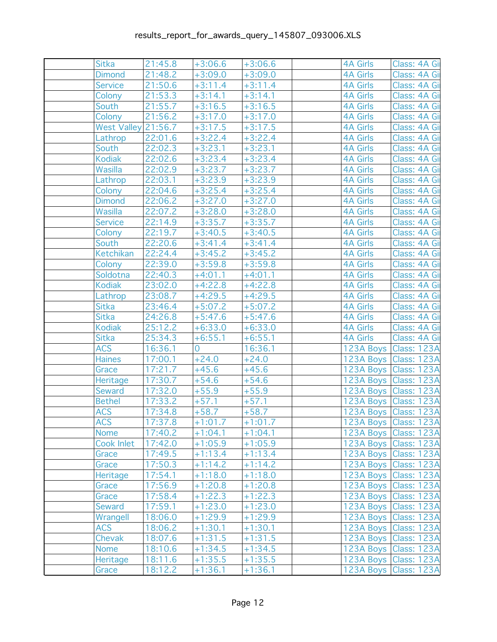| <b>Sitka</b>        | 21:45.8 | $+3:06.6$      | $+3:06.6$ | <b>4A Girls</b> | Class: 4A Gi            |
|---------------------|---------|----------------|-----------|-----------------|-------------------------|
| <b>Dimond</b>       | 21:48.2 | $+3:09.0$      | $+3:09.0$ | <b>4A Girls</b> | Class: 4A Gi            |
| <b>Service</b>      | 21:50.6 | $+3:11.4$      | $+3:11.4$ | <b>4A Girls</b> | Class: 4A Gi            |
| Colony              | 21:53.3 | $+3:14.1$      | $+3:14.1$ | <b>4A Girls</b> | Class: 4A Gi            |
| South               | 21:55.7 | $+3:16.5$      | $+3:16.5$ | <b>4A Girls</b> | Class: 4A Gi            |
| Colony              | 21:56.2 | $+3:17.0$      | $+3:17.0$ | <b>4A Girls</b> | Class: 4A Gi            |
| West Valley 21:56.7 |         | $+3:17.5$      | $+3:17.5$ | <b>4A Girls</b> | Class: 4A Gi            |
| Lathrop             | 22:01.6 | $+3:22.4$      | $+3:22.4$ | <b>4A Girls</b> | Class: 4A Gi            |
| South               | 22:02.3 | $+3:23.1$      | $+3:23.1$ | <b>4A Girls</b> | Class: 4A Gi            |
| <b>Kodiak</b>       | 22:02.6 | $+3:23.4$      | $+3:23.4$ | <b>4A Girls</b> | Class: 4A Gi            |
| Wasilla             | 22:02.9 | $+3:23.7$      | $+3:23.7$ | <b>4A Girls</b> | Class: 4A Gi            |
| Lathrop             | 22:03.1 | $+3:23.9$      | $+3:23.9$ | <b>4A Girls</b> | Class: 4A Gi            |
| Colony              | 22:04.6 | $+3:25.4$      | $+3:25.4$ | <b>4A Girls</b> | Class: 4A Gi            |
| <b>Dimond</b>       | 22:06.2 | $+3:27.0$      | $+3:27.0$ | <b>4A Girls</b> | Class: 4A Gi            |
| Wasilla             | 22:07.2 | $+3:28.0$      | $+3:28.0$ | <b>4A Girls</b> | Class: 4A Gi            |
| <b>Service</b>      | 22:14.9 | $+3:35.7$      | $+3:35.7$ | <b>4A Girls</b> | Class: 4A Gi            |
| Colony              | 22:19.7 | $+3:40.5$      | $+3:40.5$ | <b>4A Girls</b> | Class: 4A Gi            |
| South               | 22:20.6 | $+3:41.4$      | $+3:41.4$ | <b>4A Girls</b> | Class: 4A Gi            |
| <b>Ketchikan</b>    | 22:24.4 | $+3:45.2$      | $+3:45.2$ | <b>4A Girls</b> | Class: 4A Gi            |
| Colony              | 22:39.0 | $+3:59.8$      | $+3:59.8$ | <b>4A Girls</b> | Class: 4A Gi            |
| Soldotna            | 22:40.3 | $+4:01.1$      | $+4:01.1$ | <b>4A Girls</b> | Class: 4A Gi            |
| <b>Kodiak</b>       | 23:02.0 | $+4:22.8$      | $+4:22.8$ | <b>4A Girls</b> | Class: 4A Gi            |
| Lathrop             | 23:08.7 | $+4:29.5$      | $+4:29.5$ | <b>4A Girls</b> | Class: 4A Gi            |
| Sitka               | 23:46.4 | $+5:07.2$      | $+5:07.2$ | <b>4A Girls</b> | Class: 4A Gi            |
| <b>Sitka</b>        | 24:26.8 | $+5:47.6$      | $+5:47.6$ | <b>4A Girls</b> | Class: 4A Gi            |
| <b>Kodiak</b>       | 25:12.2 | $+6:33.0$      | $+6:33.0$ | <b>4A Girls</b> | Class: 4A Gi            |
| Sitka               | 25:34.3 | $+6:55.1$      | $+6:55.1$ | <b>4A Girls</b> | Class: 4A Gi            |
| <b>ACS</b>          | 16:36.1 | $\overline{0}$ | 16:36.1   |                 | 123A Boys   Class: 123A |
| <b>Haines</b>       | 17:00.1 | $+24.0$        | $+24.0$   |                 | 123A Boys Class: 123A   |
| Grace               | 17:21.7 | $+45.6$        | $+45.6$   |                 | 123A Boys Class: 123A   |
| Heritage            | 17:30.7 | $+54.6$        | $+54.6$   |                 | 123A Boys Class: 123A   |
| Seward              | 17:32.0 | $+55.9$        | $+55.9$   |                 | 123A Boys   Class: 123A |
| <b>Bethel</b>       | 17:33.2 | $+57.1$        | $+57.1$   |                 | 123A Boys Class: 123A   |
| <b>ACS</b>          | 17:34.8 | $+58.7$        | $+58.7$   |                 | 123A Boys Class: 123A   |
| <b>ACS</b>          | 17:37.8 | $+1:01.7$      | $+1:01.7$ |                 | 123A Boys Class: 123A   |
| <b>Nome</b>         | 17:40.2 | $+1:04.1$      | $+1:04.1$ |                 | 123A Boys   Class: 123A |
| Cook Inlet          | 17:42.0 | $+1:05.9$      | $+1:05.9$ |                 | 123A Boys Class: 123A   |
| Grace               | 17:49.5 | $+1:13.4$      | $+1:13.4$ |                 | 123A Boys Class: 123A   |
| Grace               | 17:50.3 | $+1:14.2$      | $+1:14.2$ |                 | 123A Boys Class: 123A   |
| Heritage            | 17:54.1 | $+1:18.0$      | $+1:18.0$ |                 | 123A Boys Class: 123A   |
| Grace               | 17:56.9 | $+1:20.8$      | $+1:20.8$ |                 | 123A Boys Class: 123A   |
| Grace               | 17:58.4 | $+1:22.3$      | $+1:22.3$ |                 | 123A Boys   Class: 123A |
| <b>Seward</b>       | 17:59.1 | $+1:23.0$      | $+1:23.0$ |                 | 123A Boys Class: 123A   |
| Wrangell            | 18:06.0 | $+1:29.9$      | $+1:29.9$ |                 | 123A Boys Class: 123A   |
| <b>ACS</b>          | 18:06.2 | $+1:30.1$      | $+1:30.1$ |                 | 123A Boys Class: 123A   |
| Chevak              | 18:07.6 | $+1:31.5$      | $+1:31.5$ |                 | 123A Boys   Class: 123A |
| <b>Nome</b>         | 18:10.6 | $+1:34.5$      | $+1:34.5$ |                 | 123A Boys   Class: 123A |
| Heritage            | 18:11.6 | $+1:35.5$      | $+1:35.5$ |                 | 123A Boys Class: 123A   |
| Grace               | 18:12.2 | $+1:36.1$      | $+1:36.1$ |                 | 123A Boys Class: 123A   |
|                     |         |                |           |                 |                         |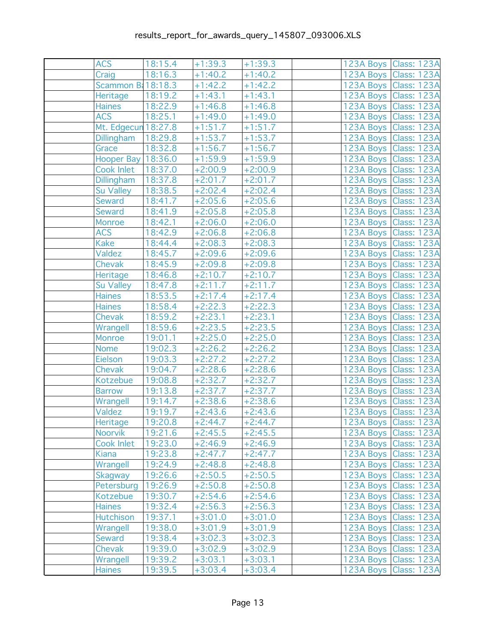| <b>ACS</b>          | 18:15.4 | $+1:39.3$ | $+1:39.3$ | 123A Boys Class: 123A   |
|---------------------|---------|-----------|-----------|-------------------------|
| Craig               | 18:16.3 | $+1:40.2$ | $+1:40.2$ | 123A Boys   Class: 123A |
| Scammon B: 18:18.3  |         | $+1:42.2$ | $+1:42.2$ | 123A Boys Class: 123A   |
| Heritage            | 18:19.2 | $+1:43.1$ | $+1:43.1$ | 123A Boys Class: 123A   |
| <b>Haines</b>       | 18:22.9 | $+1:46.8$ | $+1:46.8$ | 123A Boys   Class: 123A |
| <b>ACS</b>          | 18:25.1 | $+1:49.0$ | $+1:49.0$ | 123A Boys Class: 123A   |
| Mt. Edgecun 18:27.8 |         | $+1:51.7$ | $+1:51.7$ | 123A Boys Class: 123A   |
| Dillingham          | 18:29.8 | $+1:53.7$ | $+1:53.7$ | 123A Boys Class: 123A   |
| Grace               | 18:32.8 | $+1:56.7$ | $+1:56.7$ | 123A Boys Class: 123A   |
| Hooper Bay 18:36.0  |         | $+1:59.9$ | $+1:59.9$ | 123A Boys Class: 123A   |
| Cook Inlet          | 18:37.0 | $+2:00.9$ | $+2:00.9$ | 123A Boys   Class: 123A |
| Dillingham          | 18:37.8 | $+2:01.7$ | $+2:01.7$ | 123A Boys Class: 123A   |
| Su Valley           | 18:38.5 | $+2:02.4$ | $+2:02.4$ | 123A Boys Class: 123A   |
| Seward              | 18:41.7 | $+2:05.6$ | $+2:05.6$ | 123A Boys   Class: 123A |
| Seward              | 18:41.9 | $+2:05.8$ | $+2:05.8$ | 123A Boys Class: 123A   |
| Monroe              | 18:42.1 | $+2:06.0$ | $+2:06.0$ | 123A Boys Class: 123A   |
| <b>ACS</b>          | 18:42.9 | $+2:06.8$ | $+2:06.8$ | 123A Boys Class: 123A   |
| <b>Kake</b>         | 18:44.4 | $+2:08.3$ | $+2:08.3$ | 123A Boys Class: 123A   |
| Valdez              | 18:45.7 | $+2:09.6$ | $+2:09.6$ | 123A Boys Class: 123A   |
| Chevak              | 18:45.9 | $+2:09.8$ | $+2:09.8$ | 123A Boys Class: 123A   |
| Heritage            | 18:46.8 | $+2:10.7$ | $+2:10.7$ | 123A Boys Class: 123A   |
| Su Valley           | 18:47.8 | $+2:11.7$ | $+2:11.7$ | 123A Boys Class: 123A   |
| <b>Haines</b>       | 18:53.5 | $+2:17.4$ | $+2:17.4$ | 123A Boys   Class: 123A |
| <b>Haines</b>       | 18:58.4 | $+2:22.3$ | $+2:22.3$ | 123A Boys Class: 123A   |
| Chevak              | 18:59.2 | $+2:23.1$ | $+2:23.1$ | 123A Boys Class: 123A   |
| Wrangell            | 18:59.6 | $+2:23.5$ | $+2:23.5$ | 123A Boys   Class: 123A |
| Monroe              | 19:01.1 | $+2:25.0$ | $+2:25.0$ | 123A Boys Class: 123A   |
| <b>Nome</b>         | 19:02.3 | $+2:26.2$ | $+2:26.2$ | 123A Boys Class: 123A   |
| Eielson             | 19:03.3 | $+2:27.2$ | $+2:27.2$ | 123A Boys   Class: 123A |
| Chevak              | 19:04.7 | $+2:28.6$ | $+2:28.6$ | 123A Boys Class: 123A   |
| Kotzebue            | 19:08.8 | $+2:32.7$ | $+2:32.7$ | 123A Boys Class: 123A   |
| <b>Barrow</b>       | 19:13.8 | $+2:37.7$ | $+2:37.7$ | 123A Boys Class: 123A   |
| Wrangell            | 19:14.7 | $+2:38.6$ | $+2:38.6$ | 123A Boys Class: 123A   |
| Valdez              | 19:19.7 | $+2:43.6$ | $+2:43.6$ | 123A Boys Class: 123A   |
| Heritage            | 19:20.8 | $+2:44.7$ | $+2:44.7$ | 123A Boys Class: 123A   |
| Noorvik             | 19:21.6 | $+2:45.5$ | $+2:45.5$ | 123A Boys   Class: 123A |
| Cook Inlet          | 19:23.0 | $+2:46.9$ | $+2:46.9$ | 123A Boys Class: 123A   |
| <b>Kiana</b>        | 19:23.8 | $+2:47.7$ | $+2:47.7$ | 123A Boys   Class: 123A |
| Wrangell            | 19:24.9 | $+2:48.8$ | $+2:48.8$ | 123A Boys Class: 123A   |
| <b>Skagway</b>      | 19:26.6 | $+2:50.5$ | $+2:50.5$ | 123A Boys   Class: 123A |
| Petersburg          | 19:26.9 | $+2:50.8$ | $+2:50.8$ | 123A Boys Class: 123A   |
| Kotzebue            | 19:30.7 | $+2:54.6$ | $+2:54.6$ | 123A Boys Class: 123A   |
| <b>Haines</b>       | 19:32.4 | $+2:56.3$ | $+2:56.3$ | 123A Boys Class: 123A   |
| <b>Hutchison</b>    | 19:37.1 | $+3:01.0$ | $+3:01.0$ | 123A Boys Class: 123A   |
| Wrangell            | 19:38.0 | $+3:01.9$ | $+3:01.9$ | 123A Boys Class: 123A   |
| Seward              | 19:38.4 | $+3:02.3$ | $+3:02.3$ | 123A Boys   Class: 123A |
| Chevak              | 19:39.0 | $+3:02.9$ | $+3:02.9$ | 123A Boys   Class: 123A |
| Wrangell            | 19:39.2 | $+3:03.1$ | $+3:03.1$ | 123A Boys Class: 123A   |
| <b>Haines</b>       | 19:39.5 | $+3:03.4$ | $+3:03.4$ | 123A Boys Class: 123A   |
|                     |         |           |           |                         |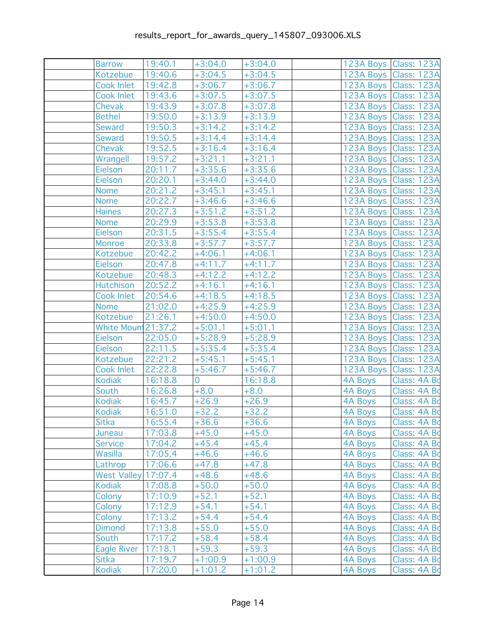| <b>Barrow</b>              | 19:40.1         | $+3:04.0$      | $+3:04.0$ |                | 123A Boys Class: 123A   |
|----------------------------|-----------------|----------------|-----------|----------------|-------------------------|
| Kotzebue                   | 19:40.6         | $+3:04.5$      | $+3:04.5$ |                | 123A Boys Class: 123A   |
| Cook Inlet                 | 19:42.8         | $+3:06.7$      | $+3:06.7$ |                | 123A Boys Class: 123A   |
| Cook Inlet                 | 19:43.6         | $+3:07.5$      | $+3:07.5$ |                | 123A Boys Class: 123A   |
| Chevak                     | 19:43.9         | $+3:07.8$      | $+3:07.8$ |                | 123A Boys   Class: 123A |
| <b>Bethel</b>              | 19:50.0         | $+3:13.9$      | $+3:13.9$ |                | 123A Boys Class: 123A   |
| Seward                     | 19:50.3         | $+3:14.2$      | $+3:14.2$ |                | 123A Boys Class: 123A   |
| Seward                     | 19:50.5         | $+3:14.4$      | $+3:14.4$ |                | 123A Boys Class: 123A   |
| Chevak                     | 19:52.5         | $+3:16.4$      | $+3:16.4$ |                | 123A Boys Class: 123A   |
| Wrangell                   | 19:57.2         | $+3:21.1$      | $+3:21.1$ |                | 123A Boys Class: 123A   |
| Eielson                    | 20:11.7         | $+3:35.6$      | $+3:35.6$ |                | 123A Boys   Class: 123A |
| Eielson                    | 20:20.1         | $+3:44.0$      | $+3:44.0$ |                | 123A Boys Class: 123A   |
| <b>Nome</b>                | 20:21.2         | $+3:45.1$      | $+3:45.1$ |                | 123A Boys Class: 123A   |
| <b>Nome</b>                | 20:22.7         | $+3:46.6$      | $+3:46.6$ |                | 123A Boys Class: 123A   |
| <b>Haines</b>              | 20:27.3         | $+3:51.2$      | $+3:51.2$ |                | 123A Boys Class: 123A   |
| Nome                       | 20:29.9         | $+3:53.8$      | $+3:53.8$ |                | 123A Boys Class: 123A   |
| Eielson                    | 20:31.5         | $+3:55.4$      | $+3:55.4$ |                | 123A Boys   Class: 123A |
| Monroe                     | 20:33.8         | $+3:57.7$      | $+3:57.7$ |                | 123A Boys Class: 123A   |
| Kotzebue                   | 20:42.2         | $+4:06.1$      | $+4:06.1$ |                | 123A Boys   Class: 123A |
| Eielson                    | 20:47.8         | $+4:11.7$      | $+4:11.7$ |                | 123A Boys Class: 123A   |
| Kotzebue                   | 20:48.3         | $+4:12.2$      | $+4:12.2$ |                | 123A Boys Class: 123A   |
| Hutchison                  | 20:52.2         | $+4:16.1$      | $+4:16.1$ |                | 123A Boys Class: 123A   |
| Cook Inlet                 | 20:54.6         | $+4:18.5$      | $+4:18.5$ |                | 123A Boys   Class: 123A |
| <b>Nome</b>                | 21:02.0         | $+4:25.9$      | $+4:25.9$ |                | 123A Boys Class: 123A   |
| Kotzebue                   | 21:26.1         | $+4:50.0$      | $+4:50.0$ |                | 123A Boys Class: 123A   |
| White Moun 21:37.2         |                 | $+5:01.1$      | $+5:01.1$ |                | 123A Boys   Class: 123A |
| Eielson                    | 22:05.0         | $+5:28.9$      | $+5:28.9$ |                | 123A Boys Class: 123A   |
| Eielson                    | 22:11.5         | $+5:35.4$      | $+5:35.4$ |                | 123A Boys   Class: 123A |
| Kotzebue                   | 22:21.2         | $+5:45.1$      | $+5:45.1$ |                | 123A Boys   Class: 123A |
| Cook Inlet                 | 22:22.8         | $+5:46.7$      | $+5:46.7$ |                | 123A Boys Class: 123A   |
| <b>Kodiak</b>              | 16:18.8         | $\overline{0}$ | 16:18.8   | 4A Boys        | Class: 4A Bo            |
| South                      | 16:26.8         | $+8.0$         | $+8.0$    | 4A Boys        | Class: 4A Bo            |
| <b>Kodiak</b>              | 16:45.7         | $+26.9$        | $+26.9$   | 4A Boys        | Class: 4A Bd            |
| <b>Kodiak</b>              | 16:51.0         | $+32.2$        | $+32.2$   | 4A Boys        | Class: 4A Bo            |
| Sitka                      | $16:55.4$ +36.6 |                | $+36.6$   | 4A Boys        | Class: 4A Bo            |
| Juneau                     | 17:03.8         | $+45.0$        | $+45.0$   | 4A Boys        | Class: 4A Bo            |
| <b>Service</b>             | 17:04.2         | $+45.4$        | $+45.4$   | 4A Boys        | Class: 4A Bo            |
| Wasilla                    | 17:05.4         | $+46.6$        | $+46.6$   | 4A Boys        | Class: 4A Bo            |
| Lathrop                    | 17:06.6         | $+47.8$        | $+47.8$   | <b>4A Boys</b> | Class: 4A Bo            |
| <b>West Valley 17:07.4</b> |                 | $+48.6$        | $+48.6$   | 4A Boys        | Class: 4A Bo            |
| <b>Kodiak</b>              | 17:08.8         | $+50.0$        | $+50.0$   | <b>4A Boys</b> | Class: 4A Bo            |
| Colony                     | 17:10.9         | $+52.1$        | $+52.1$   | 4A Boys        | Class: 4A Bo            |
| Colony                     | 17:12.9         | $+54.1$        | $+54.1$   | 4A Boys        | Class: 4A Bo            |
| Colony                     | 17:13.2         | $+54.4$        | $+54.4$   | <b>4A Boys</b> | Class: 4A Bo            |
| <b>Dimond</b>              | 17:13.8         | $+55.0$        | $+55.0$   | <b>4A Boys</b> | Class: 4A Bo            |
| South                      | 17:17.2         | $+58.4$        | $+58.4$   | 4A Boys        | Class: 4A Bo            |
| <b>Eagle River</b>         | 17:18.1         | $+59.3$        | $+59.3$   | 4A Boys        | Class: 4A Bo            |
| <b>Sitka</b>               | 17:19.7         | $+1:00.9$      | $+1:00.9$ | 4A Boys        | Class: 4A Bo            |
| <b>Kodiak</b>              | 17:20.0         | $+1:01.2$      | $+1:01.2$ | 4A Boys        | Class: 4A Bo            |
|                            |                 |                |           |                |                         |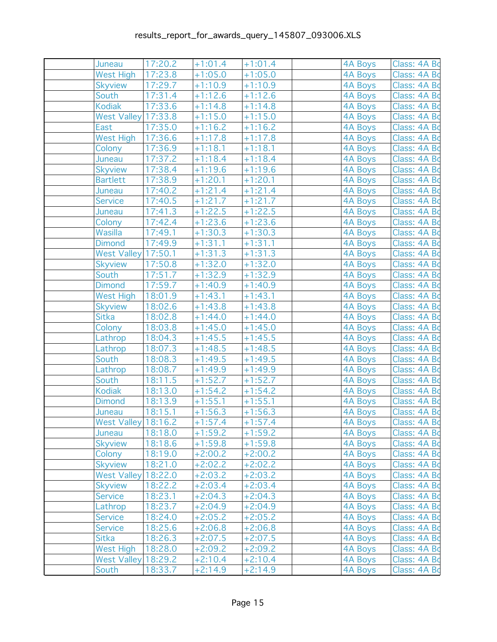| Juneau                    | 17:20.2            | $+1:01.4$              | $+1:01.4$              | 4A Boys        | Class: 4A Bo                 |
|---------------------------|--------------------|------------------------|------------------------|----------------|------------------------------|
| <b>West High</b>          | 17:23.8            | $+1:05.0$              | $+1:05.0$              | 4A Boys        | Class: 4A Bo                 |
| <b>Skyview</b>            | 17:29.7            | $+1:10.9$              | $+1:10.9$              | 4A Boys        | Class: 4A Bo                 |
| South                     | 17:31.4            | $+1:12.6$              | $+1:12.6$              | 4A Boys        | Class: 4A Bo                 |
| Kodiak                    | 17:33.6            | $+1:14.8$              | $+1:14.8$              | 4A Boys        | Class: 4A Bo                 |
| West Valley 17:33.8       |                    | $+1:15.0$              | $+1:15.0$              | 4A Boys        | Class: 4A Bo                 |
| East                      | 17:35.0            | $+1:16.2$              | $+1:16.2$              | 4A Boys        | Class: 4A Bo                 |
| <b>West High</b>          | 17:36.6            | $+1:17.8$              | $+1:17.8$              | 4A Boys        | Class: 4A Bo                 |
| Colony                    | 17:36.9            | $+1:18.1$              | $+1:18.1$              | 4A Boys        | Class: 4A Bo                 |
| Juneau                    | 17:37.2            | $+1:18.4$              | $+1:18.4$              | 4A Boys        | Class: 4A Bo                 |
| <b>Skyview</b>            | 17:38.4            | $+1:19.6$              | $+1:19.6$              | 4A Boys        | Class: 4A Bo                 |
| <b>Bartlett</b>           | 17:38.9            | $+1:20.1$              | $+1:20.1$              | 4A Boys        | Class: 4A Bo                 |
| Juneau                    | 17:40.2            | $+1:21.4$              | $+1:21.4$              | 4A Boys        | Class: 4A Bo                 |
| <b>Service</b>            | 17:40.5            | $+1:21.7$              | $+1:21.7$              | 4A Boys        | Class: 4A Bo                 |
| Juneau                    | 17:41.3            | $+1:22.5$              | $+1:22.5$              | 4A Boys        | Class: 4A Bo                 |
| Colony                    | 17:42.4            | $+1:23.6$              | $+1:23.6$              | 4A Boys        | Class: 4A Bo                 |
| Wasilla                   | 17:49.1            | $+1:30.3$              | $+1:30.3$              | 4A Boys        | Class: 4A Bo                 |
| <b>Dimond</b>             | 17:49.9            | $+1:31.1$              | $+1:31.1$              | 4A Boys        | Class: 4A Bo                 |
| West Valley 17:50.1       |                    | $+1:31.3$              | $+1:31.3$              | 4A Boys        | Class: 4A Bo                 |
| <b>Skyview</b>            | 17:50.8            | $+1:32.0$              | $+1:32.0$              | 4A Boys        | Class: 4A Bo                 |
| South                     | 17:51.7            | $+1:32.9$              | $+1:32.9$              | 4A Boys        | Class: 4A Bo                 |
| <b>Dimond</b>             | 17:59.7            | $+1:40.9$              | $+1:40.9$              | 4A Boys        | Class: 4A Bo                 |
| West High                 | 18:01.9            | $+1:43.1$              | $+1:43.1$              | 4A Boys        | Class: 4A Bo                 |
| <b>Skyview</b>            | 18:02.6            | $+1:43.8$              | $+1:43.8$              | 4A Boys        | Class: 4A Bo                 |
| Sitka                     | 18:02.8            | $+1:44.0$              | $+1:44.0$              | 4A Boys        | Class: 4A Bo                 |
| Colony                    | 18:03.8            | $+1:45.0$              | $+1:45.0$              | 4A Boys        | Class: 4A Bo                 |
| Lathrop                   | 18:04.3            | $+1:45.5$              | $+1:45.5$              | 4A Boys        | Class: 4A Bo                 |
| Lathrop                   | 18:07.3            | $+1:48.5$              | $+1:48.5$              | 4A Boys        | Class: 4A Bo                 |
| South                     | 18:08.3            | $+1:49.5$              | $+1:49.5$              | 4A Boys        | Class: 4A Bo                 |
| Lathrop                   | 18:08.7            | $+1:49.9$              | $+1:49.9$              | <b>4A Boys</b> | Class: 4A Bo                 |
| South                     | 18:11.5            | $+1:52.7$              | $+1:52.7$              | 4A Boys        | Class: 4A Bo                 |
| <b>Kodiak</b>             | 18:13.0            | $+1:54.2$              | $+1:54.2$              | 4A Boys        | Class: 4A Bo                 |
| <b>Dimond</b>             | 18:13.9            | $+1:55.1$              | $+1:55.1$              | 4A Boys        | Class: 4A Bo                 |
| Juneau                    | 18:15.1            | $+1:56.3$              | $+1:56.3$              | 4A Boys        | Class: 4A Bo                 |
| West Valley 18:16.2       |                    | $+1:57.4$              | $+1:57.4$              | 4A Boys        | Class: 4A Bo                 |
| Juneau                    | 18:18.0            | $+1:59.2$              | $+1:59.2$              | 4A Boys        | Class: 4A Bo                 |
| <b>Skyview</b>            | 18:18.6            | $+1:59.8$              | $+1:59.8$              | <b>4A Boys</b> | Class: 4A Bo                 |
| Colony                    | 18:19.0            | $+2:00.2$              | $+2:00.2$              | 4A Boys        | Class: 4A Bo                 |
| <b>Skyview</b>            | 18:21.0            | $+2:02.2$              | $+2:02.2$              | 4A Boys        | Class: 4A Bo                 |
| <b>West Valley</b>        | 18:22.0            | $+2:03.2$              | $+2:03.2$              | <b>4A Boys</b> | Class: 4A Bo                 |
| <b>Skyview</b>            | 18:22.2            | $+2:03.4$              | $+2:03.4$              | <b>4A Boys</b> | Class: 4A Bo                 |
| <b>Service</b>            | 18:23.1<br>18:23.7 | $+2:04.3$              | $+2:04.3$              | 4A Boys        | Class: 4A Bo                 |
| Lathrop<br><b>Service</b> |                    | $+2:04.9$<br>$+2:05.2$ | $+2:04.9$              | <b>4A Boys</b> | Class: 4A Bo<br>Class: 4A Bo |
|                           | 18:24.0            |                        | $+2:05.2$<br>$+2:06.8$ | <b>4A Boys</b> |                              |
| <b>Service</b>            | 18:25.6            | $+2:06.8$              |                        | 4A Boys        | Class: 4A Bo                 |
| Sitka<br><b>West High</b> | 18:26.3<br>18:28.0 | $+2:07.5$              | $+2:07.5$              | <b>4A Boys</b> | Class: 4A Bo                 |
| <b>West Valley</b>        | 18:29.2            | $+2:09.2$              | $+2:09.2$              | 4A Boys        | Class: 4A Bo<br>Class: 4A Bo |
|                           |                    | $+2:10.4$              | $+2:10.4$              | 4A Boys        |                              |
| South                     | 18:33.7            | $+2:14.9$              | $+2:14.9$              | 4A Boys        | Class: 4A Bo                 |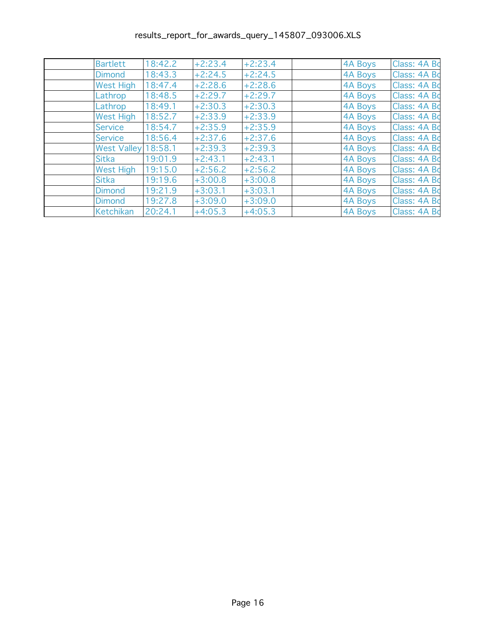| <b>Bartlett</b>    | 18:42.2 | $+2:23.4$ | $+2:23.4$ | 4A Boys | Class: 4A Bo |
|--------------------|---------|-----------|-----------|---------|--------------|
| <b>Dimond</b>      | 18:43.3 | $+2:24.5$ | $+2:24.5$ | 4A Boys | Class: 4A Bo |
| <b>West High</b>   | 18:47.4 | $+2:28.6$ | $+2:28.6$ | 4A Boys | Class: 4A Bo |
| Lathrop            | 18:48.5 | $+2:29.7$ | $+2:29.7$ | 4A Boys | Class: 4A Bo |
| Lathrop            | 18:49.1 | $+2:30.3$ | $+2:30.3$ | 4A Boys | Class: 4A Bo |
| <b>West High</b>   | 18:52.7 | $+2:33.9$ | $+2:33.9$ | 4A Boys | Class: 4A Bo |
| Service            | 18:54.7 | $+2:35.9$ | $+2:35.9$ | 4A Boys | Class: 4A Bo |
| <b>Service</b>     | 18:56.4 | $+2:37.6$ | $+2:37.6$ | 4A Boys | Class: 4A Bo |
| <b>West Valley</b> | 18:58.1 | $+2:39.3$ | $+2:39.3$ | 4A Boys | Class: 4A Bo |
| Sitka              | 19:01.9 | $+2:43.1$ | $+2:43.1$ | 4A Boys | Class: 4A Bo |
| West High          | 19:15.0 | $+2:56.2$ | $+2:56.2$ | 4A Boys | Class: 4A Bo |
| <b>Sitka</b>       | 19:19.6 | $+3:00.8$ | $+3:00.8$ | 4A Boys | Class: 4A Bo |
| <b>Dimond</b>      | 19:21.9 | $+3:03.1$ | $+3:03.1$ | 4A Boys | Class: 4A Bo |
| <b>Dimond</b>      | 19:27.8 | $+3:09.0$ | $+3:09.0$ | 4A Boys | Class: 4A Bo |
| <b>Ketchikan</b>   | 20:24.1 | $+4:05.3$ | $+4:05.3$ | 4A Boys | Class: 4A Bo |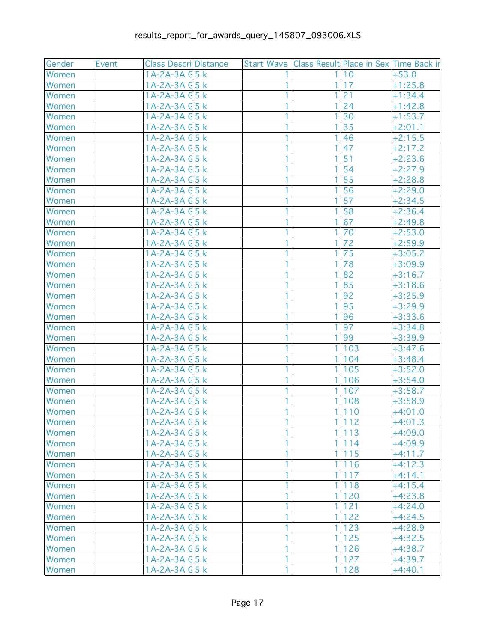| Gender | Event | <b>Class Descril Distance</b> |              | Start Wave Class Result Place in Sex Time Back in |       |           |
|--------|-------|-------------------------------|--------------|---------------------------------------------------|-------|-----------|
| Women  |       | $1A-2A-3A$ $G5k$              |              |                                                   | 10    | $+53.0$   |
| Women  |       | $1A-2A-3AG5k$                 |              | 1                                                 | 17    | $+1:25.8$ |
| Women  |       | 1A-2A-3A G 5 k                |              |                                                   | 21    | $+1:34.4$ |
| Women  |       | 1A-2A-3A G 5 k                |              | 1                                                 | 24    | $+1:42.8$ |
| Women  |       | 1A-2A-3A G 5 k                |              |                                                   | 30    | $+1:53.7$ |
| Women  |       | $1A-2A-3AG5k$                 |              |                                                   | 35    | $+2:01.1$ |
| Women  |       | $1A-2A-3AG5k$                 | 1            | 1                                                 | 46    | $+2:15.5$ |
| Women  |       | 1A-2A-3A G 5 k                |              |                                                   | 47    | $+2:17.2$ |
| Women  |       | $1A-2A-3AG5k$                 |              |                                                   | 51    | $+2:23.6$ |
| Women  |       | 1A-2A-3A G 5 k                |              |                                                   | 54    | $+2:27.9$ |
| Women  |       | $1A-2A-3AG5k$                 |              |                                                   | 55    | $+2:28.8$ |
| Women  |       | $1A-2A-3AG5k$                 |              |                                                   | 56    | $+2:29.0$ |
| Women  |       | $1A-2A-3AG5k$                 | 1            |                                                   | 57    | $+2:34.5$ |
| Women  |       | $1A-2A-3AG5k$                 |              |                                                   | 58    | $+2:36.4$ |
| Women  |       | $1A-2A-3AG5k$                 |              |                                                   | 67    | $+2:49.8$ |
| Women  |       | 1A-2A-3A G 5 k                |              | 1                                                 | 70    | $+2:53.0$ |
| Women  |       | $1A-2A-3AG$                   |              |                                                   | 72    | $+2:59.9$ |
| Women  |       | $1A-2A-3AG5k$                 |              | 1                                                 | 75    | $+3:05.2$ |
| Women  |       | $1A-2A-3A$ $G5k$              | 1            | 1                                                 | 78    | $+3:09.9$ |
| Women  |       | 1A-2A-3A G 5 k                |              |                                                   | 82    | $+3:16.7$ |
| Women  |       | $1A-2A-3AG5k$                 |              |                                                   | 85    | $+3:18.6$ |
| Women  |       | 1A-2A-3A G 5 k                |              |                                                   | 92    | $+3:25.9$ |
| Women  |       | 1A-2A-3A G 5 k                |              |                                                   | 95    | $+3:29.9$ |
| Women  |       | $1A-2A-3AGBk$                 |              |                                                   | 96    | $+3:33.6$ |
| Women  |       | $1A-2A-3AG5k$                 | 1            |                                                   | 97    | $+3:34.8$ |
| Women  |       | $1A-2A-3AG5k$                 |              |                                                   | 99    | $+3:39.9$ |
| Women  |       | 1A-2A-3A G 5 k                |              | 1                                                 | 103   | $+3:47.6$ |
| Women  |       | $1A-2A-3AG5k$                 |              | 1                                                 | 104   | $+3:48.4$ |
| Women  |       | 1A-2A-3A G 5 k                |              | 1                                                 | 105   | $+3:52.0$ |
| Women  |       | $1A-2A-3AG5k$                 |              | 1                                                 | 106   | $+3:54.0$ |
| Women  |       | $1A-2A-3AG5k$                 | 1            | $\mathbf{1}$                                      | 107   | $+3:58.7$ |
| Women  |       | 1A-2A-3A G 5 k                | 1            | 1                                                 | 108   | $+3:58.9$ |
| Women  |       | 1A-2A-3A G 5 k                |              | 1                                                 | 110   | $+4:01.0$ |
| Women  |       | $1A-2A-3AG5k$                 | 1.           |                                                   | 1 112 | $+4:01.3$ |
| Women  |       | $1A-2A-3AGBk$                 |              | $\mathbf{1}$                                      | 113   | $+4:09.0$ |
| Women  |       | $1A-2A-3AG5k$                 |              |                                                   | 1 114 | $+4:09.9$ |
| Women  |       | $1A-2A-3AG5k$                 | 1            |                                                   | 1 115 | $+4:11.7$ |
| Women  |       | $1A-2A-3AGBk$                 | 1            | 1                                                 | 116   | $+4:12.3$ |
| Women  |       | $1A-2A-3AG5k$                 | $\mathbf{1}$ | $\mathbf{1}$                                      | 117   | $+4:14.1$ |
| Women  |       | $1A-2A-3AG5k$                 | 1            | 1                                                 | 118   | $+4:15.4$ |
| Women  |       | $1A-2A-3AGBk$                 |              | 1                                                 | 120   | $+4:23.8$ |
| Women  |       | $1A-2A-3AG5k$                 | 1            | $\mathbf{1}$                                      | 121   | $+4:24.0$ |
| Women  |       | $1A-2A-3AG5k$                 | 1            |                                                   | 1 122 | $+4:24.5$ |
| Women  |       | $1A-2A-3AG5k$                 | 1            |                                                   | 1 123 | $+4:28.9$ |
| Women  |       | $1A-2A-3AG5k$                 |              | 1                                                 | 125   | $+4:32.5$ |
| Women  |       | $1A-2A-3AG5k$                 | 1            | 1                                                 | 126   | $+4:38.7$ |
| Women  |       | $1A-2A-3AG5k$                 |              | 1                                                 | 127   | $+4:39.7$ |
| Women  |       | 1A-2A-3A G5 k                 | 1            |                                                   | 1 128 | $+4:40.1$ |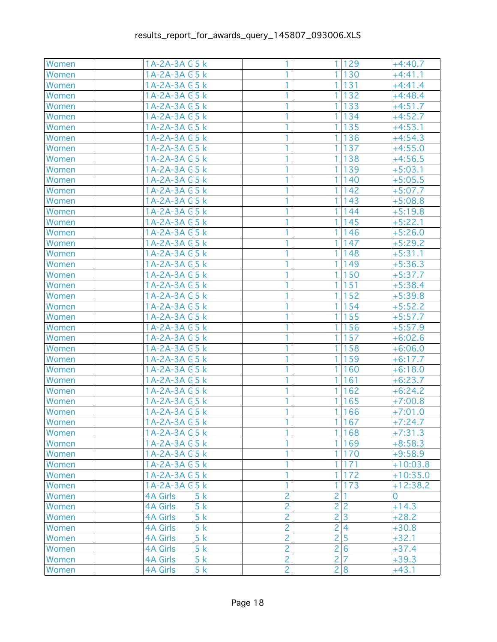| Women | 1A-2A-3A G 5 k        |                | 1 <sup>1</sup><br>129             | $+4:40.7$  |
|-------|-----------------------|----------------|-----------------------------------|------------|
| Women | 1A-2A-3A G 5 k        | 1              | 130<br>1 <sup>1</sup>             | $+4:41.1$  |
| Women | 1A-2A-3A G 5 k        |                | $\mathbf{1}$<br>131               | $+4:41.4$  |
| Women | 1A-2A-3A G 5 k        |                | $\mathbf{1}$<br>132               | $+4:48.4$  |
| Women | 1A-2A-3A G 5 k        |                | 1<br>133                          | $+4:51.7$  |
| Women | 1A-2A-3A G 5 k        |                | 1<br>134                          | $+4:52.7$  |
| Women | 1A-2A-3A G 5 k        |                | 135<br>1 <sup>1</sup>             | $+4:53.1$  |
| Women | 1A-2A-3A G 5 k        | 1              | 1 <br>136                         | $+4:54.3$  |
| Women | 1A-2A-3A G 5 k        | 1              | $\mathbf{1}$<br>137               | $+4:55.0$  |
| Women | 1A-2A-3A G 5 k        | 1              | $\mathbf{1}$<br>138               | $+4:56.5$  |
| Women | 1A-2A-3A G 5 k        | 1              | 1<br>139                          | $+5:03.1$  |
| Women | 1A-2A-3A G 5 k        |                | 1<br>140                          | $+5:05.5$  |
| Women | 1A-2A-3A G 5 k        |                | 142<br>1                          | $+5:07.7$  |
| Women | 1A-2A-3A G 5 k        | 1              | 143<br>1.                         | $+5:08.8$  |
| Women | 1A-2A-3A G 5 k        | 1              | 1<br>144                          | $+5:19.8$  |
| Women | 1A-2A-3A G 5 k        |                | $\mathbf{1}$<br>145               | $+5:22.1$  |
| Women | 1A-2A-3A G 5 k        |                | 1<br>146                          | $+5:26.0$  |
| Women | 1A-2A-3A G 5 k        |                | $\mathbf{1}$<br>147               | $+5:29.2$  |
| Women | 1A-2A-3A G 5 k        |                | $\mathbf{1}$<br>148               | $+5:31.1$  |
| Women | 1A-2A-3A G 5 k        | 1              | 1 <sup>1</sup><br>149             | $+5:36.3$  |
| Women | 1A-2A-3A G 5 k        | 1              | $\mathbf{1}$<br>150               | $+5:37.7$  |
| Women | 1A-2A-3A G 5 k        |                | 1<br>151                          | $+5:38.4$  |
| Women | 1A-2A-3A G5 k         |                | 1<br>152                          | $+5:39.8$  |
| Women | 1A-2A-3A G5 k         |                | $\mathbf{1}$<br>154               | $+5:52.2$  |
| Women | 1A-2A-3A G 5 k        |                | 155<br>1 <sup>1</sup>             | $+5:57.7$  |
| Women | 1A-2A-3A G 5 k        | 1              | 156<br>1                          | $+5:57.9$  |
| Women | 1A-2A-3A G 5 k        | 1              | $\mathbf{1}$<br>157               | $+6:02.6$  |
| Women | 1A-2A-3A G 5 k        |                | $\mathbf{1}$<br>158               | $+6:06.0$  |
| Women | 1A-2A-3A G 5 k        |                | 1<br>159                          | $+6:17.7$  |
| Women | 1A-2A-3A G 5 k        |                | 1<br>160                          | $+6:18.0$  |
| Women | 1A-2A-3A G 5 k        |                | $\mathbf{1}$<br>161               | $+6:23.7$  |
| Women | 1A-2A-3A G 5 k        | 1              | 1<br>162                          | $+6:24.2$  |
| Women | 1A-2A-3A G 5 k        | 1              | 1<br>165                          | $+7:00.8$  |
| Women | 1A-2A-3A G 5 k        |                | $\mathbf{1}$<br>166               | $+7:01.0$  |
| Women | 1A-2A-3A G 5 k        | 1.             | 1 167                             | $+7:24.7$  |
| Women | 1A-2A-3A G5 k         |                | 1 168                             | $+7:31.3$  |
| Women | $1A-2A-3A$ $G5k$      |                | 1 169                             | $+8:58.3$  |
| Women | $1A-2A-3AG5k$         | 1              | 1 170                             | $+9:58.9$  |
| Women | $1A-2A-3AG5k$         | 1              | 1 171                             | $+10:03.8$ |
| Women | $1A-2A-3A$ $G5k$      |                | 172<br>1 <sup>1</sup>             | $+10:35.0$ |
| Women | $1A-2A-3A$ $G5k$      |                | 173<br>1                          | $+12:38.2$ |
| Women | 5k<br><b>4A Girls</b> | $\overline{c}$ | $\overline{2}$                    | 0          |
| Women | <b>4A Girls</b><br>5k | $\overline{2}$ | $\overline{2}$<br>$\overline{c}$  | $+14.3$    |
| Women | 5k<br><b>4A Girls</b> | $\overline{2}$ | $\overline{3}$<br>$\overline{2}$  | $+28.2$    |
| Women | 5k<br><b>4A Girls</b> | $\overline{2}$ | $\overline{2}$<br>$\overline{4}$  | $+30.8$    |
| Women | 5k<br><b>4A Girls</b> | $\overline{2}$ | 5<br>2                            | $+32.1$    |
| Women | 5k<br><b>4A Girls</b> | $\overline{2}$ | $\overline{2}$<br>$6\phantom{1}6$ | $+37.4$    |
| Women | <b>4A Girls</b><br>5k | $\overline{2}$ | $\overline{2}$<br>$\overline{7}$  | $+39.3$    |
| Women | <b>4A Girls</b><br>5k | $\overline{2}$ | 2 8                               | $+43.1$    |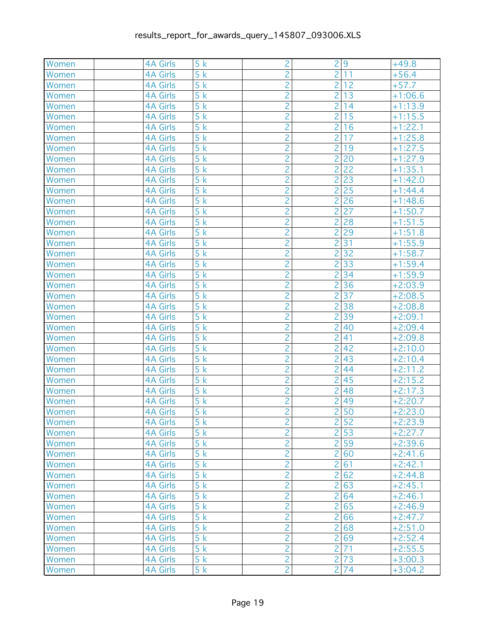| Women | <b>4A Girls</b> | 5k               | $\overline{c}$ | $\overline{2}$ | 9    | $+49.8$   |
|-------|-----------------|------------------|----------------|----------------|------|-----------|
| Women | <b>4A Girls</b> | 5k               | $\overline{2}$ | $\overline{2}$ | 11   | $+56.4$   |
| Women | <b>4A Girls</b> | 5k               | $\overline{c}$ | $\overline{c}$ | 12   | $+57.7$   |
| Women | <b>4A Girls</b> | 5k               | $\overline{2}$ | $\overline{2}$ | 13   | $+1:06.6$ |
| Women | <b>4A Girls</b> | 5k               | $\overline{2}$ | $\overline{2}$ | 14   | $+1:13.9$ |
| Women | <b>4A Girls</b> | 5k               | $\overline{c}$ | $\overline{2}$ | 15   | $+1:15.5$ |
| Women | <b>4A Girls</b> | $\overline{5}$ k | $\overline{2}$ | $\overline{2}$ | 16   | $+1:22.1$ |
| Women | <b>4A Girls</b> | 5k               | $\overline{2}$ | $\overline{2}$ | 17   | $+1:25.8$ |
| Women | <b>4A Girls</b> | 5k               | $\overline{c}$ | $\overline{2}$ | 19   | $+1:27.5$ |
| Women | <b>4A Girls</b> | 5k               | $\overline{2}$ | $\overline{2}$ | 20   | $+1:27.9$ |
| Women | <b>4A Girls</b> | 5k               | $\overline{2}$ | $\overline{2}$ | 22   | $+1:35.1$ |
| Women | <b>4A Girls</b> | 5k               | $\overline{c}$ | $\overline{2}$ | 23   | $+1:42.0$ |
| Women | <b>4A Girls</b> | 5k               | $\overline{2}$ | $\overline{2}$ | 25   | $+1:44.4$ |
| Women | <b>4A Girls</b> | 5k               | $\overline{2}$ | $\overline{2}$ | 26   | $+1:48.6$ |
| Women | <b>4A Girls</b> | 5k               | $\overline{c}$ | $\overline{2}$ | 27   | $+1:50.7$ |
| Women | <b>4A Girls</b> | 5k               | $\overline{2}$ | $\overline{2}$ | 28   | $+1:51.5$ |
| Women | <b>4A Girls</b> | $\overline{5k}$  | $\overline{2}$ | $\overline{2}$ | 29   | $+1:51.8$ |
| Women | <b>4A Girls</b> | 5k               | $\overline{2}$ | $\overline{2}$ | 31   | $+1:55.9$ |
| Women | <b>4A Girls</b> | 5k               | $\overline{2}$ | $\overline{2}$ | 32   | $+1:58.7$ |
| Women | <b>4A Girls</b> | 5k               | $\overline{2}$ | $\overline{2}$ | 33   | $+1:59.4$ |
| Women | <b>4A Girls</b> | 5k               | $\overline{c}$ | $\overline{2}$ | 34   | $+1:59.9$ |
| Women | <b>4A Girls</b> | 5k               | $\overline{2}$ | $\overline{2}$ | 36   | $+2:03.9$ |
| Women | <b>4A Girls</b> | 5k               | $\overline{2}$ | $\overline{2}$ | 37   | $+2:08.5$ |
| Women | <b>4A Girls</b> | 5k               | $\overline{c}$ | $\overline{2}$ | 38   | $+2:08.8$ |
| Women | <b>4A Girls</b> | 5k               | $\overline{2}$ | $\overline{2}$ | 39   | $+2:09.1$ |
| Women | <b>4A Girls</b> | 5k               | $\overline{2}$ | $\overline{c}$ | 40   | $+2:09.4$ |
| Women | <b>4A Girls</b> | 5k               | $\overline{c}$ | $\overline{2}$ | 41   | $+2:09.8$ |
| Women | <b>4A Girls</b> | 5k               | $\overline{2}$ | $\overline{2}$ | 42   | $+2:10.0$ |
| Women | <b>4A Girls</b> | $\overline{5}$ k | $\overline{2}$ | $\overline{2}$ | 43   | $+2:10.4$ |
| Women | <b>4A Girls</b> | 5k               | $\overline{c}$ | $\overline{2}$ | 44   | $+2:11.2$ |
| Women | <b>4A Girls</b> | 5k               | $\overline{2}$ | $\overline{2}$ | 45   | $+2:15.2$ |
| Women | <b>4A Girls</b> | 5k               | $\overline{2}$ | $\overline{2}$ | 48   | $+2:17.3$ |
| Women | <b>4A Girls</b> | 5k               | $\overline{c}$ | $\overline{2}$ | 49   | $+2:20.7$ |
| Women | <b>4A Girls</b> | 5k               | $\overline{2}$ | $\overline{2}$ | 50   | $+2:23.0$ |
| Women | <b>4A Girls</b> | 5k               | $\overline{2}$ |                | 2 52 | $+2:23.9$ |
| Women | <b>4A Girls</b> | 5k               | $\overline{c}$ |                | 2 53 | $+2:27.7$ |
| Women | <b>4A Girls</b> | 5k               | $\overline{2}$ |                | 2 59 | $+2:39.6$ |
| Women | <b>4A Girls</b> | 5k               | $\overline{2}$ |                | 2 60 | $+2:41.6$ |
| Women | <b>4A Girls</b> | 5k               | $\overline{c}$ |                | 2 61 | $+2:42.1$ |
| Women | <b>4A Girls</b> | 5k               | $\overline{2}$ |                | 2 62 | $+2:44.8$ |
| Women | <b>4A Girls</b> | 5k               | $\overline{2}$ |                | 2 63 | $+2:45.1$ |
| Women | <b>4A Girls</b> | 5k               | $\overline{2}$ | 2              | 64   | $+2:46.1$ |
| Women | <b>4A Girls</b> | 5k               | $\overline{2}$ |                | 2 65 | $+2:46.9$ |
| Women | <b>4A Girls</b> | 5k               | $\overline{2}$ |                | 2 66 | $+2:47.7$ |
| Women | <b>4A Girls</b> | 5k               | $\overline{c}$ |                | 2 68 | $+2:51.0$ |
| Women | <b>4A Girls</b> | 5k               | $\overline{c}$ |                | 2 69 | $+2:52.4$ |
| Women | <b>4A Girls</b> | 5k               | $\overline{2}$ | $\overline{2}$ | 71   | $+2:55.5$ |
| Women | <b>4A Girls</b> | 5k               | $\overline{2}$ | $\overline{2}$ | 73   | $+3:00.3$ |
| Women | <b>4A Girls</b> | 5k               | $\overline{2}$ |                | 2 74 | $+3:04.2$ |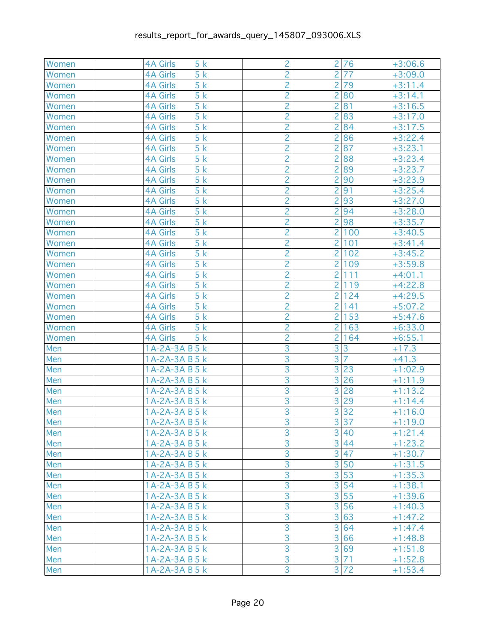| Women      | <b>4A Girls</b>                    | 5k               | $\overline{c}$ | $\overline{2}$ | 76             | $+3:06.6$ |
|------------|------------------------------------|------------------|----------------|----------------|----------------|-----------|
| Women      | <b>4A Girls</b>                    | 5k               | $\overline{2}$ | $\overline{2}$ | 77             | $+3:09.0$ |
| Women      | <b>4A Girls</b>                    | 5k               | $\overline{c}$ | $\overline{2}$ | 79             | $+3:11.4$ |
| Women      | <b>4A Girls</b>                    | 5k               | $\overline{2}$ | $\overline{2}$ | 80             | $+3:14.1$ |
| Women      | <b>4A Girls</b>                    | $\overline{5}$ k | $\overline{2}$ | $\overline{2}$ | 81             | $+3:16.5$ |
| Women      | <b>4A Girls</b>                    | 5k               | $\overline{c}$ | $\overline{2}$ | 83             | $+3:17.0$ |
| Women      | <b>4A Girls</b>                    | 5k               | $\overline{2}$ | $\overline{2}$ | 84             | $+3:17.5$ |
| Women      | <b>4A Girls</b>                    | 5k               | $\overline{2}$ | 2              | 86             | $+3:22.4$ |
| Women      | <b>4A Girls</b>                    | 5k               | $\overline{c}$ | $\overline{2}$ | 87             | $+3:23.1$ |
| Women      | <b>4A Girls</b>                    | 5k               | $\overline{2}$ | $\overline{2}$ | 88             | $+3:23.4$ |
| Women      | <b>4A Girls</b>                    | 5k               | $\overline{2}$ | $\overline{2}$ | 89             | $+3:23.7$ |
| Women      | <b>4A Girls</b>                    | 5k               | $\overline{2}$ | $\overline{2}$ | 90             | $+3:23.9$ |
| Women      | <b>4A Girls</b>                    | 5k               | $\overline{2}$ | $\overline{2}$ | 91             | $+3:25.4$ |
| Women      | <b>4A Girls</b>                    | 5k               | $\overline{2}$ | $\overline{2}$ | 93             | $+3:27.0$ |
| Women      | <b>4A Girls</b>                    | 5k               | $\overline{c}$ | $\overline{2}$ | 94             | $+3:28.0$ |
| Women      | <b>4A Girls</b>                    | 5k               | $\overline{2}$ | $\overline{2}$ | 98             | $+3:35.7$ |
| Women      | <b>4A Girls</b>                    | 5k               | $\overline{2}$ | $\overline{2}$ | 100            | $+3:40.5$ |
| Women      | <b>4A Girls</b>                    | 5k               | $\overline{2}$ | $\overline{2}$ | 101            | $+3:41.4$ |
| Women      | <b>4A Girls</b>                    | 5k               | $\overline{2}$ | $\overline{2}$ | 102            | $+3:45.2$ |
| Women      | <b>4A Girls</b>                    | 5k               | $\overline{2}$ | $\overline{2}$ | 109            | $+3:59.8$ |
| Women      | <b>4A Girls</b>                    | 5k               | $\overline{c}$ | $\overline{2}$ | 111            | $+4:01.1$ |
| Women      | <b>4A Girls</b>                    | 5k               | $\overline{2}$ | $\overline{2}$ | 119            | $+4:22.8$ |
| Women      | <b>4A Girls</b>                    | $\overline{5}$ k | $\overline{2}$ | $\overline{2}$ | 124            | $+4:29.5$ |
| Women      | <b>4A Girls</b>                    | 5k               | $\overline{c}$ | $\overline{2}$ | 141            | $+5:07.2$ |
| Women      | <b>4A Girls</b>                    | 5k               | $\overline{2}$ | $\overline{2}$ | 153            | $+5:47.6$ |
| Women      | <b>4A Girls</b>                    | 5k               | $\overline{2}$ | $\overline{2}$ | 163            | $+6:33.0$ |
| Women      | <b>4A Girls</b>                    | 5k               | $\overline{c}$ | $\overline{2}$ | 164            | $+6:55.1$ |
| Men        | 1A-2A-3A B 5 k                     |                  | $\overline{3}$ | 3              | 3              | $+17.3$   |
| Men        | 1A-2A-3A B 5 k                     |                  | $\overline{3}$ | $\overline{3}$ | $\overline{7}$ | $+41.3$   |
| Men        | 1A-2A-3A B 5 k                     |                  | $\overline{3}$ | $\overline{3}$ | 23             | $+1:02.9$ |
| Men        | 1A-2A-3A B 5 k                     |                  | $\overline{3}$ | 3              | 26             | $+1:11.9$ |
| Men        | 1A-2A-3A B 5 k                     |                  | $\overline{3}$ | 3              | 28             | $+1:13.2$ |
| Men        | 1A-2A-3A B 5 k                     |                  | $\overline{3}$ | $\overline{3}$ | 29             | $+1:14.4$ |
| Men        | 1A-2A-3A B 5 k                     |                  | $\overline{3}$ |                | 3 32           | $+1:16.0$ |
| Men        | $1A-2A-3A B5 k$                    |                  | $\overline{3}$ |                | 3 37           | $+1:19.0$ |
| Men        |                                    |                  | 3              | 3 <sup>1</sup> | 40             |           |
|            | $1A-2A-3A B5 k$<br>$1A-2A-3A B5 k$ |                  | 3              |                | 3 44           | $+1:21.4$ |
| Men<br>Men | $1A-2A-3A B5 k$                    |                  | $\overline{3}$ | 3              | 47             | $+1:23.2$ |
|            |                                    |                  | $\overline{3}$ | $\overline{3}$ |                | $+1:30.7$ |
| Men        | $1A-2A-3A B5 k$                    |                  | $\overline{3}$ |                | 50             | $+1:31.5$ |
| Men        | $1A-2A-3A B5 k$                    |                  |                |                | 3 53           | $+1:35.3$ |
| Men        | $1A-2A-3A B5 k$                    |                  | $\overline{3}$ | 3              | 54             | $+1:38.1$ |
| Men        | 1A-2A-3A B 5 k                     |                  | 3              | 3 <sup>1</sup> | 55             | $+1:39.6$ |
| Men        | $1A-2A-3A B5 k$                    |                  | $\overline{3}$ |                | 3 56           | $+1:40.3$ |
| Men        | $1A-2A-3A B5 k$                    |                  | $\overline{3}$ |                | 3 63           | $+1:47.2$ |
| Men        | $1A-2A-3A B5 k$                    |                  | $\overline{3}$ |                | 3 64           | $+1:47.4$ |
| Men        | 1A-2A-3A B 5 k                     |                  | $\overline{3}$ |                | 3 66           | $+1:48.8$ |
| Men        | $1A-2A-3A B5 k$                    |                  | $\overline{3}$ |                | 3 69           | $+1:51.8$ |
| Men        | $1A-2A-3A B5 k$                    |                  | $\overline{3}$ | 3 <sup>1</sup> | 71             | $+1:52.8$ |
| Men        | $1A-2A-3A B5 k$                    |                  | $\overline{3}$ |                | 3 72           | $+1:53.4$ |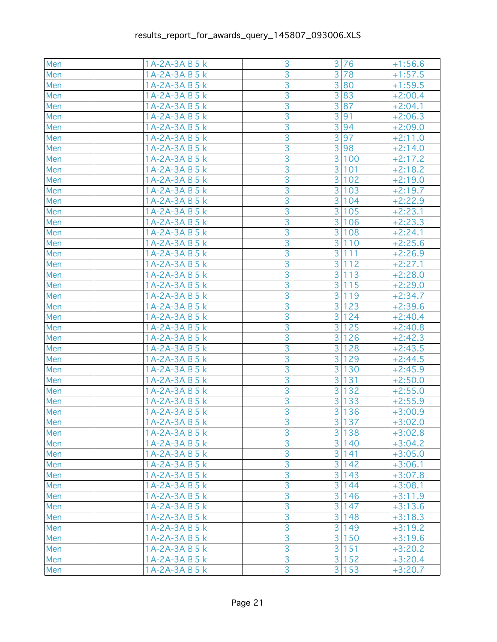| Men | 1A-2A-3A B 5 k  | 3              | 3 <sup>1</sup> | 76    | $+1:56.6$            |
|-----|-----------------|----------------|----------------|-------|----------------------|
| Men | 1A-2A-3A B 5 k  | 3              | $\overline{3}$ | 78    | $+1:57.5$            |
| Men | 1A-2A-3A B 5 k  | $\overline{3}$ |                | 3 80  | $+1:59.5$            |
| Men | 1A-2A-3A B 5 k  | $\overline{3}$ |                | 3 83  | $+2:00.4$            |
| Men | 1A-2A-3A B 5 k  | $\overline{3}$ | $\overline{3}$ | 87    | $+2:04.1$            |
| Men | 1A-2A-3A B 5 k  | $\overline{3}$ | $\overline{3}$ | 91    | $+2:06.3$            |
| Men | 1A-2A-3A B 5 k  | $\overline{3}$ | $\overline{3}$ | 94    | $+2:09.0$            |
| Men | 1A-2A-3A B 5 k  | $\overline{3}$ | $\overline{3}$ | 97    | $+2:11.0$            |
| Men | 1A-2A-3A B 5 k  | $\overline{3}$ | 3 <sup>1</sup> | 98    | $+2:14.0$            |
| Men | 1A-2A-3A B 5 k  | $\overline{3}$ | 3 <sup>1</sup> | 100   | $+2:17.2$            |
| Men | 1A-2A-3A B 5 k  | $\overline{3}$ | $\overline{3}$ | 101   | $+2:18.2$            |
| Men | 1A-2A-3A B 5 k  | $\overline{3}$ | $\overline{3}$ | 102   | $+2:19.0$            |
| Men | 1A-2A-3A B 5 k  | $\overline{3}$ | 3 <sup>1</sup> | 103   | $+2:19.7$            |
| Men | 1A-2A-3A B 5 k  | $\overline{3}$ | 3 <sup>1</sup> | 104   | $+2:22.9$            |
| Men | 1A-2A-3A B 5 k  | $\overline{3}$ | $\overline{3}$ | 105   | $+2:23.1$            |
| Men | 1A-2A-3A B 5 k  | $\overline{3}$ | $\overline{3}$ | 106   | $+2:23.3$            |
| Men | 1A-2A-3A B 5 k  | $\overline{3}$ | $\overline{3}$ | 108   | $+2:24.1$            |
| Men | 1A-2A-3A B 5 k  | $\overline{3}$ | $\overline{3}$ | 110   | $+2:25.6$            |
| Men | 1A-2A-3A B 5 k  | $\overline{3}$ | 3 <sup>1</sup> | 111   | $+2:26.9$            |
| Men | 1A-2A-3A B 5 k  | $\overline{3}$ | 3 <sup>1</sup> | 112   | $+2:27.1$            |
| Men | 1A-2A-3A B 5 k  | $\overline{3}$ | 3              | 113   | $+2:28.0$            |
| Men | 1A-2A-3A B 5 k  | $\overline{3}$ | $\overline{3}$ | 115   | $+2:29.0$            |
| Men | 1A-2A-3A B 5 k  | $\overline{3}$ | $\overline{3}$ | 119   | $+2:34.7$            |
| Men | 1A-2A-3A B 5 k  | $\overline{3}$ | 3              | 123   | $+2:39.6$            |
| Men | 1A-2A-3A B 5 k  | $\overline{3}$ | 3 <sup>1</sup> | 124   | $+2:40.4$            |
| Men | 1A-2A-3A B 5 k  | $\overline{3}$ | 3 <sup>1</sup> | 125   | $+2:40.8$            |
| Men | 1A-2A-3A B 5 k  | $\overline{3}$ | $\overline{3}$ | 126   | $+2:42.\overline{3}$ |
| Men | 1A-2A-3A B 5 k  | $\overline{3}$ | $\overline{3}$ | 128   | $+2:43.5$            |
| Men | 1A-2A-3A B 5 k  | $\overline{3}$ | $\overline{3}$ | 129   | $+2:44.5$            |
| Men | 1A-2A-3A B 5 k  | $\overline{3}$ | 3              | 130   | $+2:45.9$            |
| Men | 1A-2A-3A B 5 k  | $\overline{3}$ | 3              | 131   | $+2:50.0$            |
| Men | 1A-2A-3A B 5 k  | $\overline{3}$ | 3              | 132   | $+2:55.0$            |
| Men | 1A-2A-3A B 5 k  | $\overline{3}$ | 3              | 133   | $+2:55.9$            |
| Men | $1A-2A-3A B5 k$ | $\overline{3}$ |                | 3 136 | $+3:00.9$            |
| Men | 1A-2A-3A B 5 k  | $\overline{3}$ |                | 3 137 | $+3:02.0$            |
| Men | 1A-2A-3A B 5 k  | 3              |                | 3 138 | $+3:02.8$            |
| Men | $1A-2A-3A B5 k$ | $\overline{3}$ |                | 3 140 | $+3:04.2$            |
| Men | $1A-2A-3A B5 k$ | $\overline{3}$ |                | 3 141 | $+3:05.0$            |
| Men | $1A-2A-3A B5 k$ | $\overline{3}$ |                | 3 142 | $+3:06.1$            |
| Men | $1A-2A-3A B5 k$ | $\overline{3}$ |                | 3 143 | $+3:07.8$            |
| Men | 1A-2A-3A B 5 k  | $\overline{3}$ | $\overline{3}$ | 144   | $+3:08.1$            |
| Men | $1A-2A-3A B5 k$ | $\overline{3}$ |                | 3 146 | $+3:11.9$            |
| Men | $1A-2A-3A B5 k$ | $\overline{3}$ |                | 3 147 | $+3:13.6$            |
| Men | $1A-2A-3A B5 k$ | 3              |                | 3 148 | $+3:18.3$            |
| Men | 1A-2A-3A B 5 k  | $\overline{3}$ |                | 3 149 | $+3:19.2$            |
| Men | $1A-2A-3A B5 k$ | $\overline{3}$ |                | 3 150 | $+3:19.6$            |
| Men | $1A-2A-3A B5 k$ | $\overline{3}$ |                | 3 151 | $+3:20.2$            |
| Men | $1A-2A-3A B5 k$ | $\overline{3}$ |                | 3 152 | $+3:20.4$            |
| Men | 1A-2A-3A B 5 k  | $\overline{3}$ |                | 3 153 | $+3:20.7$            |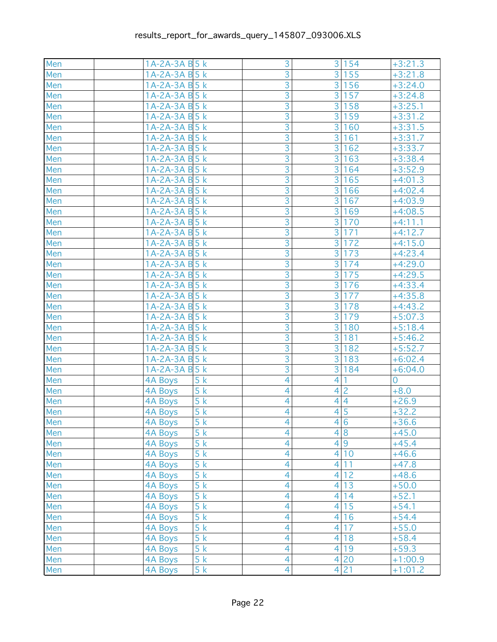| Men | 1A-2A-3A B 5 k                     | 3              | 3 154                             | $+3:21.3$      |
|-----|------------------------------------|----------------|-----------------------------------|----------------|
| Men | 1A-2A-3A B 5 k                     | 3              | 3 <sup>1</sup><br>155             | $+3:21.8$      |
| Men | 1A-2A-3A B 5 k                     | $\overline{3}$ | 3 <sup>1</sup><br>156             | $+3:24.0$      |
| Men | 1A-2A-3A B 5 k                     | $\overline{3}$ | 3 <sup>1</sup><br>157             | $+3:24.8$      |
| Men | 1A-2A-3A B 5 k                     | $\overline{3}$ | 3<br>158                          | $+3:25.1$      |
| Men | 1A-2A-3A B 5 k                     | $\overline{3}$ | 3<br>159                          | $+3:31.2$      |
| Men | 1A-2A-3A B 5 k                     | $\overline{3}$ | 3<br>160                          | $+3:31.5$      |
| Men | 1A-2A-3A B 5 k                     | $\overline{3}$ | 3<br>161                          | $+3:31.7$      |
| Men | 1A-2A-3A B 5 k                     | $\overline{3}$ | 3<br>162                          | $+3:33.7$      |
| Men | 1A-2A-3A B 5 k                     | $\overline{3}$ | 3<br>163                          | $+3:38.4$      |
| Men | 1A-2A-3A B 5 k                     | $\overline{3}$ | $\overline{3}$<br>164             | $+3:52.9$      |
| Men | 1A-2A-3A B 5 k                     | $\overline{3}$ | 3<br>165                          | $+4:01.3$      |
| Men | 1A-2A-3A B 5 k                     | $\overline{3}$ | 3 <sup>1</sup><br>166             | $+4:02.4$      |
| Men | 1A-2A-3A B 5 k                     | $\overline{3}$ | 3 <sup>2</sup><br>167             | $+4:03.9$      |
| Men | 1A-2A-3A B 5 k                     | $\overline{3}$ | $\overline{3}$<br>169             | $+4:08.5$      |
| Men | 1A-2A-3A B 5 k                     | $\overline{3}$ | $\overline{3}$<br>170             | $+4:11.1$      |
| Men | 1A-2A-3A B 5 k                     | $\overline{3}$ | $\overline{3}$<br>171             | $+4:12.7$      |
| Men | 1A-2A-3A B 5 k                     | $\overline{3}$ | $\overline{3}$<br>172             | $+4:15.0$      |
| Men | 1A-2A-3A B 5 k                     | $\overline{3}$ | 3<br>173                          | $+4:23.4$      |
| Men | 1A-2A-3A B 5 k                     | $\overline{3}$ | 3 <sup>1</sup><br>174             | $+4:29.0$      |
| Men | 1A-2A-3A B 5 k                     | $\overline{3}$ | 3<br>175                          | $+4:29.5$      |
| Men | 1A-2A-3A B 5 k                     | $\overline{3}$ | $\overline{3}$<br>176             | $+4:33.4$      |
| Men | 1A-2A-3A B 5 k                     | $\overline{3}$ | $\overline{3}$<br>177             | $+4:35.8$      |
| Men | 1A-2A-3A B 5 k                     | $\overline{3}$ | 3<br>178                          | $+4:43.2$      |
| Men | 1A-2A-3A B 5 k                     | $\overline{3}$ | 3 <sup>1</sup><br>179             | $+5:07.3$      |
| Men | 1A-2A-3A B 5 k                     | $\overline{3}$ | 3 <sup>1</sup><br>180             | $+5:18.4$      |
| Men | 1A-2A-3A B 5 k                     | $\overline{3}$ | 3<br>181                          | $+5:46.2$      |
| Men | 1A-2A-3A B 5 k                     | $\overline{3}$ | 3<br>182                          | $+5:52.7$      |
| Men | 1A-2A-3A B 5 k                     | $\overline{3}$ | 3<br>183                          | $+6:02.4$      |
| Men | 1A-2A-3A B 5 k                     | $\overline{3}$ | 3 <sup>1</sup><br>184             | $+6:04.0$      |
| Men | 4A Boys<br>5k                      | $\overline{4}$ | $\overline{4}$                    | $\overline{0}$ |
| Men | 5k<br>4A Boys                      | $\overline{4}$ | $\overline{c}$<br>4               | $+8.0$         |
| Men | 5k<br><b>4A Boys</b>               | 4              | $\overline{4}$<br>$\vert 4 \vert$ | $+26.9$        |
| Men | 5k<br><b>4A Boys</b>               | 4              | $\overline{4}$ 5                  | $+32.2$        |
| Men | 5k<br>4A Boys                      | $\overline{4}$ | 4 6                               | $+36.6$        |
| Men | 5k<br>4A Boys                      | $\overline{4}$ | 4 8                               | $+45.0$        |
| Men | 5k<br><b>4A Boys</b>               | $\overline{4}$ | 4 9                               | $+45.4$        |
| Men | 5k<br><b>4A Boys</b>               | $\overline{4}$ | 4 10                              | $+46.6$        |
| Men | 5k<br><b>4A Boys</b>               | $\overline{4}$ | 4 11                              | $+47.8$        |
| Men | 5k<br><b>4A Boys</b>               | 4              | $\vert 4 \vert$<br>12             | $+48.6$        |
| Men | 5k<br><b>4A Boys</b>               | $\overline{4}$ | 13<br>$\overline{4}$              | $+50.0$        |
| Men | 5k<br><b>4A Boys</b>               | $\overline{4}$ | 4 14                              | $+52.1$        |
| Men | $\overline{5}$ k<br><b>4A Boys</b> | $\overline{4}$ | 15<br>4 <sup>1</sup>              | $+54.1$        |
| Men | 5k<br><b>4A Boys</b>               | $\overline{4}$ | $\overline{4}$<br>16              | $+54.4$        |
| Men | 5k<br><b>4A Boys</b>               | 4              | 4 <sup>1</sup><br>17              | $+55.0$        |
| Men | $\overline{5}$ k<br><b>4A Boys</b> | $\overline{4}$ | 4 18                              | $+58.4$        |
| Men | 5k<br><b>4A Boys</b>               | $\overline{4}$ | 4 19                              | $+59.3$        |
| Men | 5k<br><b>4A Boys</b>               | $\overline{4}$ | 4 20                              | $+1:00.9$      |
| Men | 5k<br>4A Boys                      | $\overline{4}$ | 4 21                              | $+1:01.2$      |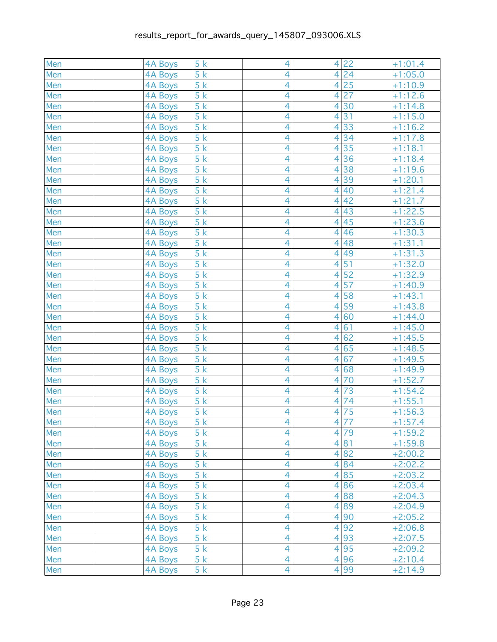| Men | <b>4A Boys</b> | 5k                            | $\overline{4}$ | $\overline{4}$  | 22   | $+1:01.4$ |
|-----|----------------|-------------------------------|----------------|-----------------|------|-----------|
| Men | 4A Boys        | 5k                            | $\overline{4}$ | $\vert 4 \vert$ | 24   | $+1:05.0$ |
| Men | <b>4A Boys</b> | 5k                            | 4              | 4 <sup>1</sup>  | 25   | $+1:10.9$ |
| Men | <b>4A Boys</b> | $\overline{5}$ k              | $\overline{4}$ | $\overline{4}$  | 27   | $+1:12.6$ |
| Men | <b>4A Boys</b> | $\overline{5}$ $\overline{k}$ | 4              | $\overline{4}$  | 30   | $+1:14.8$ |
| Men | <b>4A Boys</b> | $\overline{5}$ k              | 4              | 4               | 31   | $+1:15.0$ |
| Men | <b>4A Boys</b> | $\overline{5}$ k              | $\overline{4}$ | $\overline{4}$  | 33   | $+1:16.2$ |
| Men | 4A Boys        | 5k                            | 4              | $\overline{4}$  | 34   | $+1:17.8$ |
| Men | <b>4A Boys</b> | 5k                            | 4              | $\overline{4}$  | 35   | $+1:18.1$ |
| Men | <b>4A Boys</b> | $\overline{5}$ k              | 4              | $\vert 4 \vert$ | 36   | $+1:18.4$ |
| Men | <b>4A Boys</b> | 5k                            | 4              | 4               | 38   | $+1:19.6$ |
| Men | <b>4A Boys</b> | 5k                            | $\overline{4}$ | 4               | 39   | $+1:20.1$ |
| Men | <b>4A Boys</b> | $\overline{5}$ k              | $\overline{4}$ | $\overline{4}$  | 40   | $+1:21.4$ |
| Men | 4A Boys        | 5k                            | $\overline{4}$ | 4 <sup>1</sup>  | 42   | $+1:21.7$ |
| Men | <b>4A Boys</b> | 5k                            | 4              | 4 <sup>1</sup>  | 43   | $+1:22.5$ |
| Men | <b>4A Boys</b> | $\overline{5}$ k              | $\overline{4}$ | 4 <sup>1</sup>  | 45   | $+1:23.6$ |
| Men | <b>4A Boys</b> | $\overline{5}$ $\overline{k}$ | 4              | $\vert 4 \vert$ | 46   | $+1:30.3$ |
| Men | 4A Boys        | $\overline{5}$ k              | 4              | 4               | 48   | $+1:31.1$ |
| Men | <b>4A Boys</b> | $\overline{5}$ k              | $\overline{4}$ | $\overline{4}$  | 49   | $+1:31.3$ |
| Men | <b>4A Boys</b> | 5k                            | 4              | $\overline{4}$  | 51   | $+1:32.0$ |
| Men | <b>4A Boys</b> | 5k                            | 4              | $\overline{4}$  | 52   | $+1:32.9$ |
| Men | <b>4A Boys</b> | $\overline{5}$ k              | 4              | $\overline{4}$  | 57   | $+1:40.9$ |
| Men | <b>4A Boys</b> | 5k                            | 4              | $\vert 4 \vert$ | 58   | $+1:43.1$ |
| Men | <b>4A Boys</b> | 5k                            | $\overline{4}$ | $\overline{4}$  | 59   | $+1:43.8$ |
| Men | <b>4A Boys</b> | $\overline{5}$ k              | $\overline{4}$ | $\overline{4}$  | 60   | $+1:44.0$ |
| Men | 4A Boys        | 5k                            | $\overline{4}$ | 4 <sup>1</sup>  | 61   | $+1:45.0$ |
| Men | <b>4A Boys</b> | 5k                            | 4              | 4 <sup>1</sup>  | 62   | $+1:45.5$ |
| Men | <b>4A Boys</b> | $\overline{5}$ k              | $\overline{4}$ | $\overline{4}$  | 65   | $+1:48.5$ |
| Men | <b>4A Boys</b> | $\overline{5}$ $\overline{k}$ | 4              | $\overline{4}$  | 67   | $+1:49.5$ |
| Men | <b>4A Boys</b> | $\overline{5}$ k              | $\overline{4}$ | 4               | 68   | $+1:49.9$ |
| Men | <b>4A Boys</b> | 5k                            | $\overline{4}$ | $\overline{4}$  | 70   | $+1:52.7$ |
| Men | <b>4A Boys</b> | 5k                            | 4              | 4               | 73   | $+1:54.2$ |
| Men | <b>4A Boys</b> | 5k                            | 4              | $\overline{4}$  | 74   | $+1:55.1$ |
| Men | <b>4A Boys</b> | $\overline{5}$ k              | 4              | $\overline{4}$  | 75   | $+1:56.3$ |
| Men | 4A Boys        | 5k                            | $\overline{4}$ |                 | 4 77 | $+1:57.4$ |
| Men | <b>4A Boys</b> | 5k                            | $\overline{4}$ |                 | 4 79 | $+1:59.2$ |
| Men | <b>4A Boys</b> | 5k                            | $\overline{4}$ |                 | 4 81 | $+1:59.8$ |
| Men | <b>4A Boys</b> | 5k                            | $\overline{4}$ |                 | 4 82 | $+2:00.2$ |
| Men | <b>4A Boys</b> | 5k                            | 4              |                 | 4 84 | $+2:02.2$ |
| Men | <b>4A Boys</b> | 5k                            | $\overline{4}$ |                 | 4 85 | $+2:03.2$ |
| Men | <b>4A Boys</b> | 5k                            | 4              |                 | 4 86 | $+2:03.4$ |
| Men | <b>4A Boys</b> | 5k                            | $\overline{4}$ |                 | 4 88 | $+2:04.3$ |
| Men | <b>4A Boys</b> | 5k                            | $\overline{4}$ |                 | 4 89 | $+2:04.9$ |
| Men | 4A Boys        | 5k                            | $\overline{4}$ |                 | 4 90 | $+2:05.2$ |
| Men | <b>4A Boys</b> | 5k                            | 4              |                 | 4 92 | $+2:06.8$ |
| Men | <b>4A Boys</b> | 5k                            | $\overline{4}$ |                 | 4 93 | $+2:07.5$ |
| Men | <b>4A Boys</b> | 5k                            | $\overline{4}$ |                 | 4 95 | $+2:09.2$ |
| Men | <b>4A Boys</b> | 5k                            | $\overline{4}$ |                 | 4 96 | $+2:10.4$ |
| Men | <b>4A Boys</b> | 5k                            | $\overline{4}$ |                 | 4 99 | $+2:14.9$ |
|     |                |                               |                |                 |      |           |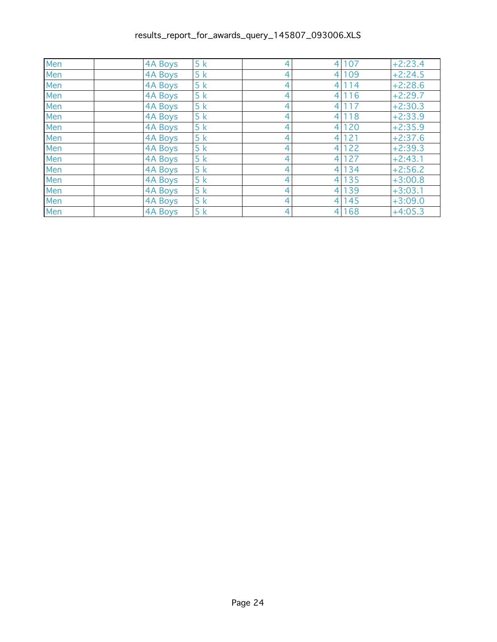| Men | 4A Boys        | 5k | 4 | 4 107 | $+2:23.4$ |
|-----|----------------|----|---|-------|-----------|
| Men | 4A Boys        | 5k | 4 | 4 109 | $+2:24.5$ |
| Men | 4A Boys        | 5k | 4 | 4 114 | $+2:28.6$ |
| Men | <b>4A Boys</b> | 5k | 4 | 4 116 | $+2:29.7$ |
| Men | 4A Boys        | 5k | 4 | 4 117 | $+2:30.3$ |
| Men | 4A Boys        | 5k | 4 | 4 118 | $+2:33.9$ |
| Men | 4A Boys        | 5k | 4 | 4 120 | $+2:35.9$ |
| Men | 4A Boys        | 5k | 4 | 4 121 | $+2:37.6$ |
| Men | 4A Boys        | 5k | 4 | 4 122 | $+2:39.3$ |
| Men | 4A Boys        | 5k | 4 | 4 127 | $+2:43.1$ |
| Men | 4A Boys        | 5k | 4 | 4 134 | $+2:56.2$ |
| Men | 4A Boys        | 5k | 4 | 4 135 | $+3:00.8$ |
| Men | 4A Boys        | 5k | 4 | 4 139 | $+3:03.1$ |
| Men | 4A Boys        | 5k | 4 | 4 145 | $+3:09.0$ |
| Men | <b>4A Boys</b> | 5k | 4 | 4 168 | $+4:05.3$ |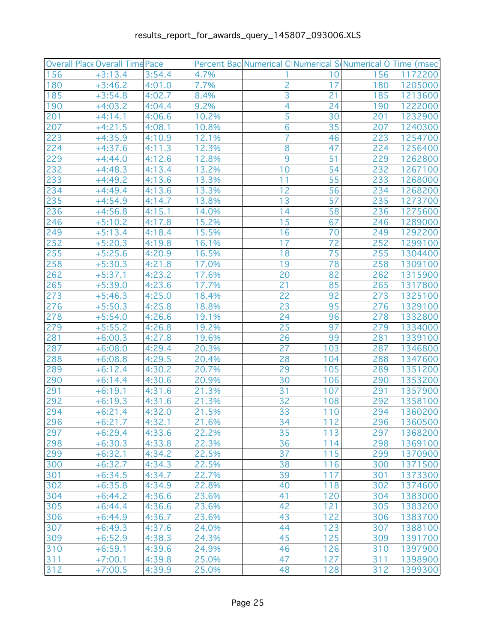|     | Overall Place Overall Time Pace |        |       | Percent Bac Numerical C Numerical S Numerical O Time (msec) |       |     |         |
|-----|---------------------------------|--------|-------|-------------------------------------------------------------|-------|-----|---------|
| 156 | $+3:13.4$                       | 3:54.4 | 4.7%  |                                                             | 10    | 156 | 1172200 |
| 180 | $+3:46.2$                       | 4:01.0 | 7.7%  | $\overline{c}$                                              | 17    | 180 | 1205000 |
| 185 | $+3:54.8$                       | 4:02.7 | 8.4%  | 3                                                           | 21    | 185 | 1213600 |
| 190 | $+4:03.2$                       | 4:04.4 | 9.2%  | 4                                                           | 24    | 190 | 1222000 |
| 201 | $+4:14.1$                       | 4:06.6 | 10.2% | 5                                                           | 30    | 201 | 1232900 |
| 207 | $+4:21.5$                       | 4:08.1 | 10.8% | 6                                                           | 35    | 207 | 1240300 |
| 223 | $+4:35.9$                       | 4:10.9 | 12.1% | $\overline{7}$                                              | 46    | 223 | 1254700 |
| 224 | $+4:37.6$                       | 4:11.3 | 12.3% | 8                                                           | 47    | 224 | 1256400 |
| 229 | $+4:44.0$                       | 4:12.6 | 12.8% | 9                                                           | 51    | 229 | 1262800 |
| 232 | $+4:48.3$                       | 4:13.4 | 13.2% | 10                                                          | 54    | 232 | 1267100 |
| 233 | $+4:49.2$                       | 4:13.6 | 13.3% | 11                                                          | 55    | 233 | 1268000 |
| 234 | $+4:49.4$                       | 4:13.6 | 13.3% | 12                                                          | 56    | 234 | 1268200 |
| 235 | $+4:54.9$                       | 4:14.7 | 13.8% | 13                                                          | 57    | 235 | 1273700 |
| 236 | $+4:56.8$                       | 4:15.1 | 14.0% | 14                                                          | 58    | 236 | 1275600 |
| 246 | $+5:10.2$                       | 4:17.8 | 15.2% | 15                                                          | 67    | 246 | 1289000 |
| 249 | $+5:13.4$                       | 4:18.4 | 15.5% | 16                                                          | 70    | 249 | 1292200 |
| 252 | $+5:20.3$                       | 4:19.8 | 16.1% | 17                                                          | 72    | 252 | 1299100 |
| 255 | $+5:25.6$                       | 4:20.9 | 16.5% | 18                                                          | 75    | 255 | 1304400 |
| 258 | $+5:30.3$                       | 4:21.8 | 17.0% | 19                                                          | 78    | 258 | 1309100 |
| 262 | $+5:37.1$                       | 4:23.2 | 17.6% | 20                                                          | 82    | 262 | 1315900 |
| 265 | $+5:39.0$                       | 4:23.6 | 17.7% | 21                                                          | 85    | 265 | 1317800 |
| 273 | $+5:46.3$                       | 4:25.0 | 18.4% | $\overline{22}$                                             | 92    | 273 | 1325100 |
| 276 | $+5:50.3$                       | 4:25.8 | 18.8% | 23                                                          | 95    | 276 | 1329100 |
| 278 | $+5:54.0$                       | 4:26.6 | 19.1% | 24                                                          | 96    | 278 | 1332800 |
| 279 | $+5:55.2$                       | 4:26.8 | 19.2% | 25                                                          | 97    | 279 | 1334000 |
| 281 | $+6:00.3$                       | 4:27.8 | 19.6% | 26                                                          | 99    | 281 | 1339100 |
| 287 | $+6:08.0$                       | 4:29.4 | 20.3% | 27                                                          | 103   | 287 | 1346800 |
| 288 | $+6:08.8$                       | 4:29.5 | 20.4% | 28                                                          | 104   | 288 | 1347600 |
| 289 | $+6:12.4$                       | 4:30.2 | 20.7% | 29                                                          | 105   | 289 | 1351200 |
| 290 | $+6:14.4$                       | 4:30.6 | 20.9% | 30                                                          | 106   | 290 | 1353200 |
| 291 | $+6:19.1$                       | 4:31.6 | 21.3% | 31                                                          | 107   | 291 | 1357900 |
| 292 | $+6:19.3$                       | 4:31.6 | 21.3% | 32                                                          | 108   | 292 | 1358100 |
| 294 | $+6:21.4$                       | 4:32.0 | 21.5% | 33                                                          | 110   | 294 | 1360200 |
| 296 | $+6:21.7$                       | 4:32.1 | 21.6% | 34                                                          | $112$ | 296 | 1360500 |
| 297 | $+6:29.4$                       | 4:33.6 | 22.2% | 35                                                          | 113   | 297 | 1368200 |
| 298 | $+6:30.3$                       | 4:33.8 | 22.3% | 36                                                          | 114   | 298 | 1369100 |
| 299 | $+6:32.1$                       | 4:34.2 | 22.5% | 37                                                          | 115   | 299 | 1370900 |
| 300 | $+6:32.7$                       | 4:34.3 | 22.5% | 38                                                          | 116   | 300 | 1371500 |
| 301 | $+6:34.5$                       | 4:34.7 | 22.7% | 39                                                          | 117   | 301 | 1373300 |
| 302 | $+6:35.8$                       | 4:34.9 | 22.8% | 40                                                          | 118   | 302 | 1374600 |
| 304 | $+6:44.2$                       | 4:36.6 | 23.6% | 41                                                          | 120   | 304 | 1383000 |
| 305 | $+6:44.4$                       | 4:36.6 | 23.6% | 42                                                          | 121   | 305 | 1383200 |
| 306 | $+6:44.9$                       | 4:36.7 | 23.6% | 43                                                          | 122   | 306 | 1383700 |
| 307 | $+6:49.3$                       | 4:37.6 | 24.0% | 44                                                          | 123   | 307 | 1388100 |
| 309 | $+6:52.9$                       | 4:38.3 | 24.3% | 45                                                          | 125   | 309 | 1391700 |
| 310 | $+6:59.1$                       | 4:39.6 | 24.9% | 46                                                          | 126   | 310 | 1397900 |
| 311 | $+7:00.1$                       | 4:39.8 | 25.0% | 47                                                          | 127   | 311 | 1398900 |
| 312 | $+7:00.5$                       | 4:39.9 | 25.0% | 48                                                          | 128   | 312 | 1399300 |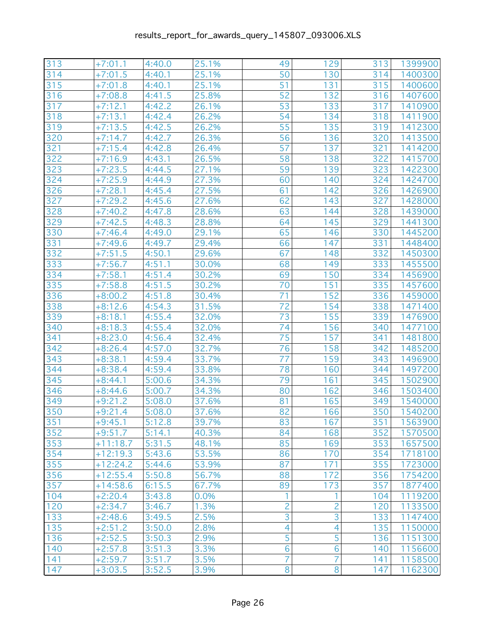| 313   | $+7:01.1$  | 4:40.0 | 25.1% | 49             | 129            | 313 | 1399900 |
|-------|------------|--------|-------|----------------|----------------|-----|---------|
| 314   | $+7:01.5$  | 4:40.1 | 25.1% | 50             | 130            | 314 | 1400300 |
| 315   | $+7:01.8$  | 4:40.1 | 25.1% | 51             | 131            | 315 | 1400600 |
| 316   | $+7:08.8$  | 4:41.5 | 25.8% | 52             | 132            | 316 | 1407600 |
| 317   | $+7:12.1$  | 4:42.2 | 26.1% | 53             | 133            | 317 | 1410900 |
| 318   | $+7:13.1$  | 4:42.4 | 26.2% | 54             | 134            | 318 | 1411900 |
| 319   | $+7:13.5$  | 4:42.5 | 26.2% | 55             | 135            | 319 | 1412300 |
| 320   | $+7:14.7$  | 4:42.7 | 26.3% | 56             | 136            | 320 | 1413500 |
| 321   | $+7:15.4$  | 4:42.8 | 26.4% | 57             | 137            | 321 | 1414200 |
| 322   | $+7:16.9$  | 4:43.1 | 26.5% | 58             | 138            | 322 | 1415700 |
| 323   | $+7:23.5$  | 4:44.5 | 27.1% | 59             | 139            | 323 | 1422300 |
| 324   | $+7:25.9$  | 4:44.9 | 27.3% | 60             | 140            | 324 | 1424700 |
| 326   | $+7:28.1$  | 4:45.4 | 27.5% | 61             | 142            | 326 | 1426900 |
| 327   | $+7:29.2$  | 4:45.6 | 27.6% | 62             | 143            | 327 | 1428000 |
| 328   | $+7:40.2$  | 4:47.8 | 28.6% | 63             | 144            | 328 | 1439000 |
| 329   | $+7:42.5$  | 4:48.3 | 28.8% | 64             | 145            | 329 | 1441300 |
| 330   | $+7:46.4$  | 4:49.0 | 29.1% | 65             | 146            | 330 | 1445200 |
| 331   | $+7:49.6$  | 4:49.7 | 29.4% | 66             | 147            | 331 | 1448400 |
| 332   | $+7:51.5$  | 4:50.1 | 29.6% | 67             | 148            | 332 | 1450300 |
| 333   | $+7:56.7$  | 4:51.1 | 30.0% | 68             | 149            | 333 | 1455500 |
| 334   | $+7:58.1$  | 4:51.4 | 30.2% | 69             | 150            | 334 | 1456900 |
| 335   | $+7:58.8$  | 4:51.5 | 30.2% | 70             | 151            | 335 | 1457600 |
| 336   | $+8:00.2$  | 4:51.8 | 30.4% | 71             | 152            | 336 | 1459000 |
| 338   | $+8:12.6$  | 4:54.3 | 31.5% | 72             | 154            | 338 | 1471400 |
| 339   | $+8:18.1$  | 4:55.4 | 32.0% | 73             | 155            | 339 | 1476900 |
| 340   | $+8:18.3$  | 4:55.4 | 32.0% | 74             | 156            | 340 | 1477100 |
| 341   | $+8:23.0$  | 4:56.4 | 32.4% | 75             | 157            | 341 | 1481800 |
| 342   | $+8:26.4$  | 4:57.0 | 32.7% | 76             | 158            | 342 | 1485200 |
| 343   | $+8:38.1$  | 4:59.4 | 33.7% | 77             | 159            | 343 | 1496900 |
| 344   | $+8:38.4$  | 4:59.4 | 33.8% | 78             | 160            | 344 | 1497200 |
| 345   | $+8:44.1$  | 5:00.6 | 34.3% | 79             | 161            | 345 | 1502900 |
| 346   | $+8:44.6$  | 5:00.7 | 34.3% | 80             | 162            | 346 | 1503400 |
| 349   | $+9:21.2$  | 5:08.0 | 37.6% | 81             | 165            | 349 | 1540000 |
| 350   | $+9:21.4$  | 5:08.0 | 37.6% | 82             | 166            | 350 | 1540200 |
| $351$ | $+9:45.1$  | 5:12.8 | 39.7% | 83             | 167            | 351 | 1563900 |
| 352   | $+9:51.7$  | 5:14.1 | 40.3% | 84             | 168            | 352 | 1570500 |
| 353   | $+11:18.7$ | 5:31.5 | 48.1% | 85             | 169            | 353 | 1657500 |
| 354   | $+12:19.3$ | 5:43.6 | 53.5% | 86             | 170            | 354 | 1718100 |
| 355   | $+12:24.2$ | 5:44.6 | 53.9% | 87             | 171            | 355 | 1723000 |
| 356   | $+12:55.4$ | 5:50.8 | 56.7% | 88             | 172            | 356 | 1754200 |
| 357   | $+14:58.6$ | 6:15.5 | 67.7% | 89             | 173            | 357 | 1877400 |
| 104   | $+2:20.4$  | 3:43.8 | 0.0%  |                |                | 104 | 1119200 |
| 120   | $+2:34.7$  | 3:46.7 | 1.3%  | $\overline{c}$ | $\overline{c}$ | 120 | 1133500 |
| 133   | $+2:48.6$  | 3:49.5 | 2.5%  | 3              | 3              | 133 | 1147400 |
| 135   | $+2:51.2$  | 3:50.0 | 2.8%  | $\overline{4}$ | $\overline{4}$ | 135 | 1150000 |
| 136   | $+2:52.5$  | 3:50.3 | 2.9%  | 5              | 5              | 136 | 1151300 |
| 140   | $+2:57.8$  | 3:51.3 | 3.3%  | 6              | 6              | 140 | 1156600 |
| 141   | $+2:59.7$  | 3:51.7 | 3.5%  | $\overline{7}$ | 7              | 141 | 1158500 |
| 147   | $+3:03.5$  | 3:52.5 | 3.9%  | 8              | 8              | 147 | 1162300 |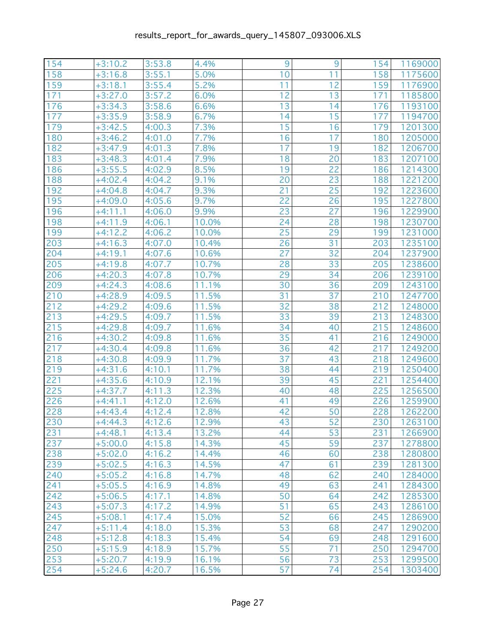| 154 | $+3:10.2$ | 3:53.8 | 4.4%  | 9  | 9               | 154 | 1169000 |
|-----|-----------|--------|-------|----|-----------------|-----|---------|
| 158 | $+3:16.8$ | 3:55.1 | 5.0%  | 10 | 11              | 158 | 1175600 |
| 159 | $+3:18.1$ | 3:55.4 | 5.2%  | 11 | 12              | 159 | 1176900 |
| 171 | $+3:27.0$ | 3:57.2 | 6.0%  | 12 | 13              | 171 | 1185800 |
| 176 | $+3:34.3$ | 3:58.6 | 6.6%  | 13 | 14              | 176 | 1193100 |
| 177 | $+3:35.9$ | 3:58.9 | 6.7%  | 14 | 15              | 177 | 1194700 |
| 179 | $+3:42.5$ | 4:00.3 | 7.3%  | 15 | 16              | 179 | 1201300 |
| 180 | $+3:46.2$ | 4:01.0 | 7.7%  | 16 | 17              | 180 | 1205000 |
| 182 | $+3:47.9$ | 4:01.3 | 7.8%  | 17 | 19              | 182 | 1206700 |
| 183 | $+3:48.3$ | 4:01.4 | 7.9%  | 18 | 20              | 183 | 1207100 |
| 186 | $+3:55.5$ | 4:02.9 | 8.5%  | 19 | 22              | 186 | 1214300 |
| 188 | $+4:02.4$ | 4:04.2 | 9.1%  | 20 | 23              | 188 | 1221200 |
| 192 | $+4:04.8$ | 4:04.7 | 9.3%  | 21 | 25              | 192 | 1223600 |
| 195 | $+4:09.0$ | 4:05.6 | 9.7%  | 22 | 26              | 195 | 1227800 |
| 196 | $+4:11.1$ | 4:06.0 | 9.9%  | 23 | 27              | 196 | 1229900 |
| 198 | $+4:11.9$ | 4:06.1 | 10.0% | 24 | 28              | 198 | 1230700 |
| 199 | $+4:12.2$ | 4:06.2 | 10.0% | 25 | 29              | 199 | 1231000 |
| 203 | $+4:16.3$ | 4:07.0 | 10.4% | 26 | 31              | 203 | 1235100 |
| 204 | $+4:19.1$ | 4:07.6 | 10.6% | 27 | 32              | 204 | 1237900 |
| 205 | $+4:19.8$ | 4:07.7 | 10.7% | 28 | 33              | 205 | 1238600 |
| 206 | $+4:20.3$ | 4:07.8 | 10.7% | 29 | 34              | 206 | 1239100 |
| 209 | $+4:24.3$ | 4:08.6 | 11.1% | 30 | 36              | 209 | 1243100 |
| 210 | $+4:28.9$ | 4:09.5 | 11.5% | 31 | 37              | 210 | 1247700 |
| 212 | $+4:29.2$ | 4:09.6 | 11.5% | 32 | 38              | 212 | 1248000 |
| 213 | $+4:29.5$ | 4:09.7 | 11.5% | 33 | 39              | 213 | 1248300 |
| 215 | $+4:29.8$ | 4:09.7 | 11.6% | 34 | 40              | 215 | 1248600 |
| 216 | $+4:30.2$ | 4:09.8 | 11.6% | 35 | 41              | 216 | 1249000 |
| 217 | $+4:30.4$ | 4:09.8 | 11.6% | 36 | 42              | 217 | 1249200 |
| 218 | $+4:30.8$ | 4:09.9 | 11.7% | 37 | 43              | 218 | 1249600 |
| 219 | $+4:31.6$ | 4:10.1 | 11.7% | 38 | 44              | 219 | 1250400 |
| 221 | $+4:35.6$ | 4:10.9 | 12.1% | 39 | 45              | 221 | 1254400 |
| 225 | $+4:37.7$ | 4:11.3 | 12.3% | 40 | 48              | 225 | 1256500 |
| 226 | $+4:41.1$ | 4:12.0 | 12.6% | 41 | 49              | 226 | 1259900 |
| 228 | $+4:43.4$ | 4:12.4 | 12.8% | 42 | 50              | 228 | 1262200 |
| 230 | $+4:44.3$ | 4:12.6 | 12.9% | 43 | $\overline{52}$ | 230 | 1263100 |
| 231 | $+4:48.1$ | 4:13.4 | 13.2% | 44 | 53              | 231 | 1266900 |
| 237 | $+5:00.0$ | 4:15.8 | 14.3% | 45 | 59              | 237 | 1278800 |
| 238 | $+5:02.0$ | 4:16.2 | 14.4% | 46 | 60              | 238 | 1280800 |
| 239 | $+5:02.5$ | 4:16.3 | 14.5% | 47 | 61              | 239 | 1281300 |
| 240 | $+5:05.2$ | 4:16.8 | 14.7% | 48 | 62              | 240 | 1284000 |
| 241 | $+5:05.5$ | 4:16.9 | 14.8% | 49 | 63              | 241 | 1284300 |
| 242 | $+5:06.5$ | 4:17.1 | 14.8% | 50 | 64              | 242 | 1285300 |
| 243 | $+5:07.3$ | 4:17.2 | 14.9% | 51 | 65              | 243 | 1286100 |
| 245 | $+5:08.1$ | 4:17.4 | 15.0% | 52 | 66              | 245 | 1286900 |
| 247 | $+5:11.4$ | 4:18.0 | 15.3% | 53 | 68              | 247 | 1290200 |
| 248 | $+5:12.8$ | 4:18.3 | 15.4% | 54 | 69              | 248 | 1291600 |
| 250 | $+5:15.9$ | 4:18.9 | 15.7% | 55 | 71              | 250 | 1294700 |
| 253 | $+5:20.7$ | 4:19.9 | 16.1% | 56 | 73              | 253 | 1299500 |
| 254 | $+5:24.6$ | 4:20.7 | 16.5% | 57 | 74              | 254 | 1303400 |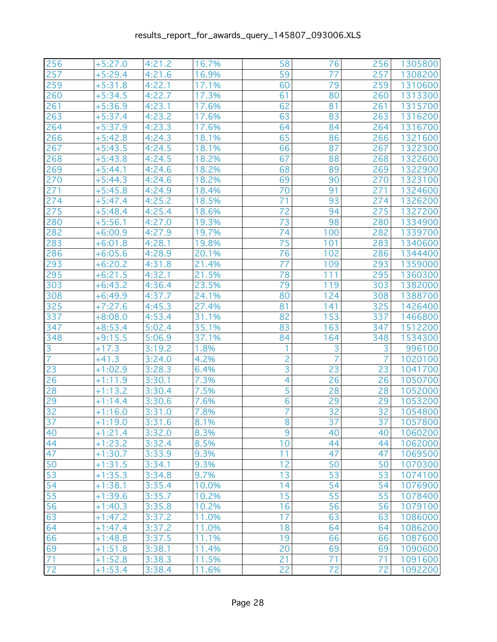| 256             | $+5:27.0$ | 4:21.2 | 16.7% | 58             | 76              | 256            | 1305800 |
|-----------------|-----------|--------|-------|----------------|-----------------|----------------|---------|
| 257             | $+5:29.4$ | 4:21.6 | 16.9% | 59             | 77              | 257            | 1308200 |
| 259             | $+5:31.8$ | 4:22.1 | 17.1% | 60             | 79              | 259            | 1310600 |
| 260             | $+5:34.5$ | 4:22.7 | 17.3% | 61             | 80              | 260            | 1313300 |
| 261             | $+5:36.9$ | 4:23.1 | 17.6% | 62             | 81              | 261            | 1315700 |
| 263             | $+5:37.4$ | 4:23.2 | 17.6% | 63             | 83              | 263            | 1316200 |
| 264             | $+5:37.9$ | 4:23.3 | 17.6% | 64             | 84              | 264            | 1316700 |
| 266             | $+5:42.8$ | 4:24.3 | 18.1% | 65             | 86              | 266            | 1321600 |
| 267             | $+5:43.5$ | 4:24.5 | 18.1% | 66             | 87              | 267            | 1322300 |
| 268             | $+5:43.8$ | 4:24.5 | 18.2% | 67             | 88              | 268            | 1322600 |
| 269             | $+5:44.1$ | 4:24.6 | 18.2% | 68             | 89              | 269            | 1322900 |
| 270             | $+5:44.3$ | 4:24.6 | 18.2% | 69             | 90              | 270            | 1323100 |
| 271             | $+5:45.8$ | 4:24.9 | 18.4% | 70             | 91              | 271            | 1324600 |
| 274             | $+5:47.4$ | 4:25.2 | 18.5% | 71             | 93              | 274            | 1326200 |
| 275             | $+5:48.4$ | 4:25.4 | 18.6% | 72             | 94              | 275            | 1327200 |
| 280             | $+5:56.1$ | 4:27.0 | 19.3% | 73             | 98              | 280            | 1334900 |
| 282             | $+6:00.9$ | 4:27.9 | 19.7% | 74             | 100             | 282            | 1339700 |
| 283             | $+6:01.8$ | 4:28.1 | 19.8% | 75             | 101             | 283            | 1340600 |
| 286             | $+6:05.6$ | 4:28.9 | 20.1% | 76             | 102             | 286            | 1344400 |
| 293             | $+6:20.2$ | 4:31.8 | 21.4% | 77             | 109             | 293            | 1359000 |
| 295             | $+6:21.5$ | 4:32.1 | 21.5% | 78             | 111             | 295            | 1360300 |
| 303             | $+6:43.2$ | 4:36.4 | 23.5% | 79             | 119             | 303            | 1382000 |
| 308             | $+6:49.9$ | 4:37.7 | 24.1% | 80             | 124             | 308            | 1388700 |
| 325             | $+7:27.6$ | 4:45.3 | 27.4% | 81             | 141             | 325            | 1426400 |
| 337             | $+8:08.0$ | 4:53.4 | 31.1% | 82             | 153             | 337            | 1466800 |
| 347             | $+8:53.4$ | 5:02.4 | 35.1% | 83             | 163             | 347            | 1512200 |
| 348             | $+9:15.5$ | 5:06.9 | 37.1% | 84             | 164             | 348            | 1534300 |
| 3               | $+17.3$   | 3:19.2 | 1.8%  | 1              | 3               | 3              | 996100  |
| $\overline{7}$  | $+41.3$   | 3:24.0 | 4.2%  | $\overline{c}$ | $\overline{7}$  | $\overline{7}$ | 1020100 |
| 23              | $+1:02.9$ | 3:28.3 | 6.4%  | 3              | 23              | 23             | 1041700 |
| 26              | $+1:11.9$ | 3:30.1 | 7.3%  | $\overline{4}$ | 26              | 26             | 1050700 |
| 28              | $+1:13.2$ | 3:30.4 | 7.5%  | 5              | 28              | 28             | 1052000 |
| 29              | $+1:14.4$ | 3:30.6 | 7.6%  | 6              | 29              | 29             | 1053200 |
| 32              | $+1:16.0$ | 3:31.0 | 7.8%  | 7              | 32              | 32             | 1054800 |
| $\overline{37}$ | $+1:19.0$ | 3:31.6 | 8.1%  | $\overline{8}$ | $\overline{37}$ | 37             | 1057800 |
| 40              | $+1:21.4$ | 3:32.0 | 8.3%  | 9              | 40              | 40             | 1060200 |
| 44              | $+1:23.2$ | 3:32.4 | 8.5%  | 10             | 44              | 44             | 1062000 |
| 47              | $+1:30.7$ | 3:33.9 | 9.3%  | 11             | 47              | 47             | 1069500 |
| 50              | $+1:31.5$ | 3:34.1 | 9.3%  | 12             | 50              | 50             | 1070300 |
| 53              | $+1:35.3$ | 3:34.8 | 9.7%  | 13             | 53              | 53             | 1074100 |
| 54              | $+1:38.1$ | 3:35.4 | 10.0% | 14             | 54              | 54             | 1076900 |
| 55              | $+1:39.6$ | 3:35.7 | 10.2% | 15             | 55              | 55             | 1078400 |
| 56              | $+1:40.3$ | 3:35.8 | 10.2% | 16             | 56              | 56             | 1079100 |
| 63              | $+1:47.2$ | 3:37.2 | 11.0% | 17             | 63              | 63             | 1086000 |
| 64              | $+1:47.4$ | 3:37.2 | 11.0% | 18             | 64              | 64             | 1086200 |
| 66              | $+1:48.8$ | 3:37.5 | 11.1% | 19             | 66              | 66             | 1087600 |
| 69              | $+1:51.8$ | 3:38.1 | 11.4% | 20             | 69              | 69             | 1090600 |
| 71              | $+1:52.8$ | 3:38.3 | 11.5% | 21             | 71              | 71             | 1091600 |
| 72              | $+1:53.4$ | 3:38.4 | 11.6% | 22             | 72              | 72             | 1092200 |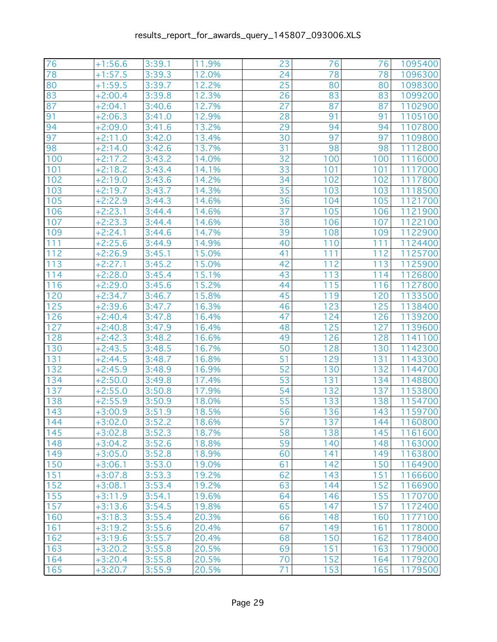| 76  | $+1:56.6$ | 3:39.1 | 11.9% | 23              | 76  | 76  | 1095400 |
|-----|-----------|--------|-------|-----------------|-----|-----|---------|
| 78  | $+1:57.5$ | 3:39.3 | 12.0% | 24              | 78  | 78  | 1096300 |
| 80  | $+1:59.5$ | 3:39.7 | 12.2% | 25              | 80  | 80  | 1098300 |
| 83  | $+2:00.4$ | 3:39.8 | 12.3% | 26              | 83  | 83  | 1099200 |
| 87  | $+2:04.1$ | 3:40.6 | 12.7% | $\overline{27}$ | 87  | 87  | 1102900 |
| 91  | $+2:06.3$ | 3:41.0 | 12.9% | 28              | 91  | 91  | 1105100 |
| 94  | $+2:09.0$ | 3:41.6 | 13.2% | 29              | 94  | 94  | 1107800 |
| 97  | $+2:11.0$ | 3:42.0 | 13.4% | 30              | 97  | 97  | 1109800 |
| 98  | $+2:14.0$ | 3:42.6 | 13.7% | 31              | 98  | 98  | 1112800 |
| 100 | $+2:17.2$ | 3:43.2 | 14.0% | 32              | 100 | 100 | 1116000 |
| 101 | $+2:18.2$ | 3:43.4 | 14.1% | 33              | 101 | 101 | 1117000 |
| 102 | $+2:19.0$ | 3:43.6 | 14.2% | 34              | 102 | 102 | 1117800 |
| 103 | $+2:19.7$ | 3:43.7 | 14.3% | 35              | 103 | 103 | 1118500 |
| 105 | $+2:22.9$ | 3:44.3 | 14.6% | 36              | 104 | 105 | 1121700 |
| 106 | $+2:23.1$ | 3:44.4 | 14.6% | 37              | 105 | 106 | 1121900 |
| 107 | $+2:23.3$ | 3:44.4 | 14.6% | 38              | 106 | 107 | 1122100 |
| 109 | $+2:24.1$ | 3:44.6 | 14.7% | 39              | 108 | 109 | 1122900 |
| 111 | $+2:25.6$ | 3:44.9 | 14.9% | 40              | 110 | 111 | 1124400 |
| 112 | $+2:26.9$ | 3:45.1 | 15.0% | 41              | 111 | 112 | 1125700 |
| 113 | $+2:27.1$ | 3:45.2 | 15.0% | 42              | 112 | 113 | 1125900 |
| 114 | $+2:28.0$ | 3:45.4 | 15.1% | 43              | 113 | 114 | 1126800 |
| 116 | $+2:29.0$ | 3:45.6 | 15.2% | 44              | 115 | 116 | 1127800 |
| 120 | $+2:34.7$ | 3:46.7 | 15.8% | 45              | 119 | 120 | 1133500 |
| 125 | $+2:39.6$ | 3:47.7 | 16.3% | 46              | 123 | 125 | 1138400 |
| 126 | $+2:40.4$ | 3:47.8 | 16.4% | 47              | 124 | 126 | 1139200 |
| 127 | $+2:40.8$ | 3:47.9 | 16.4% | 48              | 125 | 127 | 1139600 |
| 128 | $+2:42.3$ | 3:48.2 | 16.6% | 49              | 126 | 128 | 1141100 |
| 130 | $+2:43.5$ | 3:48.5 | 16.7% | 50              | 128 | 130 | 1142300 |
| 131 | $+2:44.5$ | 3:48.7 | 16.8% | 51              | 129 | 131 | 1143300 |
| 132 | $+2:45.9$ | 3:48.9 | 16.9% | 52              | 130 | 132 | 1144700 |
| 134 | $+2:50.0$ | 3:49.8 | 17.4% | 53              | 131 | 134 | 1148800 |
| 137 | $+2:55.0$ | 3:50.8 | 17.9% | 54              | 132 | 137 | 1153800 |
| 138 | $+2:55.9$ | 3:50.9 | 18.0% | 55              | 133 | 138 | 1154700 |
| 143 | $+3:00.9$ | 3:51.9 | 18.5% | 56              | 136 | 143 | 1159700 |
| 144 | $+3:02.0$ | 3:52.2 | 18.6% | $\overline{57}$ | 137 | 144 | 1160800 |
| 145 | $+3:02.8$ | 3:52.3 | 18.7% | 58              | 138 | 145 | 1161600 |
| 148 | $+3:04.2$ | 3:52.6 | 18.8% | 59              | 140 | 148 | 1163000 |
| 149 | $+3:05.0$ | 3:52.8 | 18.9% | 60              | 141 | 149 | 1163800 |
| 150 | $+3:06.1$ | 3:53.0 | 19.0% | 61              | 142 | 150 | 1164900 |
| 151 | $+3:07.8$ | 3:53.3 | 19.2% | 62              | 143 | 151 | 1166600 |
| 152 | $+3:08.1$ | 3:53.4 | 19.2% | 63              | 144 | 152 | 1166900 |
| 155 | $+3:11.9$ | 3:54.1 | 19.6% | 64              | 146 | 155 | 1170700 |
| 157 | $+3:13.6$ | 3:54.5 | 19.8% | 65              | 147 | 157 | 1172400 |
| 160 | $+3:18.3$ | 3:55.4 | 20.3% | 66              | 148 | 160 | 1177100 |
| 161 | $+3:19.2$ | 3:55.6 | 20.4% | 67              | 149 | 161 | 1178000 |
| 162 | $+3:19.6$ | 3:55.7 | 20.4% | 68              | 150 | 162 | 1178400 |
| 163 | $+3:20.2$ | 3:55.8 | 20.5% | 69              | 151 | 163 | 1179000 |
| 164 | $+3:20.4$ | 3:55.8 | 20.5% | 70              | 152 | 164 | 1179200 |
| 165 | $+3:20.7$ | 3:55.9 | 20.5% | 71              | 153 | 165 | 1179500 |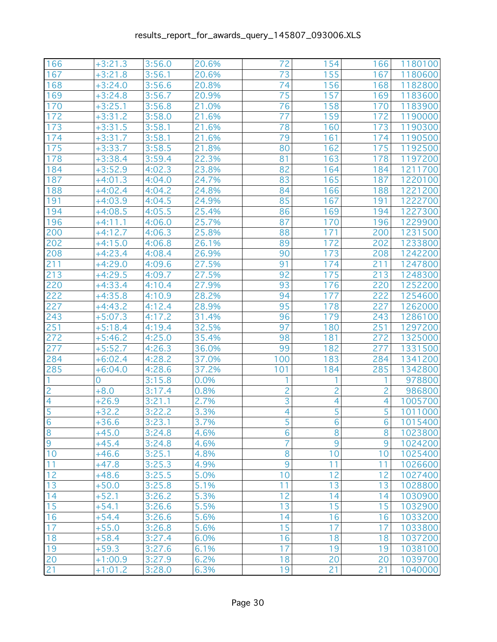| 166<br>72<br>$+3:21.3$<br>3:56.0<br>20.6%<br>154<br>166<br>1180100<br>167<br>155<br>$+3:21.8$<br>3:56.1<br>20.6%<br>73<br>167<br>1180600<br>74<br>3:56.6<br>156<br>168<br>168<br>$+3:24.0$<br>20.8%<br>1182800<br>75<br>3:56.7<br>157<br>169<br>169<br>$+3:24.8$<br>20.9%<br>1183600<br>76<br>158<br>170<br>$+3:25.1$<br>3:56.8<br>21.0%<br>170<br>1183900<br>77<br>172<br>3:58.0<br>21.6%<br>159<br>172<br>$+3:31.2$<br>1190000<br>3:58.1<br>78<br>173<br>$+3:31.5$<br>21.6%<br>160<br>173<br>1190300<br>79<br>174<br>$+3:31.7$<br>3:58.1<br>21.6%<br>161<br>174<br>1190500<br>175<br>175<br>3:58.5<br>21.8%<br>80<br>162<br>$+3:33.7$<br>1192500<br>3:59.4<br>22.3%<br>81<br>163<br>178<br>178<br>$+3:38.4$<br>1197200<br>82<br>164<br>184<br>$+3:52.9$<br>4:02.3<br>23.8%<br>184<br>1211700<br>83<br>187<br>24.7%<br>165<br>187<br>$+4:01.3$<br>4:04.0<br>1220100<br>84<br>188<br>$+4:02.4$<br>4:04.2<br>24.8%<br>166<br>188<br>1221200<br>85<br>167<br>191<br>191<br>$+4:03.9$<br>4:04.5<br>24.9%<br>1222700<br>25.4%<br>86<br>169<br>1227300<br>194<br>$+4:08.5$<br>4:05.5<br>194<br>25.7%<br>87<br>196<br>1229900<br>196<br>$+4:11.1$<br>4:06.0<br>170<br>4:06.3<br>88<br>200<br>$+4:12.7$<br>25.8%<br>171<br>200<br>1231500<br>89<br>$+4:15.0$<br>172<br>202<br>202<br>4:06.8<br>26.1%<br>1233800<br>90<br>173<br>208<br>208<br>$+4:23.4$<br>4:08.4<br>26.9%<br>1242200<br>27.5%<br>211<br>$+4:29.0$<br>4:09.6<br>91<br>174<br>211<br>1247800<br>27.5%<br>92<br>213<br>213<br>$+4:29.5$<br>4:09.7<br>175<br>1248300<br>27.9%<br>93<br>220<br>1252200<br>$+4:33.4$<br>4:10.4<br>176<br>220<br>28.2%<br>94<br>222<br>222<br>$+4:35.8$<br>177<br>1254600<br>4:10.9<br>95<br>178<br>227<br>227<br>$+4:43.2$<br>4:12.4<br>28.9%<br>1262000<br>96<br>$+5:07.3$<br>4:17.2<br>31.4%<br>179<br>243<br>243<br>1286100<br>32.5%<br>97<br>251<br>251<br>4:19.4<br>180<br>1297200<br>$+5:18.4$<br>272<br>35.4%<br>98<br>181<br>272<br>$+5:46.2$<br>4:25.0<br>1325000<br>4:26.3<br>99<br>277<br>277<br>$+5:52.7$<br>36.0%<br>182<br>1331500<br>4:28.2<br>100<br>284<br>37.0%<br>183<br>1341200<br>284<br>$+6:02.4$<br>37.2%<br>101<br>184<br>285<br>285<br>$+6:04.0$<br>4:28.6<br>1342800<br>3:15.8<br>1<br>978800<br>$\Omega$<br>0.0%<br>1<br>2<br>$\overline{c}$<br>$\overline{c}$<br>$+8.0$<br>3:17.4<br>0.8%<br>2<br>986800<br>3<br>$\overline{4}$<br>2.7%<br>4<br>4<br>$+26.9$<br>3:21.1<br>1005700<br>5<br>5<br>5<br>3:22.2<br>4<br>$+32.2$<br>3.3%<br>1011000<br>$\overline{6}$<br>$\overline{5}$<br>3.7%<br>$\overline{6}$<br>$+36.6$<br>3:23.1<br>1015400<br>$\overline{6}$<br>$\bf 8$<br>8<br>8<br>1023800<br>$+45.0$<br>3:24.8<br>4.6%<br>7<br>$9\,$<br>9<br>9<br>1024200<br>$+45.4$<br>3:24.8<br>4.6%<br>10<br>8<br>3:25.1<br>4.8%<br>10<br>10<br>1025400<br>$+46.6$<br>9<br>11<br>3:25.3<br>11<br>11<br>4.9%<br>1026600<br>$+47.8$<br>12<br>3:25.5<br>10<br>12<br>$+48.6$<br>5.0%<br>12<br>1027400<br>13<br>11<br>13<br>3:25.8<br>5.1%<br>13<br>1028800<br>$+50.0$<br>14<br>12<br>14<br>14<br>3:26.2<br>5.3%<br>1030900<br>$+52.1$<br>13<br>15<br>15<br>15<br>3:26.6<br>1032900<br>$+54.1$<br>5.5%<br>16<br>3:26.6<br>16<br>1033200<br>$+54.4$<br>5.6%<br>14<br>16<br>17<br>15<br>17<br>17<br>3:26.8<br>5.6%<br>1033800<br>$+55.0$<br>18<br>3:27.4<br>6.0%<br>16<br>18<br>1037200<br>$+58.4$<br>18<br>19<br>17<br>6.1%<br>19<br>19<br>1038100<br>$+59.3$<br>3:27.6<br>20<br>6.2%<br>18<br>20<br>$+1:00.9$<br>3:27.9<br>20<br>1039700<br>21<br>19<br>$+1:01.2$<br>3:28.0<br>6.3%<br>21<br>21<br>1040000 |                |  |  |  |  |
|--------------------------------------------------------------------------------------------------------------------------------------------------------------------------------------------------------------------------------------------------------------------------------------------------------------------------------------------------------------------------------------------------------------------------------------------------------------------------------------------------------------------------------------------------------------------------------------------------------------------------------------------------------------------------------------------------------------------------------------------------------------------------------------------------------------------------------------------------------------------------------------------------------------------------------------------------------------------------------------------------------------------------------------------------------------------------------------------------------------------------------------------------------------------------------------------------------------------------------------------------------------------------------------------------------------------------------------------------------------------------------------------------------------------------------------------------------------------------------------------------------------------------------------------------------------------------------------------------------------------------------------------------------------------------------------------------------------------------------------------------------------------------------------------------------------------------------------------------------------------------------------------------------------------------------------------------------------------------------------------------------------------------------------------------------------------------------------------------------------------------------------------------------------------------------------------------------------------------------------------------------------------------------------------------------------------------------------------------------------------------------------------------------------------------------------------------------------------------------------------------------------------------------------------------------------------------------------------------------------------------------------------------------------------------------------------------------------------------------------------------------------------------------------------------------------------------------------------------------------------------------------------------------------------------------------------------------------------------------------------------------------------------------------------------------------------------------------------------------------------------------------------------------------------------------------------------------------------------------------------------------------------------------------------------------------------------------------------------------------------------------------------------------------------------------------------------------------------------------------------------------------|----------------|--|--|--|--|
|                                                                                                                                                                                                                                                                                                                                                                                                                                                                                                                                                                                                                                                                                                                                                                                                                                                                                                                                                                                                                                                                                                                                                                                                                                                                                                                                                                                                                                                                                                                                                                                                                                                                                                                                                                                                                                                                                                                                                                                                                                                                                                                                                                                                                                                                                                                                                                                                                                                                                                                                                                                                                                                                                                                                                                                                                                                                                                                                                                                                                                                                                                                                                                                                                                                                                                                                                                                                                                                                                                              |                |  |  |  |  |
|                                                                                                                                                                                                                                                                                                                                                                                                                                                                                                                                                                                                                                                                                                                                                                                                                                                                                                                                                                                                                                                                                                                                                                                                                                                                                                                                                                                                                                                                                                                                                                                                                                                                                                                                                                                                                                                                                                                                                                                                                                                                                                                                                                                                                                                                                                                                                                                                                                                                                                                                                                                                                                                                                                                                                                                                                                                                                                                                                                                                                                                                                                                                                                                                                                                                                                                                                                                                                                                                                                              |                |  |  |  |  |
|                                                                                                                                                                                                                                                                                                                                                                                                                                                                                                                                                                                                                                                                                                                                                                                                                                                                                                                                                                                                                                                                                                                                                                                                                                                                                                                                                                                                                                                                                                                                                                                                                                                                                                                                                                                                                                                                                                                                                                                                                                                                                                                                                                                                                                                                                                                                                                                                                                                                                                                                                                                                                                                                                                                                                                                                                                                                                                                                                                                                                                                                                                                                                                                                                                                                                                                                                                                                                                                                                                              |                |  |  |  |  |
|                                                                                                                                                                                                                                                                                                                                                                                                                                                                                                                                                                                                                                                                                                                                                                                                                                                                                                                                                                                                                                                                                                                                                                                                                                                                                                                                                                                                                                                                                                                                                                                                                                                                                                                                                                                                                                                                                                                                                                                                                                                                                                                                                                                                                                                                                                                                                                                                                                                                                                                                                                                                                                                                                                                                                                                                                                                                                                                                                                                                                                                                                                                                                                                                                                                                                                                                                                                                                                                                                                              |                |  |  |  |  |
|                                                                                                                                                                                                                                                                                                                                                                                                                                                                                                                                                                                                                                                                                                                                                                                                                                                                                                                                                                                                                                                                                                                                                                                                                                                                                                                                                                                                                                                                                                                                                                                                                                                                                                                                                                                                                                                                                                                                                                                                                                                                                                                                                                                                                                                                                                                                                                                                                                                                                                                                                                                                                                                                                                                                                                                                                                                                                                                                                                                                                                                                                                                                                                                                                                                                                                                                                                                                                                                                                                              |                |  |  |  |  |
|                                                                                                                                                                                                                                                                                                                                                                                                                                                                                                                                                                                                                                                                                                                                                                                                                                                                                                                                                                                                                                                                                                                                                                                                                                                                                                                                                                                                                                                                                                                                                                                                                                                                                                                                                                                                                                                                                                                                                                                                                                                                                                                                                                                                                                                                                                                                                                                                                                                                                                                                                                                                                                                                                                                                                                                                                                                                                                                                                                                                                                                                                                                                                                                                                                                                                                                                                                                                                                                                                                              |                |  |  |  |  |
|                                                                                                                                                                                                                                                                                                                                                                                                                                                                                                                                                                                                                                                                                                                                                                                                                                                                                                                                                                                                                                                                                                                                                                                                                                                                                                                                                                                                                                                                                                                                                                                                                                                                                                                                                                                                                                                                                                                                                                                                                                                                                                                                                                                                                                                                                                                                                                                                                                                                                                                                                                                                                                                                                                                                                                                                                                                                                                                                                                                                                                                                                                                                                                                                                                                                                                                                                                                                                                                                                                              |                |  |  |  |  |
|                                                                                                                                                                                                                                                                                                                                                                                                                                                                                                                                                                                                                                                                                                                                                                                                                                                                                                                                                                                                                                                                                                                                                                                                                                                                                                                                                                                                                                                                                                                                                                                                                                                                                                                                                                                                                                                                                                                                                                                                                                                                                                                                                                                                                                                                                                                                                                                                                                                                                                                                                                                                                                                                                                                                                                                                                                                                                                                                                                                                                                                                                                                                                                                                                                                                                                                                                                                                                                                                                                              |                |  |  |  |  |
|                                                                                                                                                                                                                                                                                                                                                                                                                                                                                                                                                                                                                                                                                                                                                                                                                                                                                                                                                                                                                                                                                                                                                                                                                                                                                                                                                                                                                                                                                                                                                                                                                                                                                                                                                                                                                                                                                                                                                                                                                                                                                                                                                                                                                                                                                                                                                                                                                                                                                                                                                                                                                                                                                                                                                                                                                                                                                                                                                                                                                                                                                                                                                                                                                                                                                                                                                                                                                                                                                                              |                |  |  |  |  |
|                                                                                                                                                                                                                                                                                                                                                                                                                                                                                                                                                                                                                                                                                                                                                                                                                                                                                                                                                                                                                                                                                                                                                                                                                                                                                                                                                                                                                                                                                                                                                                                                                                                                                                                                                                                                                                                                                                                                                                                                                                                                                                                                                                                                                                                                                                                                                                                                                                                                                                                                                                                                                                                                                                                                                                                                                                                                                                                                                                                                                                                                                                                                                                                                                                                                                                                                                                                                                                                                                                              |                |  |  |  |  |
|                                                                                                                                                                                                                                                                                                                                                                                                                                                                                                                                                                                                                                                                                                                                                                                                                                                                                                                                                                                                                                                                                                                                                                                                                                                                                                                                                                                                                                                                                                                                                                                                                                                                                                                                                                                                                                                                                                                                                                                                                                                                                                                                                                                                                                                                                                                                                                                                                                                                                                                                                                                                                                                                                                                                                                                                                                                                                                                                                                                                                                                                                                                                                                                                                                                                                                                                                                                                                                                                                                              |                |  |  |  |  |
|                                                                                                                                                                                                                                                                                                                                                                                                                                                                                                                                                                                                                                                                                                                                                                                                                                                                                                                                                                                                                                                                                                                                                                                                                                                                                                                                                                                                                                                                                                                                                                                                                                                                                                                                                                                                                                                                                                                                                                                                                                                                                                                                                                                                                                                                                                                                                                                                                                                                                                                                                                                                                                                                                                                                                                                                                                                                                                                                                                                                                                                                                                                                                                                                                                                                                                                                                                                                                                                                                                              |                |  |  |  |  |
|                                                                                                                                                                                                                                                                                                                                                                                                                                                                                                                                                                                                                                                                                                                                                                                                                                                                                                                                                                                                                                                                                                                                                                                                                                                                                                                                                                                                                                                                                                                                                                                                                                                                                                                                                                                                                                                                                                                                                                                                                                                                                                                                                                                                                                                                                                                                                                                                                                                                                                                                                                                                                                                                                                                                                                                                                                                                                                                                                                                                                                                                                                                                                                                                                                                                                                                                                                                                                                                                                                              |                |  |  |  |  |
|                                                                                                                                                                                                                                                                                                                                                                                                                                                                                                                                                                                                                                                                                                                                                                                                                                                                                                                                                                                                                                                                                                                                                                                                                                                                                                                                                                                                                                                                                                                                                                                                                                                                                                                                                                                                                                                                                                                                                                                                                                                                                                                                                                                                                                                                                                                                                                                                                                                                                                                                                                                                                                                                                                                                                                                                                                                                                                                                                                                                                                                                                                                                                                                                                                                                                                                                                                                                                                                                                                              |                |  |  |  |  |
|                                                                                                                                                                                                                                                                                                                                                                                                                                                                                                                                                                                                                                                                                                                                                                                                                                                                                                                                                                                                                                                                                                                                                                                                                                                                                                                                                                                                                                                                                                                                                                                                                                                                                                                                                                                                                                                                                                                                                                                                                                                                                                                                                                                                                                                                                                                                                                                                                                                                                                                                                                                                                                                                                                                                                                                                                                                                                                                                                                                                                                                                                                                                                                                                                                                                                                                                                                                                                                                                                                              |                |  |  |  |  |
|                                                                                                                                                                                                                                                                                                                                                                                                                                                                                                                                                                                                                                                                                                                                                                                                                                                                                                                                                                                                                                                                                                                                                                                                                                                                                                                                                                                                                                                                                                                                                                                                                                                                                                                                                                                                                                                                                                                                                                                                                                                                                                                                                                                                                                                                                                                                                                                                                                                                                                                                                                                                                                                                                                                                                                                                                                                                                                                                                                                                                                                                                                                                                                                                                                                                                                                                                                                                                                                                                                              |                |  |  |  |  |
|                                                                                                                                                                                                                                                                                                                                                                                                                                                                                                                                                                                                                                                                                                                                                                                                                                                                                                                                                                                                                                                                                                                                                                                                                                                                                                                                                                                                                                                                                                                                                                                                                                                                                                                                                                                                                                                                                                                                                                                                                                                                                                                                                                                                                                                                                                                                                                                                                                                                                                                                                                                                                                                                                                                                                                                                                                                                                                                                                                                                                                                                                                                                                                                                                                                                                                                                                                                                                                                                                                              |                |  |  |  |  |
|                                                                                                                                                                                                                                                                                                                                                                                                                                                                                                                                                                                                                                                                                                                                                                                                                                                                                                                                                                                                                                                                                                                                                                                                                                                                                                                                                                                                                                                                                                                                                                                                                                                                                                                                                                                                                                                                                                                                                                                                                                                                                                                                                                                                                                                                                                                                                                                                                                                                                                                                                                                                                                                                                                                                                                                                                                                                                                                                                                                                                                                                                                                                                                                                                                                                                                                                                                                                                                                                                                              |                |  |  |  |  |
|                                                                                                                                                                                                                                                                                                                                                                                                                                                                                                                                                                                                                                                                                                                                                                                                                                                                                                                                                                                                                                                                                                                                                                                                                                                                                                                                                                                                                                                                                                                                                                                                                                                                                                                                                                                                                                                                                                                                                                                                                                                                                                                                                                                                                                                                                                                                                                                                                                                                                                                                                                                                                                                                                                                                                                                                                                                                                                                                                                                                                                                                                                                                                                                                                                                                                                                                                                                                                                                                                                              |                |  |  |  |  |
|                                                                                                                                                                                                                                                                                                                                                                                                                                                                                                                                                                                                                                                                                                                                                                                                                                                                                                                                                                                                                                                                                                                                                                                                                                                                                                                                                                                                                                                                                                                                                                                                                                                                                                                                                                                                                                                                                                                                                                                                                                                                                                                                                                                                                                                                                                                                                                                                                                                                                                                                                                                                                                                                                                                                                                                                                                                                                                                                                                                                                                                                                                                                                                                                                                                                                                                                                                                                                                                                                                              |                |  |  |  |  |
|                                                                                                                                                                                                                                                                                                                                                                                                                                                                                                                                                                                                                                                                                                                                                                                                                                                                                                                                                                                                                                                                                                                                                                                                                                                                                                                                                                                                                                                                                                                                                                                                                                                                                                                                                                                                                                                                                                                                                                                                                                                                                                                                                                                                                                                                                                                                                                                                                                                                                                                                                                                                                                                                                                                                                                                                                                                                                                                                                                                                                                                                                                                                                                                                                                                                                                                                                                                                                                                                                                              |                |  |  |  |  |
|                                                                                                                                                                                                                                                                                                                                                                                                                                                                                                                                                                                                                                                                                                                                                                                                                                                                                                                                                                                                                                                                                                                                                                                                                                                                                                                                                                                                                                                                                                                                                                                                                                                                                                                                                                                                                                                                                                                                                                                                                                                                                                                                                                                                                                                                                                                                                                                                                                                                                                                                                                                                                                                                                                                                                                                                                                                                                                                                                                                                                                                                                                                                                                                                                                                                                                                                                                                                                                                                                                              |                |  |  |  |  |
|                                                                                                                                                                                                                                                                                                                                                                                                                                                                                                                                                                                                                                                                                                                                                                                                                                                                                                                                                                                                                                                                                                                                                                                                                                                                                                                                                                                                                                                                                                                                                                                                                                                                                                                                                                                                                                                                                                                                                                                                                                                                                                                                                                                                                                                                                                                                                                                                                                                                                                                                                                                                                                                                                                                                                                                                                                                                                                                                                                                                                                                                                                                                                                                                                                                                                                                                                                                                                                                                                                              |                |  |  |  |  |
|                                                                                                                                                                                                                                                                                                                                                                                                                                                                                                                                                                                                                                                                                                                                                                                                                                                                                                                                                                                                                                                                                                                                                                                                                                                                                                                                                                                                                                                                                                                                                                                                                                                                                                                                                                                                                                                                                                                                                                                                                                                                                                                                                                                                                                                                                                                                                                                                                                                                                                                                                                                                                                                                                                                                                                                                                                                                                                                                                                                                                                                                                                                                                                                                                                                                                                                                                                                                                                                                                                              |                |  |  |  |  |
|                                                                                                                                                                                                                                                                                                                                                                                                                                                                                                                                                                                                                                                                                                                                                                                                                                                                                                                                                                                                                                                                                                                                                                                                                                                                                                                                                                                                                                                                                                                                                                                                                                                                                                                                                                                                                                                                                                                                                                                                                                                                                                                                                                                                                                                                                                                                                                                                                                                                                                                                                                                                                                                                                                                                                                                                                                                                                                                                                                                                                                                                                                                                                                                                                                                                                                                                                                                                                                                                                                              |                |  |  |  |  |
|                                                                                                                                                                                                                                                                                                                                                                                                                                                                                                                                                                                                                                                                                                                                                                                                                                                                                                                                                                                                                                                                                                                                                                                                                                                                                                                                                                                                                                                                                                                                                                                                                                                                                                                                                                                                                                                                                                                                                                                                                                                                                                                                                                                                                                                                                                                                                                                                                                                                                                                                                                                                                                                                                                                                                                                                                                                                                                                                                                                                                                                                                                                                                                                                                                                                                                                                                                                                                                                                                                              |                |  |  |  |  |
|                                                                                                                                                                                                                                                                                                                                                                                                                                                                                                                                                                                                                                                                                                                                                                                                                                                                                                                                                                                                                                                                                                                                                                                                                                                                                                                                                                                                                                                                                                                                                                                                                                                                                                                                                                                                                                                                                                                                                                                                                                                                                                                                                                                                                                                                                                                                                                                                                                                                                                                                                                                                                                                                                                                                                                                                                                                                                                                                                                                                                                                                                                                                                                                                                                                                                                                                                                                                                                                                                                              |                |  |  |  |  |
|                                                                                                                                                                                                                                                                                                                                                                                                                                                                                                                                                                                                                                                                                                                                                                                                                                                                                                                                                                                                                                                                                                                                                                                                                                                                                                                                                                                                                                                                                                                                                                                                                                                                                                                                                                                                                                                                                                                                                                                                                                                                                                                                                                                                                                                                                                                                                                                                                                                                                                                                                                                                                                                                                                                                                                                                                                                                                                                                                                                                                                                                                                                                                                                                                                                                                                                                                                                                                                                                                                              |                |  |  |  |  |
|                                                                                                                                                                                                                                                                                                                                                                                                                                                                                                                                                                                                                                                                                                                                                                                                                                                                                                                                                                                                                                                                                                                                                                                                                                                                                                                                                                                                                                                                                                                                                                                                                                                                                                                                                                                                                                                                                                                                                                                                                                                                                                                                                                                                                                                                                                                                                                                                                                                                                                                                                                                                                                                                                                                                                                                                                                                                                                                                                                                                                                                                                                                                                                                                                                                                                                                                                                                                                                                                                                              |                |  |  |  |  |
|                                                                                                                                                                                                                                                                                                                                                                                                                                                                                                                                                                                                                                                                                                                                                                                                                                                                                                                                                                                                                                                                                                                                                                                                                                                                                                                                                                                                                                                                                                                                                                                                                                                                                                                                                                                                                                                                                                                                                                                                                                                                                                                                                                                                                                                                                                                                                                                                                                                                                                                                                                                                                                                                                                                                                                                                                                                                                                                                                                                                                                                                                                                                                                                                                                                                                                                                                                                                                                                                                                              |                |  |  |  |  |
|                                                                                                                                                                                                                                                                                                                                                                                                                                                                                                                                                                                                                                                                                                                                                                                                                                                                                                                                                                                                                                                                                                                                                                                                                                                                                                                                                                                                                                                                                                                                                                                                                                                                                                                                                                                                                                                                                                                                                                                                                                                                                                                                                                                                                                                                                                                                                                                                                                                                                                                                                                                                                                                                                                                                                                                                                                                                                                                                                                                                                                                                                                                                                                                                                                                                                                                                                                                                                                                                                                              |                |  |  |  |  |
|                                                                                                                                                                                                                                                                                                                                                                                                                                                                                                                                                                                                                                                                                                                                                                                                                                                                                                                                                                                                                                                                                                                                                                                                                                                                                                                                                                                                                                                                                                                                                                                                                                                                                                                                                                                                                                                                                                                                                                                                                                                                                                                                                                                                                                                                                                                                                                                                                                                                                                                                                                                                                                                                                                                                                                                                                                                                                                                                                                                                                                                                                                                                                                                                                                                                                                                                                                                                                                                                                                              |                |  |  |  |  |
|                                                                                                                                                                                                                                                                                                                                                                                                                                                                                                                                                                                                                                                                                                                                                                                                                                                                                                                                                                                                                                                                                                                                                                                                                                                                                                                                                                                                                                                                                                                                                                                                                                                                                                                                                                                                                                                                                                                                                                                                                                                                                                                                                                                                                                                                                                                                                                                                                                                                                                                                                                                                                                                                                                                                                                                                                                                                                                                                                                                                                                                                                                                                                                                                                                                                                                                                                                                                                                                                                                              |                |  |  |  |  |
|                                                                                                                                                                                                                                                                                                                                                                                                                                                                                                                                                                                                                                                                                                                                                                                                                                                                                                                                                                                                                                                                                                                                                                                                                                                                                                                                                                                                                                                                                                                                                                                                                                                                                                                                                                                                                                                                                                                                                                                                                                                                                                                                                                                                                                                                                                                                                                                                                                                                                                                                                                                                                                                                                                                                                                                                                                                                                                                                                                                                                                                                                                                                                                                                                                                                                                                                                                                                                                                                                                              |                |  |  |  |  |
|                                                                                                                                                                                                                                                                                                                                                                                                                                                                                                                                                                                                                                                                                                                                                                                                                                                                                                                                                                                                                                                                                                                                                                                                                                                                                                                                                                                                                                                                                                                                                                                                                                                                                                                                                                                                                                                                                                                                                                                                                                                                                                                                                                                                                                                                                                                                                                                                                                                                                                                                                                                                                                                                                                                                                                                                                                                                                                                                                                                                                                                                                                                                                                                                                                                                                                                                                                                                                                                                                                              | $\overline{6}$ |  |  |  |  |
|                                                                                                                                                                                                                                                                                                                                                                                                                                                                                                                                                                                                                                                                                                                                                                                                                                                                                                                                                                                                                                                                                                                                                                                                                                                                                                                                                                                                                                                                                                                                                                                                                                                                                                                                                                                                                                                                                                                                                                                                                                                                                                                                                                                                                                                                                                                                                                                                                                                                                                                                                                                                                                                                                                                                                                                                                                                                                                                                                                                                                                                                                                                                                                                                                                                                                                                                                                                                                                                                                                              |                |  |  |  |  |
|                                                                                                                                                                                                                                                                                                                                                                                                                                                                                                                                                                                                                                                                                                                                                                                                                                                                                                                                                                                                                                                                                                                                                                                                                                                                                                                                                                                                                                                                                                                                                                                                                                                                                                                                                                                                                                                                                                                                                                                                                                                                                                                                                                                                                                                                                                                                                                                                                                                                                                                                                                                                                                                                                                                                                                                                                                                                                                                                                                                                                                                                                                                                                                                                                                                                                                                                                                                                                                                                                                              |                |  |  |  |  |
|                                                                                                                                                                                                                                                                                                                                                                                                                                                                                                                                                                                                                                                                                                                                                                                                                                                                                                                                                                                                                                                                                                                                                                                                                                                                                                                                                                                                                                                                                                                                                                                                                                                                                                                                                                                                                                                                                                                                                                                                                                                                                                                                                                                                                                                                                                                                                                                                                                                                                                                                                                                                                                                                                                                                                                                                                                                                                                                                                                                                                                                                                                                                                                                                                                                                                                                                                                                                                                                                                                              |                |  |  |  |  |
|                                                                                                                                                                                                                                                                                                                                                                                                                                                                                                                                                                                                                                                                                                                                                                                                                                                                                                                                                                                                                                                                                                                                                                                                                                                                                                                                                                                                                                                                                                                                                                                                                                                                                                                                                                                                                                                                                                                                                                                                                                                                                                                                                                                                                                                                                                                                                                                                                                                                                                                                                                                                                                                                                                                                                                                                                                                                                                                                                                                                                                                                                                                                                                                                                                                                                                                                                                                                                                                                                                              |                |  |  |  |  |
|                                                                                                                                                                                                                                                                                                                                                                                                                                                                                                                                                                                                                                                                                                                                                                                                                                                                                                                                                                                                                                                                                                                                                                                                                                                                                                                                                                                                                                                                                                                                                                                                                                                                                                                                                                                                                                                                                                                                                                                                                                                                                                                                                                                                                                                                                                                                                                                                                                                                                                                                                                                                                                                                                                                                                                                                                                                                                                                                                                                                                                                                                                                                                                                                                                                                                                                                                                                                                                                                                                              |                |  |  |  |  |
|                                                                                                                                                                                                                                                                                                                                                                                                                                                                                                                                                                                                                                                                                                                                                                                                                                                                                                                                                                                                                                                                                                                                                                                                                                                                                                                                                                                                                                                                                                                                                                                                                                                                                                                                                                                                                                                                                                                                                                                                                                                                                                                                                                                                                                                                                                                                                                                                                                                                                                                                                                                                                                                                                                                                                                                                                                                                                                                                                                                                                                                                                                                                                                                                                                                                                                                                                                                                                                                                                                              |                |  |  |  |  |
|                                                                                                                                                                                                                                                                                                                                                                                                                                                                                                                                                                                                                                                                                                                                                                                                                                                                                                                                                                                                                                                                                                                                                                                                                                                                                                                                                                                                                                                                                                                                                                                                                                                                                                                                                                                                                                                                                                                                                                                                                                                                                                                                                                                                                                                                                                                                                                                                                                                                                                                                                                                                                                                                                                                                                                                                                                                                                                                                                                                                                                                                                                                                                                                                                                                                                                                                                                                                                                                                                                              |                |  |  |  |  |
|                                                                                                                                                                                                                                                                                                                                                                                                                                                                                                                                                                                                                                                                                                                                                                                                                                                                                                                                                                                                                                                                                                                                                                                                                                                                                                                                                                                                                                                                                                                                                                                                                                                                                                                                                                                                                                                                                                                                                                                                                                                                                                                                                                                                                                                                                                                                                                                                                                                                                                                                                                                                                                                                                                                                                                                                                                                                                                                                                                                                                                                                                                                                                                                                                                                                                                                                                                                                                                                                                                              |                |  |  |  |  |
|                                                                                                                                                                                                                                                                                                                                                                                                                                                                                                                                                                                                                                                                                                                                                                                                                                                                                                                                                                                                                                                                                                                                                                                                                                                                                                                                                                                                                                                                                                                                                                                                                                                                                                                                                                                                                                                                                                                                                                                                                                                                                                                                                                                                                                                                                                                                                                                                                                                                                                                                                                                                                                                                                                                                                                                                                                                                                                                                                                                                                                                                                                                                                                                                                                                                                                                                                                                                                                                                                                              |                |  |  |  |  |
|                                                                                                                                                                                                                                                                                                                                                                                                                                                                                                                                                                                                                                                                                                                                                                                                                                                                                                                                                                                                                                                                                                                                                                                                                                                                                                                                                                                                                                                                                                                                                                                                                                                                                                                                                                                                                                                                                                                                                                                                                                                                                                                                                                                                                                                                                                                                                                                                                                                                                                                                                                                                                                                                                                                                                                                                                                                                                                                                                                                                                                                                                                                                                                                                                                                                                                                                                                                                                                                                                                              |                |  |  |  |  |
|                                                                                                                                                                                                                                                                                                                                                                                                                                                                                                                                                                                                                                                                                                                                                                                                                                                                                                                                                                                                                                                                                                                                                                                                                                                                                                                                                                                                                                                                                                                                                                                                                                                                                                                                                                                                                                                                                                                                                                                                                                                                                                                                                                                                                                                                                                                                                                                                                                                                                                                                                                                                                                                                                                                                                                                                                                                                                                                                                                                                                                                                                                                                                                                                                                                                                                                                                                                                                                                                                                              |                |  |  |  |  |
|                                                                                                                                                                                                                                                                                                                                                                                                                                                                                                                                                                                                                                                                                                                                                                                                                                                                                                                                                                                                                                                                                                                                                                                                                                                                                                                                                                                                                                                                                                                                                                                                                                                                                                                                                                                                                                                                                                                                                                                                                                                                                                                                                                                                                                                                                                                                                                                                                                                                                                                                                                                                                                                                                                                                                                                                                                                                                                                                                                                                                                                                                                                                                                                                                                                                                                                                                                                                                                                                                                              |                |  |  |  |  |
|                                                                                                                                                                                                                                                                                                                                                                                                                                                                                                                                                                                                                                                                                                                                                                                                                                                                                                                                                                                                                                                                                                                                                                                                                                                                                                                                                                                                                                                                                                                                                                                                                                                                                                                                                                                                                                                                                                                                                                                                                                                                                                                                                                                                                                                                                                                                                                                                                                                                                                                                                                                                                                                                                                                                                                                                                                                                                                                                                                                                                                                                                                                                                                                                                                                                                                                                                                                                                                                                                                              |                |  |  |  |  |
|                                                                                                                                                                                                                                                                                                                                                                                                                                                                                                                                                                                                                                                                                                                                                                                                                                                                                                                                                                                                                                                                                                                                                                                                                                                                                                                                                                                                                                                                                                                                                                                                                                                                                                                                                                                                                                                                                                                                                                                                                                                                                                                                                                                                                                                                                                                                                                                                                                                                                                                                                                                                                                                                                                                                                                                                                                                                                                                                                                                                                                                                                                                                                                                                                                                                                                                                                                                                                                                                                                              |                |  |  |  |  |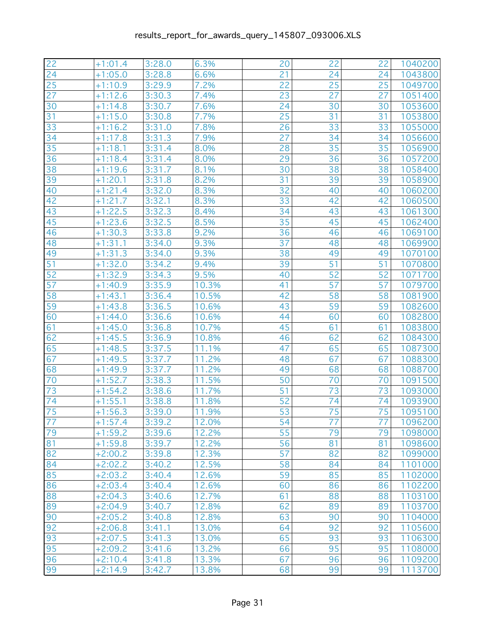| 22 | $+1:01.4$ | 3:28.0 | 6.3%  | 20 | 22              | 22              | 1040200 |
|----|-----------|--------|-------|----|-----------------|-----------------|---------|
| 24 | $+1:05.0$ | 3:28.8 | 6.6%  | 21 | 24              | 24              | 1043800 |
| 25 | $+1:10.9$ | 3:29.9 | 7.2%  | 22 | 25              | 25              | 1049700 |
| 27 | $+1:12.6$ | 3:30.3 | 7.4%  | 23 | 27              | 27              | 1051400 |
| 30 | $+1:14.8$ | 3:30.7 | 7.6%  | 24 | 30              | 30              | 1053600 |
| 31 | $+1:15.0$ | 3:30.8 | 7.7%  | 25 | 31              | 31              | 1053800 |
| 33 | $+1:16.2$ | 3:31.0 | 7.8%  | 26 | 33              | 33              | 1055000 |
| 34 | $+1:17.8$ | 3:31.3 | 7.9%  | 27 | 34              | 34              | 1056600 |
| 35 | $+1:18.1$ | 3:31.4 | 8.0%  | 28 | 35              | 35              | 1056900 |
| 36 | $+1:18.4$ | 3:31.4 | 8.0%  | 29 | $\overline{36}$ | 36              | 1057200 |
| 38 | $+1:19.6$ | 3:31.7 | 8.1%  | 30 | 38              | 38              | 1058400 |
| 39 | $+1:20.1$ | 3:31.8 | 8.2%  | 31 | 39              | 39              | 1058900 |
| 40 | $+1:21.4$ | 3:32.0 | 8.3%  | 32 | 40              | 40              | 1060200 |
| 42 | $+1:21.7$ | 3:32.1 | 8.3%  | 33 | 42              | 42              | 1060500 |
| 43 | $+1:22.5$ | 3:32.3 | 8.4%  | 34 | 43              | 43              | 1061300 |
| 45 | $+1:23.6$ | 3:32.5 | 8.5%  | 35 | 45              | 45              | 1062400 |
| 46 | $+1:30.3$ | 3:33.8 | 9.2%  | 36 | 46              | 46              | 1069100 |
| 48 | $+1:31.1$ | 3:34.0 | 9.3%  | 37 | 48              | 48              | 1069900 |
| 49 | $+1:31.3$ | 3:34.0 | 9.3%  | 38 | 49              | 49              | 1070100 |
| 51 | $+1:32.0$ | 3:34.2 | 9.4%  | 39 | 51              | 51              | 1070800 |
| 52 | $+1:32.9$ | 3:34.3 | 9.5%  | 40 | 52              | 52              | 1071700 |
| 57 | $+1:40.9$ | 3:35.9 | 10.3% | 41 | 57              | 57              | 1079700 |
| 58 | $+1:43.1$ | 3:36.4 | 10.5% | 42 | 58              | 58              | 1081900 |
| 59 | $+1:43.8$ | 3:36.5 | 10.6% | 43 | 59              | 59              | 1082600 |
| 60 | $+1:44.0$ | 3:36.6 | 10.6% | 44 | 60              | 60              | 1082800 |
| 61 | $+1:45.0$ | 3:36.8 | 10.7% | 45 | 61              | 61              | 1083800 |
| 62 | $+1:45.5$ | 3:36.9 | 10.8% | 46 | 62              | 62              | 1084300 |
| 65 | $+1:48.5$ | 3:37.5 | 11.1% | 47 | 65              | 65              | 1087300 |
| 67 | $+1:49.5$ | 3:37.7 | 11.2% | 48 | 67              | 67              | 1088300 |
| 68 | $+1:49.9$ | 3:37.7 | 11.2% | 49 | 68              | 68              | 1088700 |
| 70 | $+1:52.7$ | 3:38.3 | 11.5% | 50 | 70              | 70              | 1091500 |
| 73 | $+1:54.2$ | 3:38.6 | 11.7% | 51 | 73              | 73              | 1093000 |
| 74 | $+1:55.1$ | 3:38.8 | 11.8% | 52 | 74              | 74              | 1093900 |
| 75 | $+1:56.3$ | 3:39.0 | 11.9% | 53 | 75              | 75              | 1095100 |
| 77 | $+1:57.4$ | 3:39.2 | 12.0% | 54 | $\overline{77}$ | $\overline{77}$ | 1096200 |
| 79 | $+1:59.2$ | 3:39.6 | 12.2% | 55 | 79              | 79              | 1098000 |
| 81 | $+1:59.8$ | 3:39.7 | 12.2% | 56 | 81              | 81              | 1098600 |
| 82 | $+2:00.2$ | 3:39.8 | 12.3% | 57 | 82              | 82              | 1099000 |
| 84 | $+2:02.2$ | 3:40.2 | 12.5% | 58 | 84              | 84              | 1101000 |
| 85 | $+2:03.2$ | 3:40.4 | 12.6% | 59 | 85              | 85              | 1102000 |
| 86 | $+2:03.4$ | 3:40.4 | 12.6% | 60 | 86              | 86              | 1102200 |
| 88 | $+2:04.3$ | 3:40.6 | 12.7% | 61 | 88              | 88              | 1103100 |
| 89 | $+2:04.9$ | 3:40.7 | 12.8% | 62 | 89              | 89              | 1103700 |
| 90 | $+2:05.2$ | 3:40.8 | 12.8% | 63 | 90              | 90              | 1104000 |
| 92 | $+2:06.8$ | 3:41.1 | 13.0% | 64 | 92              | 92              | 1105600 |
| 93 | $+2:07.5$ | 3:41.3 | 13.0% | 65 | 93              | 93              | 1106300 |
| 95 | $+2:09.2$ | 3:41.6 | 13.2% | 66 | 95              | 95              | 1108000 |
| 96 | $+2:10.4$ | 3:41.8 | 13.3% | 67 | 96              | 96              | 1109200 |
| 99 | $+2:14.9$ | 3:42.7 | 13.8% | 68 | 99              | 99              | 1113700 |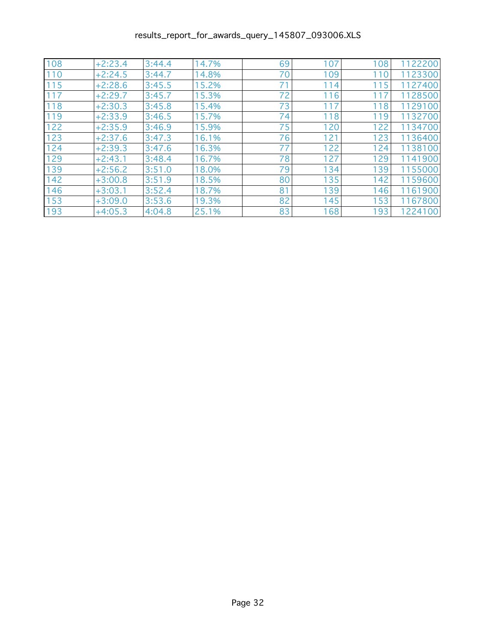| 108 | $+2:23.4$ | 3:44.4 | 14.7% | 69 | 107 | 108 | 1122200 |
|-----|-----------|--------|-------|----|-----|-----|---------|
| 110 | $+2:24.5$ | 3:44.7 | 14.8% | 70 | 109 | 110 | 1123300 |
| 115 | $+2:28.6$ | 3:45.5 | 15.2% | 71 | 114 | 115 | 1127400 |
| 117 | $+2:29.7$ | 3:45.7 | 15.3% | 72 | 116 | 117 | 1128500 |
| 118 | $+2:30.3$ | 3:45.8 | 15.4% | 73 | 117 | 118 | 1129100 |
| 119 | $+2:33.9$ | 3:46.5 | 15.7% | 74 | 118 | 119 | 1132700 |
| 122 | $+2:35.9$ | 3:46.9 | 15.9% | 75 | 120 | 122 | 1134700 |
| 123 | $+2:37.6$ | 3:47.3 | 16.1% | 76 | 121 | 123 | 1136400 |
| 124 | $+2:39.3$ | 3:47.6 | 16.3% | 77 | 122 | 124 | 1138100 |
| 129 | $+2:43.1$ | 3:48.4 | 16.7% | 78 | 127 | 129 | 1141900 |
| 139 | $+2:56.2$ | 3:51.0 | 18.0% | 79 | 134 | 139 | 1155000 |
| 142 | $+3:00.8$ | 3:51.9 | 18.5% | 80 | 135 | 142 | 1159600 |
| 146 | $+3:03.1$ | 3:52.4 | 18.7% | 81 | 139 | 146 | 1161900 |
| 153 | $+3:09.0$ | 3:53.6 | 19.3% | 82 | 145 | 153 | 1167800 |
| 193 | $+4:05.3$ | 4:04.8 | 25.1% | 83 | 168 | 193 | 1224100 |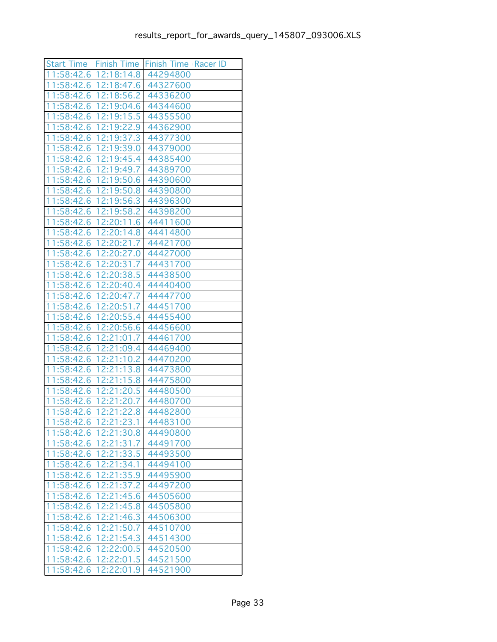|                          |                          | Start Time   Finish Time   Finish Time   Racer ID |  |
|--------------------------|--------------------------|---------------------------------------------------|--|
|                          | 11:58:42.6   12:18:14.8  | 44294800                                          |  |
|                          | 11:58:42.6 12:18:47.6    | 44327600                                          |  |
| 11:58:42.6               | 12:18:56.2               | 44336200                                          |  |
| 11:58:42.6               | 12:19:04.6               | 44344600                                          |  |
| 11:58:42.6               | 12:19:15.5               | 44355500                                          |  |
| 11:58:42.6               | 12:19:22.9               | 44362900                                          |  |
| 11:58:42.6               | 12:19:37.3               | 44377300                                          |  |
| 11:58:42.6               | 12:19:39.0               | 44379000                                          |  |
| 11:58:42.6               | 12:19:45.4               | 44385400                                          |  |
| 11:58:42.6               | 12:19:49.7               | 44389700                                          |  |
| 11:58:42.6 12:19:50.6    |                          | 44390600                                          |  |
|                          | 11:58:42.6   12:19:50.8  | 44390800                                          |  |
|                          | 11:58:42.6 12:19:56.3    | 44396300                                          |  |
|                          | 11:58:42.6   12:19:58.2  | 44398200                                          |  |
| 11:58:42.6               | 12:20:11.6               | 44411600                                          |  |
| 11:58:42.6               | 12:20:14.8               | 44414800                                          |  |
| 11:58:42.6               | 12:20:21.7               | 44421700                                          |  |
| 11:58:42.6               | 12:20:27.0               | 44427000                                          |  |
| 11:58:42.6               | 12:20:31.7               | 44431700                                          |  |
| 11:58:42.6               | 12:20:38.5               | 44438500                                          |  |
| 11:58:42.6               | 12:20:40.4               | 44440400                                          |  |
| 11:58:42.6               | 12:20:47.7               | 44447700                                          |  |
| 11:58:42.6               | 12:20:51.7               | 44451700                                          |  |
| 11:58:42.6               | 12:20:55.4               | 44455400                                          |  |
|                          | 11:58:42.6 12:20:56.6    | 44456600                                          |  |
|                          | 11:58:42.6   12:21:01.7  | 44461700                                          |  |
| 11:58:42.6               | 12:21:09.4               | 44469400                                          |  |
| 11:58:42.6               | 12:21:10.2<br>12:21:13.8 | 44470200<br>44473800                              |  |
| 11:58:42.6<br>11:58:42.6 |                          |                                                   |  |
| 11:58:42.6               | 12:21:15.8<br>12:21:20.5 | 44475800<br>44480500                              |  |
| 11:58:42.6 12:21:20.7    |                          | 44480700                                          |  |
| 11:58:42.6               | 12:21:22.8               | 44482800                                          |  |
| 11:58:42.6 12:21:23.1    |                          | 44483100                                          |  |
| 11:58:42.6               | 12:21:30.8               | 44490800                                          |  |
|                          | 11:58:42.6   12:21:31.7  | 44491700                                          |  |
| 11:58:42.6               | 12:21:33.5               | 44493500                                          |  |
| 11:58:42.6               | 12:21:34.1               | 44494100                                          |  |
| 11:58:42.6               | 12:21:35.9               | 44495900                                          |  |
| 11:58:42.6               | 12:21:37.2               | 44497200                                          |  |
| 11:58:42.6               | 12:21:45.6               | 44505600                                          |  |
| 11:58:42.6               | 12:21:45.8               | 44505800                                          |  |
| 11:58:42.6               | 12:21:46.3               | 44506300                                          |  |
| 11:58:42.6               | 12:21:50.7               | 44510700                                          |  |
| 11:58:42.6               | 12:21:54.3               | 44514300                                          |  |
| 11:58:42.6               | 12:22:00.5               | 44520500                                          |  |
| 11:58:42.6               | 12:22:01.5               | 44521500                                          |  |
|                          | 11:58:42.6 12:22:01.9    | 44521900                                          |  |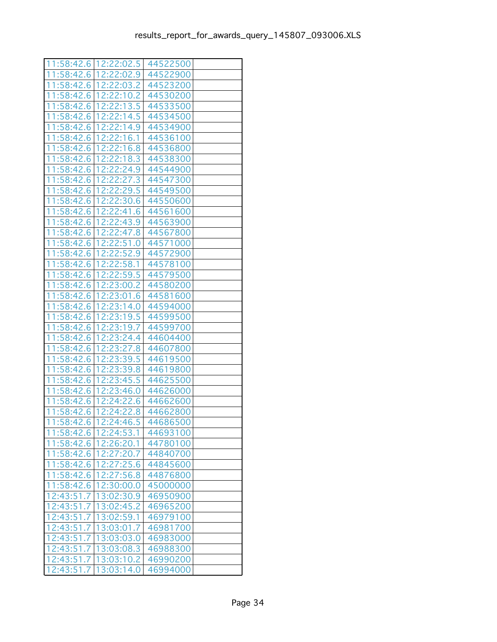|                       | 11:58:42.6   12:22:02.5 | 44522500 |  |
|-----------------------|-------------------------|----------|--|
| 11:58:42.6            | 12:22:02.9              | 44522900 |  |
| 11:58:42.6            | 12:22:03.2              | 44523200 |  |
| 11:58:42.6            | 12:22:10.2              | 44530200 |  |
| 11:58:42.6            | 12:22:13.5              | 44533500 |  |
| 1:58:42.6<br>1        | 12:22:14.5              | 44534500 |  |
| 11:58:42.6            | 12:22:14.9              | 44534900 |  |
| 11:58:42.6            | 12:22:16.1              | 44536100 |  |
| 11:58:42.6            | 12:22:16.8              | 44536800 |  |
| 11:58:42.6            | 12:22:18.3              | 44538300 |  |
| 11:58:42.6            | 12:22:24.9              | 44544900 |  |
| 1:58:42.6<br>1        | 12:22:27.3              | 44547300 |  |
| 11:58:42.6            | 12:22:29.5              | 44549500 |  |
| 11:58:42.6            | 12:22:30.6              | 44550600 |  |
| 11:58:42.6            | 12:22:41.6              | 44561600 |  |
| 11:58:42.6            | 12:22:43.9              | 44563900 |  |
| 11:58:42.6            | 12:22:47.8              | 44567800 |  |
| 1:58:42.6<br>1        | 12:22:51.0              | 44571000 |  |
| 11:58:42.6            | 12:22:52.9              | 44572900 |  |
| 11:58:42.6            | 12:22:58.1              | 44578100 |  |
| 11:58:42.6            | 12:22:59.5              | 44579500 |  |
| 11:58:42.6            | 12:23:00.2              | 44580200 |  |
| 11:58:42.6            | 12:23:01.6              | 44581600 |  |
| 11:58:42.6            | 12:23:14.0              | 44594000 |  |
| 11:58:42.6            | 12:23:19.5              | 44599500 |  |
| 11:58:42.6            | 12:23:19.7              | 44599700 |  |
| 11:58:42.6            | 12:23:24.4              | 44604400 |  |
| 11:58:42.6            | 12:23:27.8              | 44607800 |  |
| 11:58:42.6            | 12:23:39.5              | 44619500 |  |
| 1:58:42.6<br>1        | 12:23:39.8              | 44619800 |  |
| 11:58:42.6            | 12:23:45.5              | 44625500 |  |
| 11:58:42.6            | 12:23:46.0              | 44626000 |  |
| 11:58:42.6            | 12:24:22.6              | 44662600 |  |
| 11:58:42.6            | 12:24:22.8              | 44662800 |  |
| 11:58:42.6 12:24:46.5 |                         | 44686500 |  |
| 11:58:42.6 12:24:53.1 |                         | 44693100 |  |
| 11:58:42.6            | 12:26:20.1              | 44780100 |  |
| 11:58:42.6            | 12:27:20.7              | 44840700 |  |
| 11:58:42.6            | 12:27:25.6              | 44845600 |  |
| 11:58:42.6            | 12:27:56.8              | 44876800 |  |
| 11:58:42.6            | 12:30:00.0              | 45000000 |  |
| 12:43:51.7            | 13:02:30.9              | 46950900 |  |
| 12:43:51.7            | 13:02:45.2              | 46965200 |  |
| 12:43:51.7            | 13:02:59.1              | 46979100 |  |
| 12:43:51.7            | 13:03:01.7              | 46981700 |  |
| 12:43:51.7            | 13:03:03.0              | 46983000 |  |
| 12:43:51.7            | 13:03:08.3              | 46988300 |  |
| 12:43:51.7            | 13:03:10.2              | 46990200 |  |
| 12:43:51.7            | 13:03:14.0              | 46994000 |  |
|                       |                         |          |  |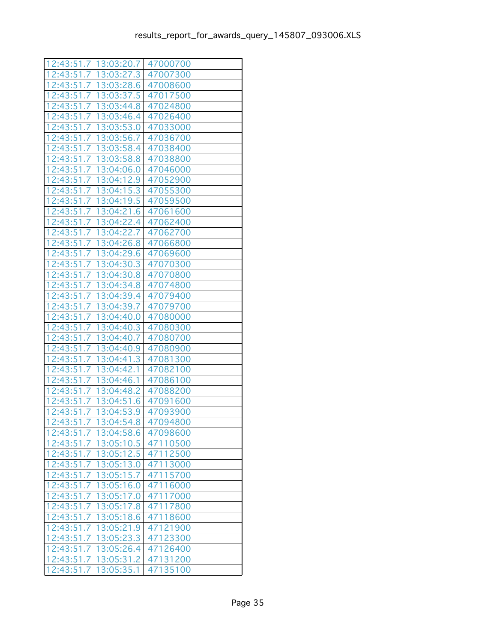|                         | 12:43:51.7   13:03:20.7 | 47000700 |  |
|-------------------------|-------------------------|----------|--|
| 12:43:51.7   13:03:27.3 |                         | 47007300 |  |
| 12:43:51.7 13:03:28.6   |                         | 47008600 |  |
| 12:43:51.7              | 13:03:37.5              | 47017500 |  |
| 12:43:51.7              | 13:03:44.8              | 47024800 |  |
| 12:43:51.7              | 13:03:46.4              | 47026400 |  |
| 12:43:51.7              | 13:03:53.0              | 47033000 |  |
| 12:43:51.7   13:03:56.7 |                         | 47036700 |  |
| 12:43:51.7              | 13:03:58.4              | 47038400 |  |
| 12:43:51.7              | 13:03:58.8              | 47038800 |  |
| 12:43:51.7              | 13:04:06.0              | 47046000 |  |
| 12:43:51.7              | 13:04:12.9              | 47052900 |  |
| 12:43:51.7              | 13:04:15.3              | 47055300 |  |
| 12:43:51.7              | 13:04:19.5              | 47059500 |  |
| 12:43:51.7              | 13:04:21.6              | 47061600 |  |
| 12:43:51.7              | 13:04:22.4              | 47062400 |  |
| 12:43:51.7              | 13:04:22.7              | 47062700 |  |
| 12:43:51<br>.7          | 13:04:26.8              | 47066800 |  |
| 12:43:51.7              | 13:04:29.6              | 47069600 |  |
|                         | 12:43:51.7   13:04:30.3 | 47070300 |  |
| 12:43:51.7              | 13:04:30.8              | 47070800 |  |
| 12:43:51.7              | 13:04:34.8              | 47074800 |  |
| 12:43:51.7              | 13:04:39.4              | 47079400 |  |
| 12:43:51.7              | 13:04:39.7              | 47079700 |  |
| 12:43:51.7              | 13:04:40.0              | 47080000 |  |
| 12:43:51.7              | 13:04:40.3              | 47080300 |  |
| 12:43:51.7              | 13:04:40.7              | 47080700 |  |
| 12:43:51.7              | 13:04:40.9              | 47080900 |  |
| 12:43:51.7              | 13:04:41.3              | 47081300 |  |
| 12:43:51<br>.7          | 13:04:42.1              | 47082100 |  |
| 12:43:51.7              | 13:04:46.1              | 47086100 |  |
| 12:43:51.7   13:04:48.2 |                         | 47088200 |  |
| 12:43:51.7 13:04:51.6   |                         | 47091600 |  |
| 12:43:51.7              | 13:04:53.9              | 47093900 |  |
| 12:43:51.7 13:04:54.8   |                         | 47094800 |  |
|                         | 12:43:51.7   13:04:58.6 | 47098600 |  |
| 12:43:51.7   13:05:10.5 |                         | 47110500 |  |
|                         | 12:43:51.7   13:05:12.5 | 47112500 |  |
| 12:43:51.7              | 13:05:13.0              | 47113000 |  |
| 12:43:51.7              | 13:05:15.7              | 47115700 |  |
| 12:43:51.7              | 13:05:16.0              | 47116000 |  |
| 12:43:51.7              | 13:05:17.0              | 47117000 |  |
| 12:43:51.7              | 13:05:17.8              | 47117800 |  |
| 12:43:51.7              | 13:05:18.6              | 47118600 |  |
| 12:43:51.7              | 13:05:21.9              | 47121900 |  |
| 12:43:51.7              | 13:05:23.3              | 47123300 |  |
| 12:43:51.7              | 13:05:26.4              | 47126400 |  |
| 12:43:51.7              | 13:05:31.2              | 47131200 |  |
| 12:43:51.7   13:05:35.1 |                         | 47135100 |  |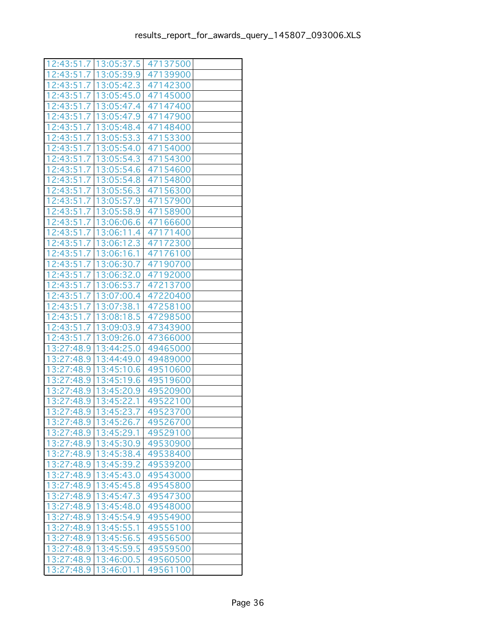|            | 12:43:51.7   13:05:37.5 | 47137500 |  |
|------------|-------------------------|----------|--|
|            | 12:43:51.7   13:05:39.9 | 47139900 |  |
| 12:43:51.7 | 13:05:42.3              | 47142300 |  |
| 12:43:51.7 | 13:05:45.0              | 47145000 |  |
| 12:43:51.7 | 13:05:47.4              | 47147400 |  |
| 12:43:51.7 | 13:05:47.9              | 47147900 |  |
| 12:43:51.7 | 13:05:48.4              | 47148400 |  |
| 12:43:51.7 | 13:05:53.3              | 47153300 |  |
| 12:43:51.7 | 13:05:54.0              | 47154000 |  |
| 12:43:51.7 | 13:05:54.3              | 47154300 |  |
| 12:43:51.7 | 13:05:54.6              | 47154600 |  |
| 12:43:51.7 | 13:05:54.8              | 47154800 |  |
| 12:43:51.7 | 13:05:56.3              | 47156300 |  |
| 12:43:51.7 | 13:05:57.9              | 47157900 |  |
| 12:43:51.7 | 13:05:58.9              | 47158900 |  |
| 12:43:51.7 | 13:06:06.6              | 47166600 |  |
| 12:43:51.7 | 13:06:11.4              | 47171400 |  |
| 12:43:51.7 | 13:06:12.3              | 47172300 |  |
| 12:43:51.7 | 13:06:16.1              | 47176100 |  |
| 12:43:51.7 | 13:06:30.7              | 47190700 |  |
| 12:43:51.7 | 13:06:32.0              | 47192000 |  |
| 12:43:51.7 | 13:06:53.7              | 47213700 |  |
| 12:43:51.7 | 13:07:00.4              | 47220400 |  |
| 12:43:51.7 | 13:07:38.1              | 47258100 |  |
| 12:43:51.7 | 13:08:18.5              | 47298500 |  |
| 12:43:51.7 | 13:09:03.9              | 47343900 |  |
| 12:43:51.7 | 13:09:26.0              | 47366000 |  |
| 13:27:48.9 | 13:44:25.0              | 49465000 |  |
| 13:27:48.9 | 13:44:49.0              | 49489000 |  |
| 13:27:48.9 | 13:45:10.6              | 49510600 |  |
| 13:27:48.9 | 13:45:19.6              | 49519600 |  |
| 13:27:48.9 | 13:45:20.9              | 49520900 |  |
| 13:27:48.9 | 13:45:22.1              | 49522100 |  |
| 13:27:48.9 | 13:45:23.7              | 49523700 |  |
| 13:27:48.9 | 13:45:26.7              | 49526700 |  |
| 13:27:48.9 | 13:45:29.1              | 49529100 |  |
| 13:27:48.9 | 13:45:30.9              | 49530900 |  |
| 13:27:48.9 | 13:45:38.4              | 49538400 |  |
| 13:27:48.9 | 13:45:39.2              | 49539200 |  |
| 13:27:48.9 | 13:45:43.0              | 49543000 |  |
| 13:27:48.9 | 13:45:45.8              | 49545800 |  |
| 13:27:48.9 | 13:45:47.3              | 49547300 |  |
| 13:27:48.9 | 13:45:48.0              | 49548000 |  |
| 13:27:48.9 | 13:45:54.9              | 49554900 |  |
| 13:27:48.9 | 13:45:55.1              | 49555100 |  |
| 13:27:48.9 | 13:45:56.5              | 49556500 |  |
| 13:27:48.9 | 13:45:59.5              | 49559500 |  |
| 13:27:48.9 | 13:46:00.5              | 49560500 |  |
| 13:27:48.9 | 13:46:01.1              | 49561100 |  |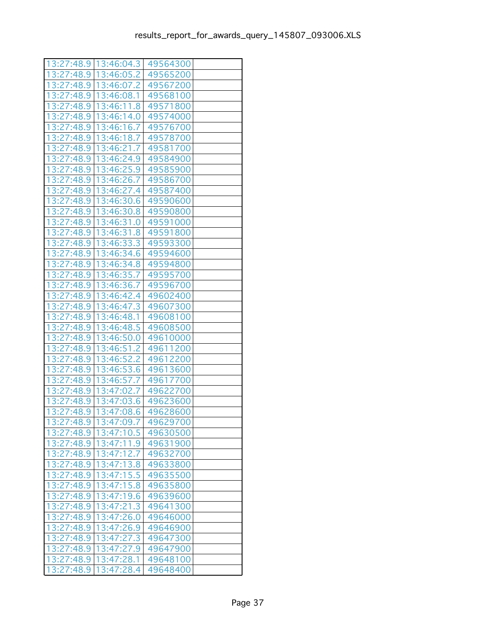|            | 13:27:48.9   13:46:04.3   49564300 |          |  |
|------------|------------------------------------|----------|--|
| 13:27:48.9 | 13:46:05.2                         | 49565200 |  |
| 13:27:48.9 | 13:46:07.2                         | 49567200 |  |
| 13:27:48.9 | 13:46:08.1                         | 49568100 |  |
| 13:27:48.9 | 13:46:11.8                         | 49571800 |  |
| 13:27:48.9 | 13:46:14.0                         | 49574000 |  |
| 13:27:48.9 | 13:46:16.7                         | 49576700 |  |
| 13:27:48.9 | 13:46:18.7                         | 49578700 |  |
| 13:27:48.9 | 13:46:21.7                         | 49581700 |  |
| 13:27:48.9 | 13:46:24.9                         | 49584900 |  |
| 13:27:48.9 | 13:46:25.9                         | 49585900 |  |
| 13:27:48.9 | 13:46:26.7                         | 49586700 |  |
| 13:27:48.9 | 13:46:27.4                         | 49587400 |  |
| 13:27:48.9 | 13:46:30.6                         | 49590600 |  |
| 13:27:48.9 | 13:46:30.8                         | 49590800 |  |
| 13:27:48.9 | 13:46:31.0                         | 49591000 |  |
| 13:27:48.9 | 13:46:31.8                         | 49591800 |  |
| 13:27:48.9 | 13:46:33.3                         | 49593300 |  |
| 13:27:48.9 | 13:46:34.6                         | 49594600 |  |
| 13:27:48.9 | 13:46:34.8                         | 49594800 |  |
| 13:27:48.9 | 13:46:35.7                         | 49595700 |  |
| 13:27:48.9 | 13:46:36.7                         | 49596700 |  |
| 13:27:48.9 | 13:46:42.4                         | 49602400 |  |
| 13:27:48.9 | 13:46:47.3                         | 49607300 |  |
| 13:27:48.9 | 13:46:48.1                         | 49608100 |  |
| 13:27:48.9 | 13:46:48.5                         | 49608500 |  |
| 13:27:48.9 | 13:46:50.0                         | 49610000 |  |
| 13:27:48.9 | 13:46:51.2                         | 49611200 |  |
| 13:27:48.9 | 13:46:52.2                         | 49612200 |  |
| 13:27:48.9 | 13:46:53.6                         | 49613600 |  |
| 13:27:48.9 | 13:46:57.7                         | 49617700 |  |
| 13:27:48.9 | 13:47:02.7                         | 49622700 |  |
| 13:27:48.9 | 13:47:03.6                         | 49623600 |  |
| 13:27:48.9 | 13:47:08.6                         | 49628600 |  |
| 13:27:48.9 | 13:47:09.7                         | 49629700 |  |
| 13:27:48.9 | 13:47:10.5                         | 49630500 |  |
| 13:27:48.9 | 13:47:11.9                         | 49631900 |  |
| 13:27:48.9 | 13:47:12.7                         | 49632700 |  |
| 13:27:48.9 | 13:47:13.8                         | 49633800 |  |
| 13:27:48.9 | 13:47:15.5                         | 49635500 |  |
| 13:27:48.9 | 13:47:15.8                         | 49635800 |  |
| 13:27:48.9 | 13:47:19.6                         | 49639600 |  |
| 13:27:48.9 | 13:47:21.3                         | 49641300 |  |
| 13:27:48.9 | 13:47:26.0                         | 49646000 |  |
| 13:27:48.9 | 13:47:26.9                         | 49646900 |  |
| 13:27:48.9 | 13:47:27.3                         | 49647300 |  |
| 13:27:48.9 | 13:47:27.9                         | 49647900 |  |
| 13:27:48.9 | 13:47:28.1                         | 49648100 |  |
| 13:27:48.9 | 13:47:28.4                         | 49648400 |  |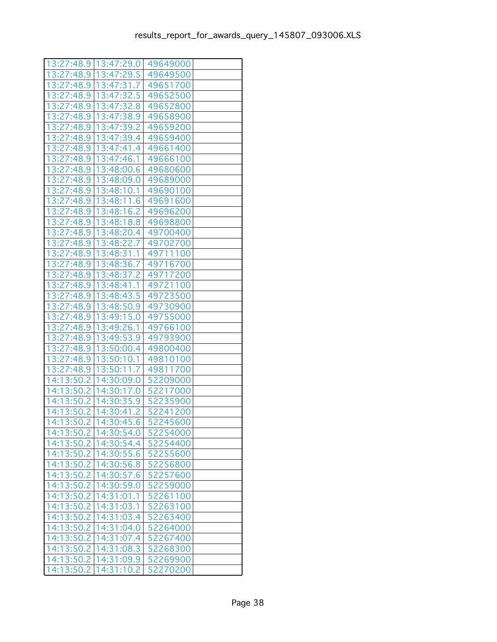|            | 13:27:48.9   13:47:29.0 | 49649000 |  |
|------------|-------------------------|----------|--|
| 13:27:48.9 | 13:47:29.5              | 49649500 |  |
| 13:27:48.9 | 13:47:31.7              | 49651700 |  |
| 13:27:48.9 | 13:47:32.5              | 49652500 |  |
| 13:27:48.9 | 13:47:32.8              | 49652800 |  |
| 13:27:48.9 | 13:47:38.9              | 49658900 |  |
| 13:27:48.9 | 13:47:39.2              | 49659200 |  |
| 13:27:48.9 | 13:47:39.4              | 49659400 |  |
| 13:27:48.9 | 13:47:41.4              | 49661400 |  |
| 13:27:48.9 | 13:47:46.1              | 49666100 |  |
| 13:27:48.9 | 13:48:00.6              | 49680600 |  |
| 13:27:48.9 | 13:48:09.0              | 49689000 |  |
| 13:27:48.9 | 13:48:10.1              | 49690100 |  |
| 13:27:48.9 | 13:48:11.6              | 49691600 |  |
| 13:27:48.9 | 13:48:16.2              | 49696200 |  |
| 13:27:48.9 | 13:48:18.8              | 49698800 |  |
| 13:27:48.9 | 13:48:20.4              | 49700400 |  |
| 13:27:48.9 | 13:48:22.7              | 49702700 |  |
| 13:27:48.9 | 13:48:31.1              | 49711100 |  |
| 13:27:48.9 | 13:48:36.7              | 49716700 |  |
| 13:27:48.9 | 13:48:37.2              | 49717200 |  |
| 13:27:48.9 | 13:48:41.1              | 49721100 |  |
| 13:27:48.9 | 13:48:43.5              | 49723500 |  |
| 13:27:48.9 | 13:48:50.9              | 49730900 |  |
| 13:27:48.9 | 13:49:15.0              | 49755000 |  |
| 13:27:48.9 | 13:49:26.1              | 49766100 |  |
| 13:27:48.9 | 13:49:53.9              | 49793900 |  |
| 13:27:48.9 | 13:50:00.4              | 49800400 |  |
| 13:27:48.9 | 13:50:10.1              | 49810100 |  |
| 13:27:48.9 | 13:50:11.7              | 49811700 |  |
| 14:13:50.2 | 14:30:09.0              | 52209000 |  |
| 14:13:50.2 | 14:30:17.0              | 52217000 |  |
| 14:13:50.2 | 14:30:35.9              | 52235900 |  |
| 14:13:50.2 | 14:30:41.2              | 52241200 |  |
| 14:13:50.2 | 14:30:45.6              | 52245600 |  |
|            | 14:13:50.2 14:30:54.0   | 52254000 |  |
|            | 14:13:50.2   14:30:54.4 | 52254400 |  |
|            | 14:13:50.2   14:30:55.6 | 52255600 |  |
| 14:13:50.2 | 14:30:56.8              | 52256800 |  |
| 14:13:50.2 | 14:30:57.6              | 52257600 |  |
| 14:13:50.2 | 14:30:59.0              | 52259000 |  |
| 14:13:50.2 | 14:31:01.1              | 52261100 |  |
| 14:13:50.2 | 14:31:03.1              | 52263100 |  |
| 14:13:50.2 | 14:31:03.4              | 52263400 |  |
| 14:13:50.2 | 14:31:04.0              | 52264000 |  |
| 14:13:50.2 | 14:31:07.4              | 52267400 |  |
| 14:13:50.2 | 14:31:08.3              | 52268300 |  |
| 14:13:50.2 | 14:31:09.9              | 52269900 |  |
|            | 14:13:50.2   14:31:10.2 | 52270200 |  |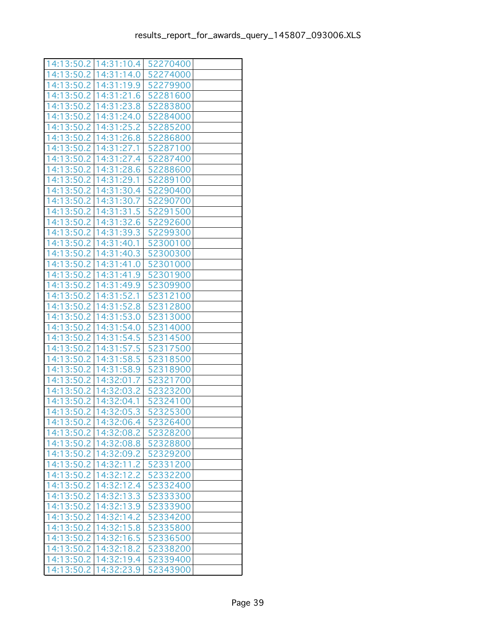|            | 14:13:50.2   14:31:10.4   52270400 |          |  |
|------------|------------------------------------|----------|--|
|            | 14:13:50.2   14:31:14.0   52274000 |          |  |
| 14:13:50.2 | 14:31:19.9                         | 52279900 |  |
| 14:13:50.2 | 14:31:21.6                         | 52281600 |  |
| 14:13:50.2 | 14:31:23.8                         | 52283800 |  |
| 14:13:50.2 | 14:31:24.0                         | 52284000 |  |
| 14:13:50.2 | 14:31:25.2                         | 52285200 |  |
| 14:13:50.2 | 14:31:26.8                         | 52286800 |  |
| 14:13:50.2 | 14:31:27.1                         | 52287100 |  |
| 14:13:50.2 | 14:31:27.4                         | 52287400 |  |
| 14:13:50.2 | 14:31:28.6                         | 52288600 |  |
| 14:13:50.2 | 14:31:29.1                         | 52289100 |  |
|            | 14:13:50.2   14:31:30.4   52290400 |          |  |
|            | 14:13:50.2   14:31:30.7            | 52290700 |  |
| 14:13:50.2 | 14:31:31.5                         | 52291500 |  |
| 14:13:50.2 | 14:31:32.6                         | 52292600 |  |
| 14:13:50.2 | 14:31:39.3                         | 52299300 |  |
| 14:13:50.2 | 14:31:40.1                         | 52300100 |  |
| 14:13:50.2 | 14:31:40.3                         | 52300300 |  |
|            | 14:13:50.2   14:31:41.0            | 52301000 |  |
| 14:13:50.2 | 14:31:41.9                         | 52301900 |  |
| 14:13:50.2 | 14:31:49.9                         | 52309900 |  |
| 14:13:50.2 | 14:31:52.1                         | 52312100 |  |
| 14:13:50.2 | 14:31:52.8                         | 52312800 |  |
|            | 14:13:50.2   14:31:53.0            | 52313000 |  |
|            | 14:13:50.2   14:31:54.0            | 52314000 |  |
| 14:13:50.2 | 14:31:54.5                         | 52314500 |  |
| 14:13:50.2 | 14:31:57.5                         | 52317500 |  |
| 14:13:50.2 | 14:31:58.5                         | 52318500 |  |
| 14:13:50.2 | 14:31:58.9                         | 52318900 |  |
| 14:13:50.2 | 14:32:01.7                         | 52321700 |  |
|            | 14:13:50.2   14:32:03.2            | 52323200 |  |
| 14:13:50.2 | 14:32:04.1                         | 52324100 |  |
| 14:13:50.2 | 14:32:05.3                         | 52325300 |  |
| 14:13:50.2 | 14:32:06.4                         | 52326400 |  |
|            | 14:13:50.2 14:32:08.2              | 52328200 |  |
|            | 14:13:50.2   14:32:08.8            | 52328800 |  |
|            | 14:13:50.2   14:32:09.2            | 52329200 |  |
| 14:13:50.2 | 14:32:11.2                         | 52331200 |  |
| 14:13:50.2 | 14:32:12.2                         | 52332200 |  |
| 14:13:50.2 | 14:32:12.4                         | 52332400 |  |
| 14:13:50.2 | 14:32:13.3                         | 52333300 |  |
|            | 14:13:50.2   14:32:13.9            | 52333900 |  |
|            | 14:13:50.2   14:32:14.2            | 52334200 |  |
| 14:13:50.2 | 14:32:15.8                         | 52335800 |  |
| 14:13:50.2 | 14:32:16.5                         | 52336500 |  |
| 14:13:50.2 | 14:32:18.2                         | 52338200 |  |
| 14:13:50.2 | 14:32:19.4                         | 52339400 |  |
|            | 14:13:50.2   14:32:23.9            | 52343900 |  |